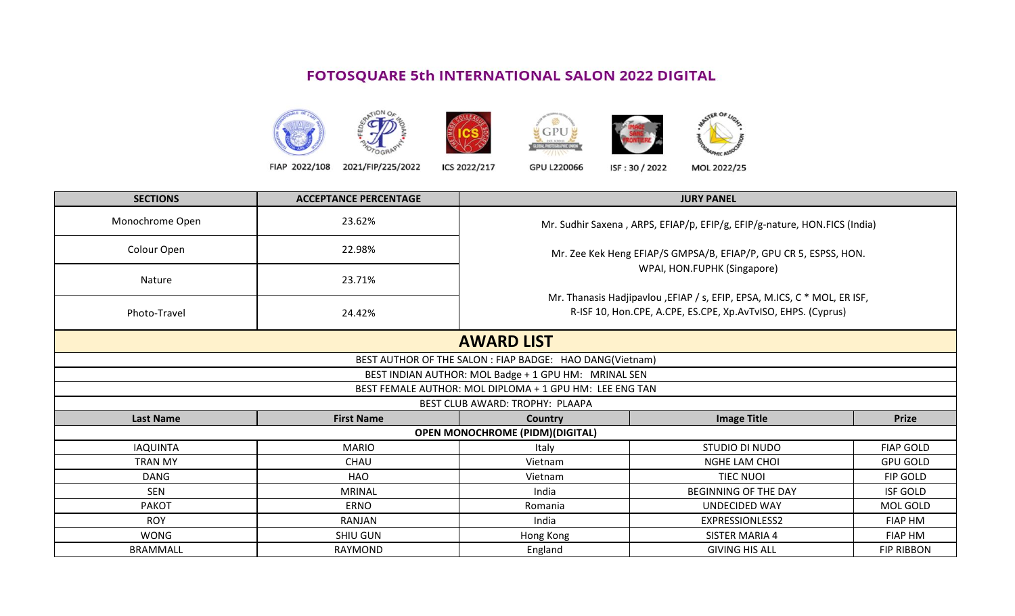## FOTOSQUARE 5th INTERNATIONAL SALON 2022 DIGITAL







FIAP 2022/108 2021/FIP/225/2022 ICS 2022/217

GPU L220066

ISF: 30 / 2022 MOL 2022/25

| <b>SECTIONS</b>  | <b>ACCEPTANCE PERCENTAGE</b> |                                                                                                                                           | <b>JURY PANEL</b>                                                         |                   |  |  |
|------------------|------------------------------|-------------------------------------------------------------------------------------------------------------------------------------------|---------------------------------------------------------------------------|-------------------|--|--|
| Monochrome Open  | 23.62%                       |                                                                                                                                           | Mr. Sudhir Saxena, ARPS, EFIAP/p, EFIP/g, EFIP/g-nature, HON.FICS (India) |                   |  |  |
| Colour Open      | 22.98%                       | Mr. Zee Kek Heng EFIAP/S GMPSA/B, EFIAP/P, GPU CR 5, ESPSS, HON.<br>WPAI, HON.FUPHK (Singapore)                                           |                                                                           |                   |  |  |
| Nature           | 23.71%                       |                                                                                                                                           |                                                                           |                   |  |  |
| Photo-Travel     | 24.42%                       | Mr. Thanasis Hadjipavlou , EFIAP / s, EFIP, EPSA, M.ICS, C * MOL, ER ISF,<br>R-ISF 10, Hon.CPE, A.CPE, ES.CPE, Xp.AvTvISO, EHPS. (Cyprus) |                                                                           |                   |  |  |
|                  |                              | <b>AWARD LIST</b>                                                                                                                         |                                                                           |                   |  |  |
|                  |                              | BEST AUTHOR OF THE SALON : FIAP BADGE: HAO DANG(Vietnam)                                                                                  |                                                                           |                   |  |  |
|                  |                              | BEST INDIAN AUTHOR: MOL Badge + 1 GPU HM: MRINAL SEN                                                                                      |                                                                           |                   |  |  |
|                  |                              | BEST FEMALE AUTHOR: MOL DIPLOMA + 1 GPU HM: LEE ENG TAN                                                                                   |                                                                           |                   |  |  |
|                  |                              | BEST CLUB AWARD: TROPHY: PLAAPA                                                                                                           |                                                                           |                   |  |  |
| <b>Last Name</b> | <b>First Name</b>            | <b>Country</b>                                                                                                                            | <b>Image Title</b>                                                        | <b>Prize</b>      |  |  |
|                  |                              | <b>OPEN MONOCHROME (PIDM)(DIGITAL)</b>                                                                                                    |                                                                           |                   |  |  |
| <b>IAQUINTA</b>  | <b>MARIO</b>                 | Italy                                                                                                                                     | STUDIO DI NUDO                                                            | <b>FIAP GOLD</b>  |  |  |
| <b>TRAN MY</b>   | CHAU                         | Vietnam                                                                                                                                   | NGHE LAM CHOI                                                             | <b>GPU GOLD</b>   |  |  |
| <b>DANG</b>      | HAO                          | Vietnam                                                                                                                                   | TIEC NUOI                                                                 | FIP GOLD          |  |  |
| <b>SEN</b>       | <b>MRINAL</b>                | India                                                                                                                                     | <b>BEGINNING OF THE DAY</b>                                               | <b>ISF GOLD</b>   |  |  |
| <b>PAKOT</b>     | <b>ERNO</b>                  | Romania                                                                                                                                   | <b>UNDECIDED WAY</b>                                                      | MOL GOLD          |  |  |
| <b>ROY</b>       | RANJAN                       | India                                                                                                                                     | <b>EXPRESSIONLESS2</b>                                                    | <b>FIAP HM</b>    |  |  |
| WONG             | <b>SHIU GUN</b>              | Hong Kong                                                                                                                                 | <b>SISTER MARIA 4</b>                                                     | <b>FIAP HM</b>    |  |  |
| <b>BRAMMALL</b>  | RAYMOND                      | England                                                                                                                                   | <b>GIVING HIS ALL</b>                                                     | <b>FIP RIBBON</b> |  |  |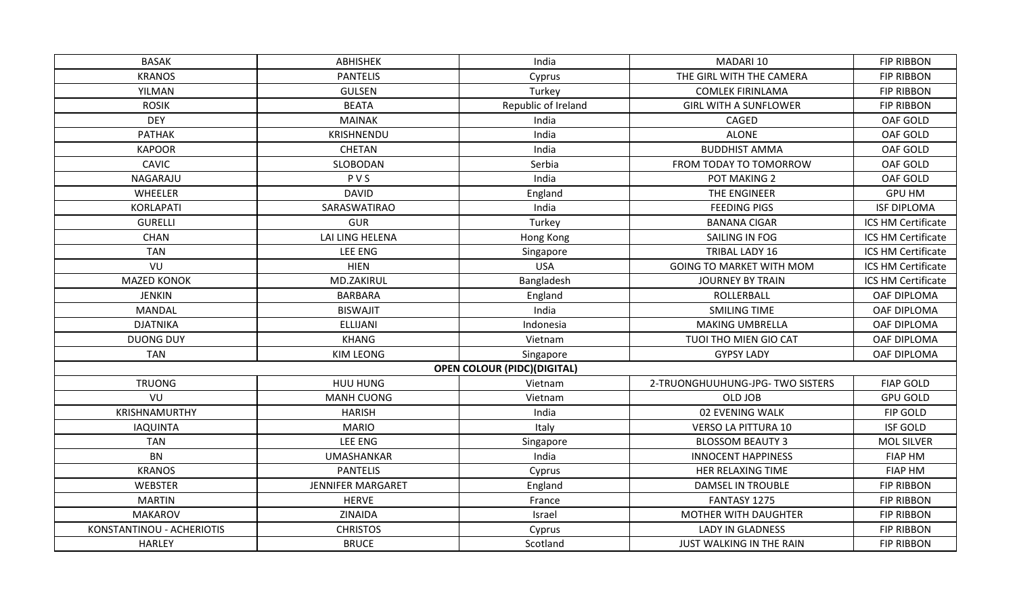| <b>BASAK</b>              | ABHISHEK                 | India                              | MADARI 10                        | <b>FIP RIBBON</b>  |
|---------------------------|--------------------------|------------------------------------|----------------------------------|--------------------|
| <b>KRANOS</b>             | <b>PANTELIS</b>          | Cyprus                             | THE GIRL WITH THE CAMERA         | <b>FIP RIBBON</b>  |
| YILMAN                    | <b>GULSEN</b>            | Turkey                             | <b>COMLEK FIRINLAMA</b>          | <b>FIP RIBBON</b>  |
| <b>ROSIK</b>              | <b>BEATA</b>             | Republic of Ireland                | <b>GIRL WITH A SUNFLOWER</b>     | <b>FIP RIBBON</b>  |
| <b>DEY</b>                | <b>MAINAK</b>            | India                              | CAGED                            | OAF GOLD           |
| <b>PATHAK</b>             | KRISHNENDU               | India                              | <b>ALONE</b>                     | OAF GOLD           |
| <b>KAPOOR</b>             | <b>CHETAN</b>            | India                              | <b>BUDDHIST AMMA</b>             | OAF GOLD           |
| <b>CAVIC</b>              | SLOBODAN                 | Serbia                             | FROM TODAY TO TOMORROW           | OAF GOLD           |
| NAGARAJU                  | PVS                      | India                              | POT MAKING 2                     | OAF GOLD           |
| WHEELER                   | <b>DAVID</b>             | England                            | THE ENGINEER                     | <b>GPU HM</b>      |
| KORLAPATI                 | SARASWATIRAO             | India                              | <b>FEEDING PIGS</b>              | <b>ISF DIPLOMA</b> |
| <b>GURELLI</b>            | <b>GUR</b>               | Turkey                             | <b>BANANA CIGAR</b>              | ICS HM Certificate |
| CHAN                      | LAI LING HELENA          | Hong Kong                          | SAILING IN FOG                   | ICS HM Certificate |
| <b>TAN</b>                | LEE ENG                  | Singapore                          | <b>TRIBAL LADY 16</b>            | ICS HM Certificate |
| VU                        | <b>HIEN</b>              | <b>USA</b>                         | <b>GOING TO MARKET WITH MOM</b>  | ICS HM Certificate |
| <b>MAZED KONOK</b>        | MD.ZAKIRUL               | Bangladesh                         | <b>JOURNEY BY TRAIN</b>          | ICS HM Certificate |
| <b>JENKIN</b>             | <b>BARBARA</b>           | England                            | ROLLERBALL                       | OAF DIPLOMA        |
| <b>MANDAL</b>             | <b>BISWAJIT</b>          | India                              | <b>SMILING TIME</b>              | OAF DIPLOMA        |
| <b>DJATNIKA</b>           | <b>ELLIJANI</b>          | Indonesia                          | <b>MAKING UMBRELLA</b>           | OAF DIPLOMA        |
| <b>DUONG DUY</b>          | <b>KHANG</b>             | Vietnam                            | TUOI THO MIEN GIO CAT            | OAF DIPLOMA        |
| <b>TAN</b>                | KIM LEONG                | Singapore                          | <b>GYPSY LADY</b>                | OAF DIPLOMA        |
|                           |                          | <b>OPEN COLOUR (PIDC)(DIGITAL)</b> |                                  |                    |
| <b>TRUONG</b>             | HUU HUNG                 | Vietnam                            | 2-TRUONGHUUHUNG-JPG- TWO SISTERS | <b>FIAP GOLD</b>   |
| VU                        | MANH CUONG               | Vietnam                            | OLD JOB                          | <b>GPU GOLD</b>    |
| KRISHNAMURTHY             | <b>HARISH</b>            | India                              | 02 EVENING WALK                  | FIP GOLD           |
| <b>IAQUINTA</b>           | <b>MARIO</b>             | Italy                              | <b>VERSO LA PITTURA 10</b>       | <b>ISF GOLD</b>    |
| <b>TAN</b>                | LEE ENG                  | Singapore                          | <b>BLOSSOM BEAUTY 3</b>          | <b>MOL SILVER</b>  |
| <b>BN</b>                 | <b>UMASHANKAR</b>        | India                              | <b>INNOCENT HAPPINESS</b>        | <b>FIAP HM</b>     |
| <b>KRANOS</b>             | <b>PANTELIS</b>          | Cyprus                             | HER RELAXING TIME                | <b>FIAP HM</b>     |
| <b>WEBSTER</b>            | <b>JENNIFER MARGARET</b> | England                            | DAMSEL IN TROUBLE                | <b>FIP RIBBON</b>  |
| <b>MARTIN</b>             | <b>HERVE</b>             | France                             | FANTASY 1275                     | <b>FIP RIBBON</b>  |
| <b>MAKAROV</b>            | ZINAIDA                  | Israel                             | <b>MOTHER WITH DAUGHTER</b>      | <b>FIP RIBBON</b>  |
| KONSTANTINOU - ACHERIOTIS | <b>CHRISTOS</b>          | Cyprus                             | <b>LADY IN GLADNESS</b>          | <b>FIP RIBBON</b>  |
| HARLEY                    | <b>BRUCE</b>             | Scotland                           | JUST WALKING IN THE RAIN         | <b>FIP RIBBON</b>  |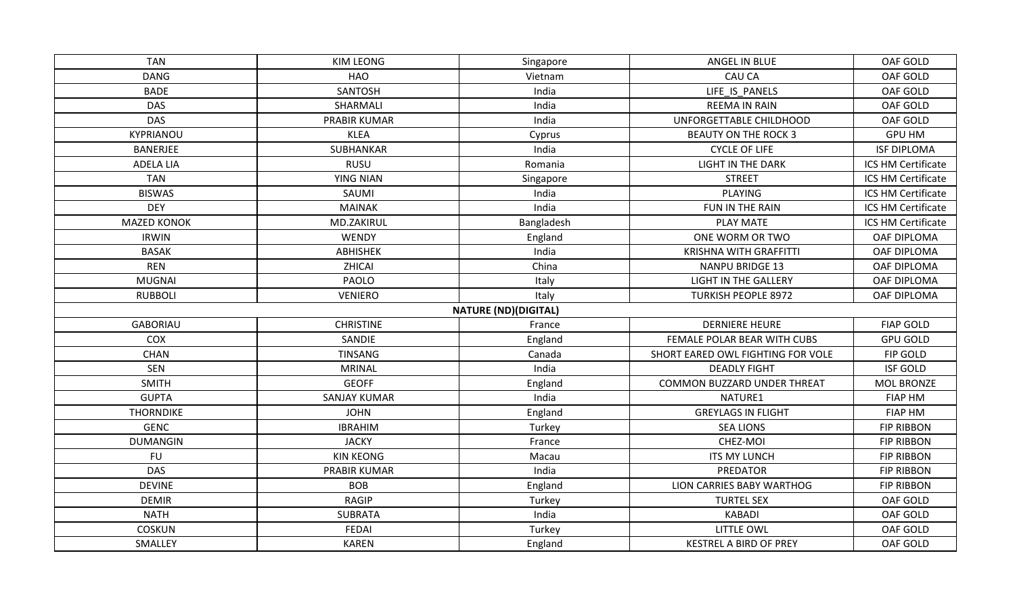| <b>TAN</b>         | KIM LEONG           | ANGEL IN BLUE<br>Singapore  |                                    | OAF GOLD           |
|--------------------|---------------------|-----------------------------|------------------------------------|--------------------|
| <b>DANG</b>        | <b>HAO</b>          | Vietnam                     | CAU CA                             | OAF GOLD           |
| <b>BADE</b>        | <b>SANTOSH</b>      | India                       | LIFE IS PANELS                     | OAF GOLD           |
| <b>DAS</b>         | SHARMALI            | India                       | <b>REEMA IN RAIN</b>               |                    |
| <b>DAS</b>         | <b>PRABIR KUMAR</b> | India                       | UNFORGETTABLE CHILDHOOD            | OAF GOLD           |
| KYPRIANOU          | <b>KLEA</b>         | Cyprus                      | <b>BEAUTY ON THE ROCK 3</b>        | <b>GPU HM</b>      |
| <b>BANERJEE</b>    | SUBHANKAR           | India                       | <b>CYCLE OF LIFE</b>               | <b>ISF DIPLOMA</b> |
| ADELA LIA          | <b>RUSU</b>         | Romania                     | LIGHT IN THE DARK                  | ICS HM Certificate |
| <b>TAN</b>         | YING NIAN           | Singapore                   | <b>STREET</b>                      | ICS HM Certificate |
| <b>BISWAS</b>      | SAUMI               | India                       | PLAYING                            | ICS HM Certificate |
| <b>DEY</b>         | <b>MAINAK</b>       | India                       | FUN IN THE RAIN                    | ICS HM Certificate |
| <b>MAZED KONOK</b> | MD.ZAKIRUL          | Bangladesh                  | <b>PLAY MATE</b>                   | ICS HM Certificate |
| <b>IRWIN</b>       | WENDY               | England                     | ONE WORM OR TWO                    | OAF DIPLOMA        |
| <b>BASAK</b>       | ABHISHEK            | India                       | <b>KRISHNA WITH GRAFFITTI</b>      | OAF DIPLOMA        |
| <b>REN</b>         | ZHICAI              | China                       | <b>NANPU BRIDGE 13</b>             | OAF DIPLOMA        |
| <b>MUGNAI</b>      | PAOLO               | Italy                       | <b>LIGHT IN THE GALLERY</b>        | OAF DIPLOMA        |
| <b>RUBBOLI</b>     | <b>VENIERO</b>      | Italy                       | <b>TURKISH PEOPLE 8972</b>         | OAF DIPLOMA        |
|                    |                     | <b>NATURE (ND)(DIGITAL)</b> |                                    |                    |
| <b>GABORIAU</b>    | <b>CHRISTINE</b>    | France                      | <b>DERNIERE HEURE</b>              | <b>FIAP GOLD</b>   |
| COX                | SANDIE              | England                     | FEMALE POLAR BEAR WITH CUBS        | <b>GPU GOLD</b>    |
| <b>CHAN</b>        | TINSANG             | Canada                      | SHORT EARED OWL FIGHTING FOR VOLE  | FIP GOLD           |
| <b>SEN</b>         | <b>MRINAL</b>       | India                       | <b>DEADLY FIGHT</b>                | <b>ISF GOLD</b>    |
| <b>SMITH</b>       | <b>GEOFF</b>        | England                     | <b>COMMON BUZZARD UNDER THREAT</b> | <b>MOL BRONZE</b>  |
| <b>GUPTA</b>       | <b>SANJAY KUMAR</b> | India                       | NATURE1                            | <b>FIAP HM</b>     |
| <b>THORNDIKE</b>   | <b>JOHN</b>         | England                     | <b>GREYLAGS IN FLIGHT</b>          | <b>FIAP HM</b>     |
| <b>GENC</b>        | <b>IBRAHIM</b>      | Turkey                      | <b>SEA LIONS</b>                   | <b>FIP RIBBON</b>  |
| <b>DUMANGIN</b>    | <b>JACKY</b>        | France                      | CHEZ-MOI                           | <b>FIP RIBBON</b>  |
| <b>FU</b>          | <b>KIN KEONG</b>    | Macau                       | <b>ITS MY LUNCH</b>                | <b>FIP RIBBON</b>  |
| <b>DAS</b>         | <b>PRABIR KUMAR</b> | India                       | PREDATOR                           | <b>FIP RIBBON</b>  |
| <b>DEVINE</b>      | <b>BOB</b>          | England                     | LION CARRIES BABY WARTHOG          | <b>FIP RIBBON</b>  |
| <b>DEMIR</b>       | <b>RAGIP</b>        | Turkey                      | <b>TURTEL SEX</b>                  | OAF GOLD           |
| <b>NATH</b>        | <b>SUBRATA</b>      | India                       | <b>KABADI</b>                      | OAF GOLD           |
| COSKUN             | <b>FEDAI</b>        | Turkey                      | LITTLE OWL                         | OAF GOLD           |
| SMALLEY            | <b>KAREN</b>        | England                     | <b>KESTREL A BIRD OF PREY</b>      | OAF GOLD           |
|                    |                     |                             |                                    |                    |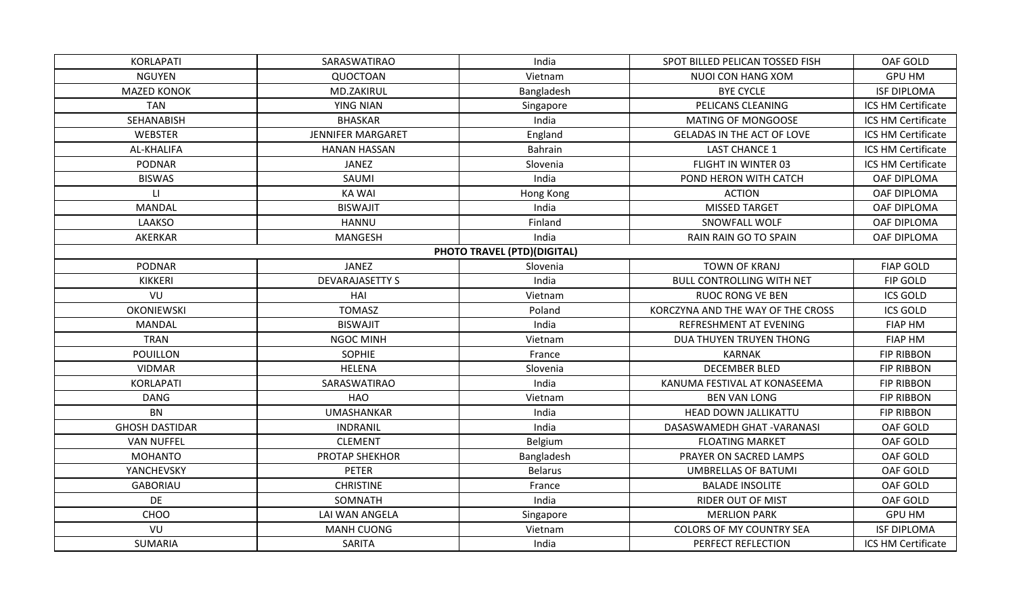| KORLAPATI              | SARASWATIRAO             | India                       | SPOT BILLED PELICAN TOSSED FISH   | OAF GOLD           |
|------------------------|--------------------------|-----------------------------|-----------------------------------|--------------------|
| <b>NGUYEN</b>          | QUOCTOAN                 | Vietnam                     | NUOI CON HANG XOM                 | <b>GPU HM</b>      |
| <b>MAZED KONOK</b>     | MD.ZAKIRUL               | Bangladesh                  | <b>BYE CYCLE</b>                  | <b>ISF DIPLOMA</b> |
| <b>TAN</b>             | <b>YING NIAN</b>         | Singapore                   | PELICANS CLEANING                 | ICS HM Certificate |
| SEHANABISH             | <b>BHASKAR</b>           | India                       | <b>MATING OF MONGOOSE</b>         | ICS HM Certificate |
| <b>WEBSTER</b>         | <b>JENNIFER MARGARET</b> | England                     | <b>GELADAS IN THE ACT OF LOVE</b> | ICS HM Certificate |
| AL-KHALIFA             | <b>HANAN HASSAN</b>      | Bahrain                     | <b>LAST CHANCE 1</b>              | ICS HM Certificate |
| PODNAR                 | JANEZ                    | Slovenia                    | FLIGHT IN WINTER 03               | ICS HM Certificate |
| <b>BISWAS</b>          | SAUMI                    | India                       | POND HERON WITH CATCH             | OAF DIPLOMA        |
| $\mathsf{L}\mathsf{L}$ | KA WAI                   | Hong Kong                   | <b>ACTION</b>                     | OAF DIPLOMA        |
| <b>MANDAL</b>          | <b>BISWAJIT</b>          | India                       | <b>MISSED TARGET</b>              | OAF DIPLOMA        |
| LAAKSO                 | <b>HANNU</b>             | Finland                     | SNOWFALL WOLF                     | OAF DIPLOMA        |
| AKERKAR                | MANGESH                  | India                       | <b>RAIN RAIN GO TO SPAIN</b>      | OAF DIPLOMA        |
|                        |                          | PHOTO TRAVEL (PTD)(DIGITAL) |                                   |                    |
| <b>PODNAR</b>          | <b>JANEZ</b>             | Slovenia                    | <b>TOWN OF KRANJ</b>              | <b>FIAP GOLD</b>   |
| <b>KIKKERI</b>         | <b>DEVARAJASETTY S</b>   | India                       | <b>BULL CONTROLLING WITH NET</b>  | FIP GOLD           |
| VU                     | HAI                      | Vietnam                     | <b>RUOC RONG VE BEN</b>           | <b>ICS GOLD</b>    |
| <b>OKONIEWSKI</b>      | <b>TOMASZ</b>            | Poland                      | KORCZYNA AND THE WAY OF THE CROSS | <b>ICS GOLD</b>    |
| MANDAL                 | <b>BISWAJIT</b>          | India                       | REFRESHMENT AT EVENING            | <b>FIAP HM</b>     |
| <b>TRAN</b>            | <b>NGOC MINH</b>         | Vietnam                     | DUA THUYEN TRUYEN THONG           | <b>FIAP HM</b>     |
| <b>POUILLON</b>        | <b>SOPHIE</b>            | France                      | <b>KARNAK</b>                     | <b>FIP RIBBON</b>  |
| <b>VIDMAR</b>          | <b>HELENA</b>            | Slovenia                    | <b>DECEMBER BLED</b>              | <b>FIP RIBBON</b>  |
| KORLAPATI              | SARASWATIRAO             | India                       | KANUMA FESTIVAL AT KONASEEMA      | <b>FIP RIBBON</b>  |
| <b>DANG</b>            | HAO                      | Vietnam                     | <b>BEN VAN LONG</b>               | <b>FIP RIBBON</b>  |
| <b>BN</b>              | <b>UMASHANKAR</b>        | India                       | HEAD DOWN JALLIKATTU              | <b>FIP RIBBON</b>  |
| <b>GHOSH DASTIDAR</b>  | <b>INDRANIL</b>          | India                       | DASASWAMEDH GHAT - VARANASI       | OAF GOLD           |
| <b>VAN NUFFEL</b>      | <b>CLEMENT</b>           | Belgium                     | <b>FLOATING MARKET</b>            | OAF GOLD           |
| <b>MOHANTO</b>         | PROTAP SHEKHOR           | Bangladesh                  | PRAYER ON SACRED LAMPS            | OAF GOLD           |
| YANCHEVSKY             | <b>PETER</b>             | <b>Belarus</b>              | <b>UMBRELLAS OF BATUMI</b>        | OAF GOLD           |
| <b>GABORIAU</b>        | <b>CHRISTINE</b>         | France                      | <b>BALADE INSOLITE</b>            | OAF GOLD           |
| DE                     | SOMNATH                  | India                       | <b>RIDER OUT OF MIST</b>          | OAF GOLD           |
| CHOO                   | LAI WAN ANGELA           | Singapore                   | <b>MERLION PARK</b>               | <b>GPU HM</b>      |
| VU                     | <b>MANH CUONG</b>        | Vietnam                     | <b>COLORS OF MY COUNTRY SEA</b>   | <b>ISF DIPLOMA</b> |
| <b>SUMARIA</b>         | SARITA                   | India                       | PERFECT REFLECTION                | ICS HM Certificate |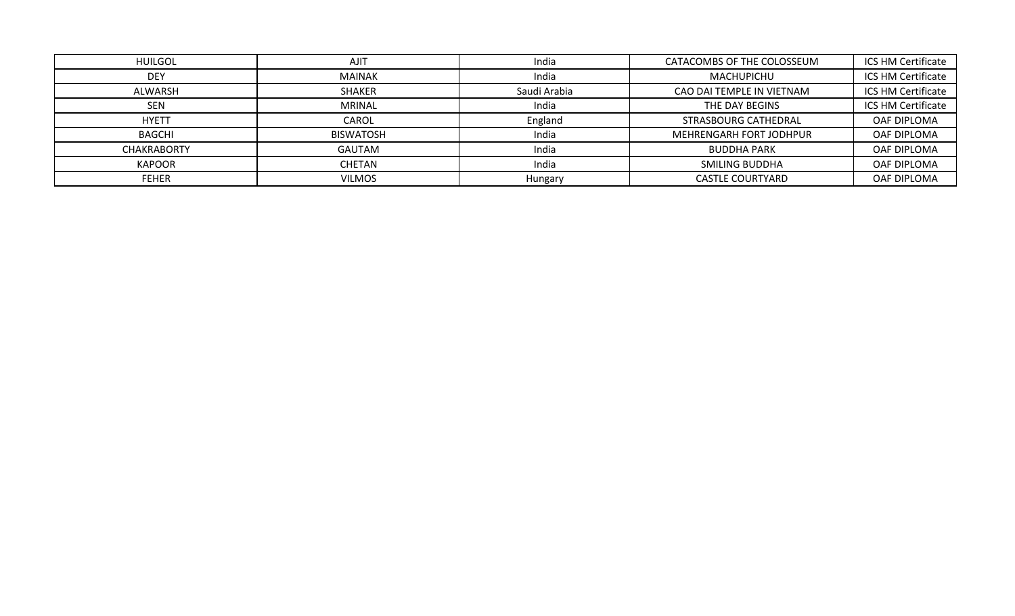| <b>HUILGOL</b>     | <b>AJIT</b>      | India        | CATACOMBS OF THE COLOSSEUM | ICS HM Certificate |
|--------------------|------------------|--------------|----------------------------|--------------------|
| <b>DEY</b>         | <b>MAINAK</b>    | India        | <b>MACHUPICHU</b>          | ICS HM Certificate |
| ALWARSH            | <b>SHAKER</b>    | Saudi Arabia | CAO DAI TEMPLE IN VIETNAM  | ICS HM Certificate |
| <b>SEN</b>         | <b>MRINAL</b>    | India        | THE DAY BEGINS             | ICS HM Certificate |
| <b>HYETT</b>       | CAROL            | England      | STRASBOURG CATHEDRAL       | OAF DIPLOMA        |
| BAGCHI             | <b>BISWATOSH</b> | India        | MEHRENGARH FORT JODHPUR    | OAF DIPLOMA        |
| <b>CHAKRABORTY</b> | <b>GAUTAM</b>    | India        | <b>BUDDHA PARK</b>         | OAF DIPLOMA        |
| <b>KAPOOR</b>      | <b>CHETAN</b>    | India        | <b>SMILING BUDDHA</b>      | OAF DIPLOMA        |
| <b>FEHER</b>       | <b>VILMOS</b>    | Hungary      | <b>CASTLE COURTYARD</b>    | OAF DIPLOMA        |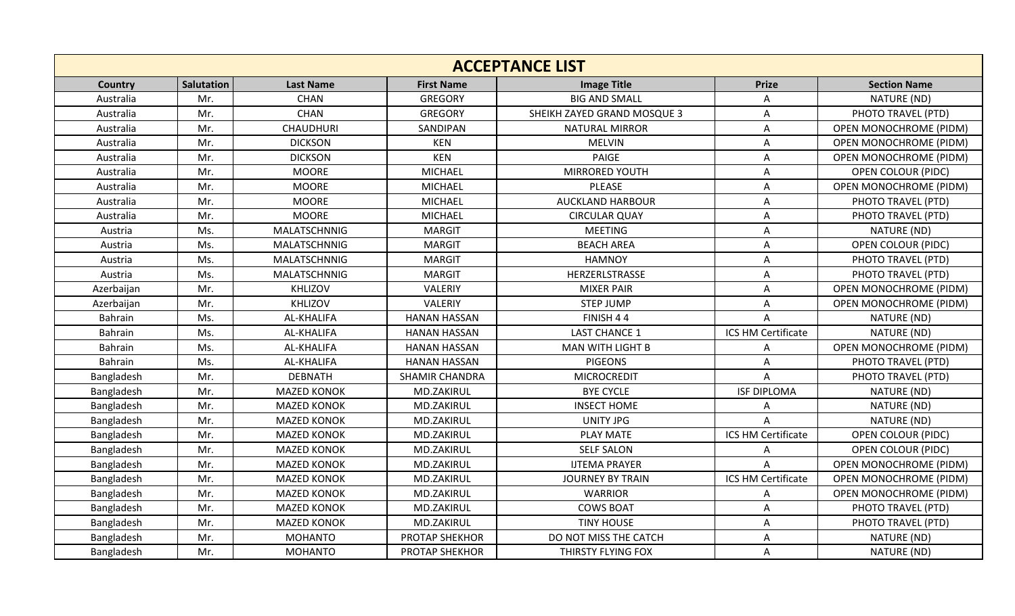| <b>ACCEPTANCE LIST</b> |            |                     |                       |                             |                           |                               |  |
|------------------------|------------|---------------------|-----------------------|-----------------------------|---------------------------|-------------------------------|--|
| Country                | Salutation | <b>Last Name</b>    | <b>First Name</b>     | <b>Image Title</b>          | <b>Prize</b>              | <b>Section Name</b>           |  |
| Australia              | Mr.        | <b>CHAN</b>         | <b>GREGORY</b>        | <b>BIG AND SMALL</b>        | A                         | NATURE (ND)                   |  |
| Australia              | Mr.        | <b>CHAN</b>         | <b>GREGORY</b>        | SHEIKH ZAYED GRAND MOSQUE 3 | $\mathsf{A}$              | PHOTO TRAVEL (PTD)            |  |
| Australia              | Mr.        | <b>CHAUDHURI</b>    | SANDIPAN              | <b>NATURAL MIRROR</b>       | $\mathsf{A}$              | <b>OPEN MONOCHROME (PIDM)</b> |  |
| Australia              | Mr.        | <b>DICKSON</b>      | <b>KEN</b>            | <b>MELVIN</b>               | $\mathsf{A}$              | <b>OPEN MONOCHROME (PIDM)</b> |  |
| Australia              | Mr.        | <b>DICKSON</b>      | <b>KEN</b>            | <b>PAIGE</b>                | $\mathsf{A}$              | OPEN MONOCHROME (PIDM)        |  |
| Australia              | Mr.        | <b>MOORE</b>        | <b>MICHAEL</b>        | MIRRORED YOUTH              | $\mathsf{A}$              | <b>OPEN COLOUR (PIDC)</b>     |  |
| Australia              | Mr.        | <b>MOORE</b>        | MICHAEL               | PLEASE                      | $\mathsf{A}$              | <b>OPEN MONOCHROME (PIDM)</b> |  |
| Australia              | Mr.        | <b>MOORE</b>        | <b>MICHAEL</b>        | <b>AUCKLAND HARBOUR</b>     | A                         | PHOTO TRAVEL (PTD)            |  |
| Australia              | Mr.        | <b>MOORE</b>        | <b>MICHAEL</b>        | <b>CIRCULAR QUAY</b>        | A                         | PHOTO TRAVEL (PTD)            |  |
| Austria                | Ms.        | MALATSCHNNIG        | <b>MARGIT</b>         | <b>MEETING</b>              | $\mathsf{A}$              | NATURE (ND)                   |  |
| Austria                | Ms.        | MALATSCHNNIG        | <b>MARGIT</b>         | <b>BEACH AREA</b>           | $\mathsf{A}$              | OPEN COLOUR (PIDC)            |  |
| Austria                | Ms.        | MALATSCHNNIG        | <b>MARGIT</b>         | <b>HAMNOY</b>               | $\mathsf{A}$              | PHOTO TRAVEL (PTD)            |  |
| Austria                | Ms.        | <b>MALATSCHNNIG</b> | <b>MARGIT</b>         | HERZERLSTRASSE              | $\mathsf{A}$              | PHOTO TRAVEL (PTD)            |  |
| Azerbaijan             | Mr.        | KHLIZOV             | VALERIY               | <b>MIXER PAIR</b>           | $\mathsf{A}$              | <b>OPEN MONOCHROME (PIDM)</b> |  |
| Azerbaijan             | Mr.        | <b>KHLIZOV</b>      | VALERIY               | <b>STEP JUMP</b>            | $\boldsymbol{\mathsf{A}}$ | <b>OPEN MONOCHROME (PIDM)</b> |  |
| Bahrain                | Ms.        | AL-KHALIFA          | <b>HANAN HASSAN</b>   | FINISH 44                   | $\mathsf{A}$              | NATURE (ND)                   |  |
| Bahrain                | Ms.        | AL-KHALIFA          | <b>HANAN HASSAN</b>   | <b>LAST CHANCE 1</b>        | ICS HM Certificate        | NATURE (ND)                   |  |
| Bahrain                | Ms.        | AL-KHALIFA          | <b>HANAN HASSAN</b>   | <b>MAN WITH LIGHT B</b>     | A                         | OPEN MONOCHROME (PIDM)        |  |
| Bahrain                | Ms.        | AL-KHALIFA          | <b>HANAN HASSAN</b>   | <b>PIGEONS</b>              | $\mathsf{A}$              | PHOTO TRAVEL (PTD)            |  |
| Bangladesh             | Mr.        | <b>DEBNATH</b>      | <b>SHAMIR CHANDRA</b> | <b>MICROCREDIT</b>          | $\overline{A}$            | PHOTO TRAVEL (PTD)            |  |
| Bangladesh             | Mr.        | <b>MAZED KONOK</b>  | MD.ZAKIRUL            | <b>BYE CYCLE</b>            | <b>ISF DIPLOMA</b>        | NATURE (ND)                   |  |
| Bangladesh             | Mr.        | <b>MAZED KONOK</b>  | MD.ZAKIRUL            | <b>INSECT HOME</b>          | A                         | NATURE (ND)                   |  |
| Bangladesh             | Mr.        | <b>MAZED KONOK</b>  | MD.ZAKIRUL            | <b>UNITY JPG</b>            | A                         | NATURE (ND)                   |  |
| Bangladesh             | Mr.        | <b>MAZED KONOK</b>  | MD.ZAKIRUL            | <b>PLAY MATE</b>            | ICS HM Certificate        | <b>OPEN COLOUR (PIDC)</b>     |  |
| Bangladesh             | Mr.        | <b>MAZED KONOK</b>  | MD.ZAKIRUL            | <b>SELF SALON</b>           | Α                         | <b>OPEN COLOUR (PIDC)</b>     |  |
| Bangladesh             | Mr.        | <b>MAZED KONOK</b>  | MD.ZAKIRUL            | <b>IJTEMA PRAYER</b>        | A                         | OPEN MONOCHROME (PIDM)        |  |
| Bangladesh             | Mr.        | <b>MAZED KONOK</b>  | MD.ZAKIRUL            | <b>JOURNEY BY TRAIN</b>     | ICS HM Certificate        | <b>OPEN MONOCHROME (PIDM)</b> |  |
| Bangladesh             | Mr.        | <b>MAZED KONOK</b>  | MD.ZAKIRUL            | <b>WARRIOR</b>              | A                         | OPEN MONOCHROME (PIDM)        |  |
| Bangladesh             | Mr.        | <b>MAZED KONOK</b>  | MD.ZAKIRUL            | <b>COWS BOAT</b>            | $\mathsf{A}$              | PHOTO TRAVEL (PTD)            |  |
| Bangladesh             | Mr.        | <b>MAZED KONOK</b>  | MD.ZAKIRUL            | <b>TINY HOUSE</b>           | $\mathsf{A}$              | PHOTO TRAVEL (PTD)            |  |
| Bangladesh             | Mr.        | <b>MOHANTO</b>      | PROTAP SHEKHOR        | DO NOT MISS THE CATCH       | $\mathsf{A}$              | NATURE (ND)                   |  |
| Bangladesh             | Mr.        | <b>MOHANTO</b>      | <b>PROTAP SHEKHOR</b> | THIRSTY FLYING FOX          | A                         | NATURE (ND)                   |  |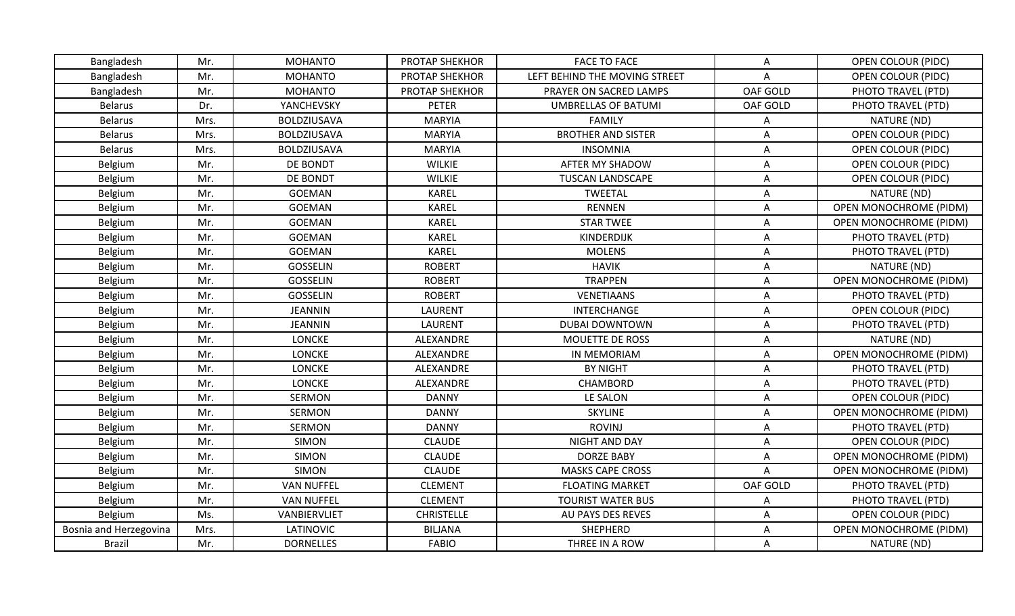| Bangladesh             | Mr.  | <b>MOHANTO</b>     | <b>PROTAP SHEKHOR</b> | <b>FACE TO FACE</b>           | Α            | <b>OPEN COLOUR (PIDC)</b>     |
|------------------------|------|--------------------|-----------------------|-------------------------------|--------------|-------------------------------|
| Bangladesh             | Mr.  | <b>MOHANTO</b>     | <b>PROTAP SHEKHOR</b> | LEFT BEHIND THE MOVING STREET | A            | <b>OPEN COLOUR (PIDC)</b>     |
| Bangladesh             | Mr.  | <b>MOHANTO</b>     | PROTAP SHEKHOR        | PRAYER ON SACRED LAMPS        | OAF GOLD     | PHOTO TRAVEL (PTD)            |
| <b>Belarus</b>         | Dr.  | YANCHEVSKY         | PETER                 | <b>UMBRELLAS OF BATUMI</b>    | OAF GOLD     | PHOTO TRAVEL (PTD)            |
| <b>Belarus</b>         | Mrs. | BOLDZIUSAVA        | <b>MARYIA</b>         | <b>FAMILY</b>                 | Α            | NATURE (ND)                   |
| Belarus                | Mrs. | <b>BOLDZIUSAVA</b> | <b>MARYIA</b>         | <b>BROTHER AND SISTER</b>     | Α            | <b>OPEN COLOUR (PIDC)</b>     |
| <b>Belarus</b>         | Mrs. | <b>BOLDZIUSAVA</b> | <b>MARYIA</b>         | <b>INSOMNIA</b>               | A            | OPEN COLOUR (PIDC)            |
| Belgium                | Mr.  | DE BONDT           | <b>WILKIE</b>         | <b>AFTER MY SHADOW</b>        | A            | <b>OPEN COLOUR (PIDC)</b>     |
| Belgium                | Mr.  | DE BONDT           | <b>WILKIE</b>         | <b>TUSCAN LANDSCAPE</b>       | A            | OPEN COLOUR (PIDC)            |
| Belgium                | Mr.  | <b>GOEMAN</b>      | <b>KAREL</b>          | TWEETAL                       | Α            | NATURE (ND)                   |
| Belgium                | Mr.  | <b>GOEMAN</b>      | <b>KAREL</b>          | RENNEN                        | $\mathsf{A}$ | <b>OPEN MONOCHROME (PIDM)</b> |
| Belgium                | Mr.  | <b>GOEMAN</b>      | <b>KAREL</b>          | <b>STAR TWEE</b>              | Α            | <b>OPEN MONOCHROME (PIDM)</b> |
| Belgium                | Mr.  | <b>GOEMAN</b>      | <b>KAREL</b>          | KINDERDIJK                    | A            | PHOTO TRAVEL (PTD)            |
| Belgium                | Mr.  | GOEMAN             | KAREL                 | <b>MOLENS</b>                 | Α            | PHOTO TRAVEL (PTD)            |
| Belgium                | Mr.  | GOSSELIN           | <b>ROBERT</b>         | <b>HAVIK</b>                  | Α            | NATURE (ND)                   |
| Belgium                | Mr.  | GOSSELIN           | <b>ROBERT</b>         | <b>TRAPPEN</b>                | Α            | <b>OPEN MONOCHROME (PIDM)</b> |
| Belgium                | Mr.  | <b>GOSSELIN</b>    | <b>ROBERT</b>         | <b>VENETIAANS</b>             | A            | PHOTO TRAVEL (PTD)            |
| Belgium                | Mr.  | JEANNIN            | LAURENT               | <b>INTERCHANGE</b>            | Α            | <b>OPEN COLOUR (PIDC)</b>     |
| Belgium                | Mr.  | JEANNIN            | LAURENT               | <b>DUBAI DOWNTOWN</b>         | Α            | PHOTO TRAVEL (PTD)            |
| Belgium                | Mr.  | <b>LONCKE</b>      | ALEXANDRE             | MOUETTE DE ROSS               | Α            | NATURE (ND)                   |
| Belgium                | Mr.  | <b>LONCKE</b>      | ALEXANDRE             | IN MEMORIAM                   | Α            | <b>OPEN MONOCHROME (PIDM)</b> |
| Belgium                | Mr.  | <b>LONCKE</b>      | ALEXANDRE             | <b>BY NIGHT</b>               | A            | PHOTO TRAVEL (PTD)            |
| Belgium                | Mr.  | <b>LONCKE</b>      | ALEXANDRE             | CHAMBORD                      | Α            | PHOTO TRAVEL (PTD)            |
| Belgium                | Mr.  | SERMON             | <b>DANNY</b>          | LE SALON                      | A            | <b>OPEN COLOUR (PIDC)</b>     |
| Belgium                | Mr.  | <b>SERMON</b>      | <b>DANNY</b>          | <b>SKYLINE</b>                | Α            | <b>OPEN MONOCHROME (PIDM)</b> |
| Belgium                | Mr.  | <b>SERMON</b>      | <b>DANNY</b>          | <b>ROVINJ</b>                 | Α            | PHOTO TRAVEL (PTD)            |
| Belgium                | Mr.  | <b>SIMON</b>       | <b>CLAUDE</b>         | NIGHT AND DAY                 | A            | <b>OPEN COLOUR (PIDC)</b>     |
| Belgium                | Mr.  | <b>SIMON</b>       | <b>CLAUDE</b>         | <b>DORZE BABY</b>             | Α            | OPEN MONOCHROME (PIDM)        |
| Belgium                | Mr.  | <b>SIMON</b>       | <b>CLAUDE</b>         | <b>MASKS CAPE CROSS</b>       | $\mathsf{A}$ | <b>OPEN MONOCHROME (PIDM)</b> |
| Belgium                | Mr.  | <b>VAN NUFFEL</b>  | <b>CLEMENT</b>        | <b>FLOATING MARKET</b>        | OAF GOLD     | PHOTO TRAVEL (PTD)            |
| Belgium                | Mr.  | <b>VAN NUFFEL</b>  | <b>CLEMENT</b>        | <b>TOURIST WATER BUS</b>      | Α            | PHOTO TRAVEL (PTD)            |
| Belgium                | Ms.  | VANBIERVLIET       | <b>CHRISTELLE</b>     | AU PAYS DES REVES             | A            | <b>OPEN COLOUR (PIDC)</b>     |
| Bosnia and Herzegovina | Mrs. | LATINOVIC          | <b>BILJANA</b>        | SHEPHERD                      | Α            | OPEN MONOCHROME (PIDM)        |
| <b>Brazil</b>          | Mr.  | <b>DORNELLES</b>   | <b>FABIO</b>          | THREE IN A ROW                | A            | NATURE (ND)                   |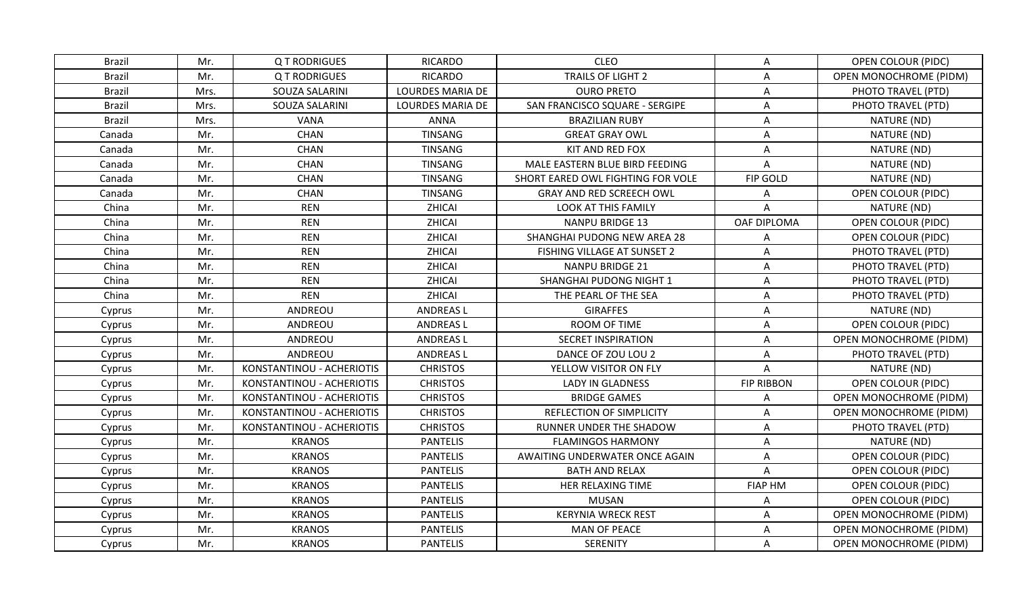| Brazil        | Mr.  | <b>QT RODRIGUES</b>       | <b>RICARDO</b>          | <b>CLEO</b>                       | A                         | OPEN COLOUR (PIDC)            |
|---------------|------|---------------------------|-------------------------|-----------------------------------|---------------------------|-------------------------------|
| <b>Brazil</b> | Mr.  | <b>QT RODRIGUES</b>       | <b>RICARDO</b>          | TRAILS OF LIGHT 2                 | A                         | <b>OPEN MONOCHROME (PIDM)</b> |
| <b>Brazil</b> | Mrs. | SOUZA SALARINI            | <b>LOURDES MARIA DE</b> | <b>OURO PRETO</b>                 | Α                         | PHOTO TRAVEL (PTD)            |
| <b>Brazil</b> | Mrs. | SOUZA SALARINI            | <b>LOURDES MARIA DE</b> | SAN FRANCISCO SQUARE - SERGIPE    | A                         | PHOTO TRAVEL (PTD)            |
| <b>Brazil</b> | Mrs. | <b>VANA</b>               | ANNA                    | <b>BRAZILIAN RUBY</b>             | Α                         | NATURE (ND)                   |
| Canada        | Mr.  | <b>CHAN</b>               | <b>TINSANG</b>          | <b>GREAT GRAY OWL</b>             | Α                         | NATURE (ND)                   |
| Canada        | Mr.  | <b>CHAN</b>               | <b>TINSANG</b>          | KIT AND RED FOX                   | A                         | NATURE (ND)                   |
| Canada        | Mr.  | <b>CHAN</b>               | <b>TINSANG</b>          | MALE EASTERN BLUE BIRD FEEDING    | A                         | NATURE (ND)                   |
| Canada        | Mr.  | <b>CHAN</b>               | <b>TINSANG</b>          | SHORT EARED OWL FIGHTING FOR VOLE | FIP GOLD                  | NATURE (ND)                   |
| Canada        | Mr.  | <b>CHAN</b>               | <b>TINSANG</b>          | GRAY AND RED SCREECH OWL          | Α                         | OPEN COLOUR (PIDC)            |
| China         | Mr.  | <b>REN</b>                | ZHICAI                  | <b>LOOK AT THIS FAMILY</b>        | A                         | NATURE (ND)                   |
| China         | Mr.  | <b>REN</b>                | ZHICAI                  | <b>NANPU BRIDGE 13</b>            | OAF DIPLOMA               | OPEN COLOUR (PIDC)            |
| China         | Mr.  | <b>REN</b>                | ZHICAI                  | SHANGHAI PUDONG NEW AREA 28       | Α                         | OPEN COLOUR (PIDC)            |
| China         | Mr.  | <b>REN</b>                | ZHICAI                  | FISHING VILLAGE AT SUNSET 2       | Α                         | PHOTO TRAVEL (PTD)            |
| China         | Mr.  | <b>REN</b>                | ZHICAI                  | <b>NANPU BRIDGE 21</b>            | A                         | PHOTO TRAVEL (PTD)            |
| China         | Mr.  | <b>REN</b>                | ZHICAI                  | SHANGHAI PUDONG NIGHT 1           | Α                         | PHOTO TRAVEL (PTD)            |
| China         | Mr.  | <b>REN</b>                | ZHICAI                  | THE PEARL OF THE SEA              | $\boldsymbol{\mathsf{A}}$ | PHOTO TRAVEL (PTD)            |
| Cyprus        | Mr.  | ANDREOU                   | <b>ANDREASL</b>         | <b>GIRAFFES</b>                   | A                         | NATURE (ND)                   |
| Cyprus        | Mr.  | ANDREOU                   | <b>ANDREASL</b>         | ROOM OF TIME                      | Α                         | OPEN COLOUR (PIDC)            |
| Cyprus        | Mr.  | ANDREOU                   | <b>ANDREASL</b>         | <b>SECRET INSPIRATION</b>         | A                         | <b>OPEN MONOCHROME (PIDM)</b> |
| Cyprus        | Mr.  | ANDREOU                   | <b>ANDREASL</b>         | DANCE OF ZOU LOU 2                | Α                         | PHOTO TRAVEL (PTD)            |
| Cyprus        | Mr.  | KONSTANTINOU - ACHERIOTIS | <b>CHRISTOS</b>         | YELLOW VISITOR ON FLY             | A                         | NATURE (ND)                   |
| Cyprus        | Mr.  | KONSTANTINOU - ACHERIOTIS | <b>CHRISTOS</b>         | <b>LADY IN GLADNESS</b>           | <b>FIP RIBBON</b>         | OPEN COLOUR (PIDC)            |
| Cyprus        | Mr.  | KONSTANTINOU - ACHERIOTIS | <b>CHRISTOS</b>         | <b>BRIDGE GAMES</b>               | Α                         | <b>OPEN MONOCHROME (PIDM)</b> |
| Cyprus        | Mr.  | KONSTANTINOU - ACHERIOTIS | <b>CHRISTOS</b>         | REFLECTION OF SIMPLICITY          | A                         | <b>OPEN MONOCHROME (PIDM)</b> |
| Cyprus        | Mr.  | KONSTANTINOU - ACHERIOTIS | <b>CHRISTOS</b>         | RUNNER UNDER THE SHADOW           | A                         | PHOTO TRAVEL (PTD)            |
| Cyprus        | Mr.  | <b>KRANOS</b>             | <b>PANTELIS</b>         | <b>FLAMINGOS HARMONY</b>          | Α                         | NATURE (ND)                   |
| Cyprus        | Mr.  | <b>KRANOS</b>             | <b>PANTELIS</b>         | AWAITING UNDERWATER ONCE AGAIN    | A                         | <b>OPEN COLOUR (PIDC)</b>     |
| Cyprus        | Mr.  | <b>KRANOS</b>             | <b>PANTELIS</b>         | <b>BATH AND RELAX</b>             | Α                         | OPEN COLOUR (PIDC)            |
| Cyprus        | Mr.  | <b>KRANOS</b>             | <b>PANTELIS</b>         | HER RELAXING TIME                 | <b>FIAP HM</b>            | <b>OPEN COLOUR (PIDC)</b>     |
| Cyprus        | Mr.  | <b>KRANOS</b>             | <b>PANTELIS</b>         | <b>MUSAN</b>                      | Α                         | <b>OPEN COLOUR (PIDC)</b>     |
| Cyprus        | Mr.  | <b>KRANOS</b>             | <b>PANTELIS</b>         | <b>KERYNIA WRECK REST</b>         | A                         | <b>OPEN MONOCHROME (PIDM)</b> |
| Cyprus        | Mr.  | <b>KRANOS</b>             | <b>PANTELIS</b>         | <b>MAN OF PEACE</b>               | A                         | OPEN MONOCHROME (PIDM)        |
| Cyprus        | Mr.  | <b>KRANOS</b>             | <b>PANTELIS</b>         | <b>SERENITY</b>                   | A                         | <b>OPEN MONOCHROME (PIDM)</b> |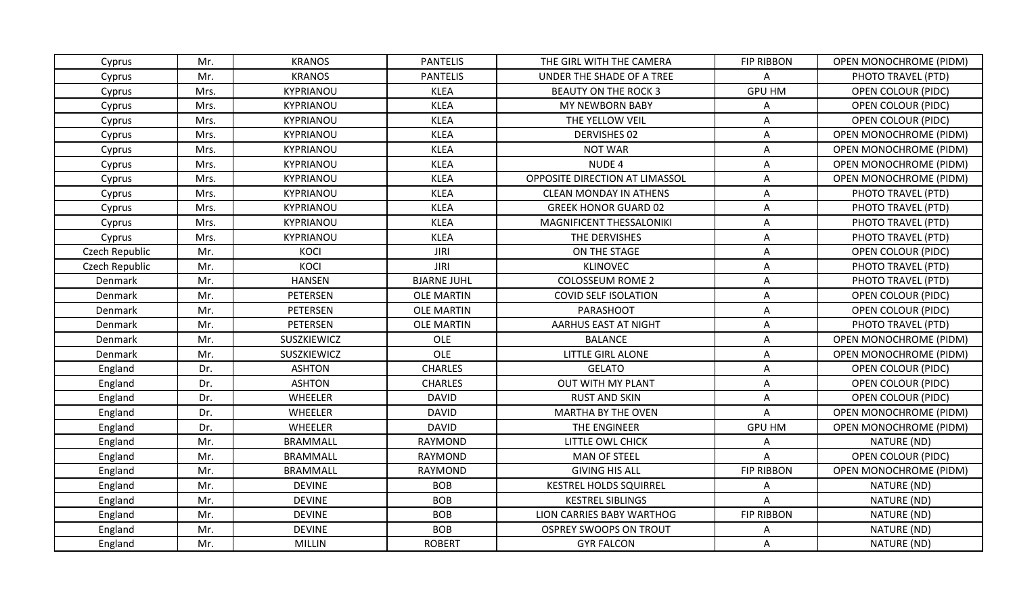| Cyprus         | Mr.  | <b>KRANOS</b>   | <b>PANTELIS</b>    | THE GIRL WITH THE CAMERA       | <b>FIP RIBBON</b>         | <b>OPEN MONOCHROME (PIDM)</b> |
|----------------|------|-----------------|--------------------|--------------------------------|---------------------------|-------------------------------|
| Cyprus         | Mr.  | <b>KRANOS</b>   | <b>PANTELIS</b>    | UNDER THE SHADE OF A TREE      | A                         | PHOTO TRAVEL (PTD)            |
| Cyprus         | Mrs. | KYPRIANOU       | <b>KLEA</b>        | <b>BEAUTY ON THE ROCK 3</b>    | <b>GPU HM</b>             | OPEN COLOUR (PIDC)            |
| Cyprus         | Mrs. | KYPRIANOU       | <b>KLEA</b>        | MY NEWBORN BABY                | Α                         | <b>OPEN COLOUR (PIDC)</b>     |
| Cyprus         | Mrs. | KYPRIANOU       | <b>KLEA</b>        | THE YELLOW VEIL                | A                         | OPEN COLOUR (PIDC)            |
| Cyprus         | Mrs. | KYPRIANOU       | <b>KLEA</b>        | <b>DERVISHES 02</b>            | A                         | <b>OPEN MONOCHROME (PIDM)</b> |
| Cyprus         | Mrs. | KYPRIANOU       | <b>KLEA</b>        | <b>NOT WAR</b>                 | $\boldsymbol{\mathsf{A}}$ | OPEN MONOCHROME (PIDM)        |
| Cyprus         | Mrs. | KYPRIANOU       | <b>KLEA</b>        | NUDE 4                         | A                         | <b>OPEN MONOCHROME (PIDM)</b> |
| Cyprus         | Mrs. | KYPRIANOU       | <b>KLEA</b>        | OPPOSITE DIRECTION AT LIMASSOL | Α                         | <b>OPEN MONOCHROME (PIDM)</b> |
| Cyprus         | Mrs. | KYPRIANOU       | <b>KLEA</b>        | <b>CLEAN MONDAY IN ATHENS</b>  | Α                         | PHOTO TRAVEL (PTD)            |
| Cyprus         | Mrs. | KYPRIANOU       | <b>KLEA</b>        | <b>GREEK HONOR GUARD 02</b>    | A                         | PHOTO TRAVEL (PTD)            |
| Cyprus         | Mrs. | KYPRIANOU       | <b>KLEA</b>        | MAGNIFICENT THESSALONIKI       | $\boldsymbol{\mathsf{A}}$ | PHOTO TRAVEL (PTD)            |
| Cyprus         | Mrs. | KYPRIANOU       | <b>KLEA</b>        | THE DERVISHES                  | A                         | PHOTO TRAVEL (PTD)            |
| Czech Republic | Mr.  | KOCI            | <b>JIRI</b>        | ON THE STAGE                   | Α                         | <b>OPEN COLOUR (PIDC)</b>     |
| Czech Republic | Mr.  | KOCI            | <b>JIRI</b>        | <b>KLINOVEC</b>                | A                         | PHOTO TRAVEL (PTD)            |
| Denmark        | Mr.  | <b>HANSEN</b>   | <b>BJARNE JUHL</b> | <b>COLOSSEUM ROME 2</b>        | Α                         | PHOTO TRAVEL (PTD)            |
| Denmark        | Mr.  | PETERSEN        | <b>OLE MARTIN</b>  | <b>COVID SELF ISOLATION</b>    | $\boldsymbol{\mathsf{A}}$ | OPEN COLOUR (PIDC)            |
| Denmark        | Mr.  | PETERSEN        | <b>OLE MARTIN</b>  | PARASHOOT                      | A                         | OPEN COLOUR (PIDC)            |
| Denmark        | Mr.  | PETERSEN        | <b>OLE MARTIN</b>  | AARHUS EAST AT NIGHT           | A                         | PHOTO TRAVEL (PTD)            |
| Denmark        | Mr.  | SUSZKIEWICZ     | <b>OLE</b>         | <b>BALANCE</b>                 | A                         | <b>OPEN MONOCHROME (PIDM)</b> |
| Denmark        | Mr.  | SUSZKIEWICZ     | OLE                | <b>LITTLE GIRL ALONE</b>       | A                         | <b>OPEN MONOCHROME (PIDM)</b> |
| England        | Dr.  | <b>ASHTON</b>   | <b>CHARLES</b>     | <b>GELATO</b>                  | A                         | <b>OPEN COLOUR (PIDC)</b>     |
| England        | Dr.  | <b>ASHTON</b>   | <b>CHARLES</b>     | <b>OUT WITH MY PLANT</b>       | A                         | <b>OPEN COLOUR (PIDC)</b>     |
| England        | Dr.  | <b>WHEELER</b>  | <b>DAVID</b>       | <b>RUST AND SKIN</b>           | A                         | OPEN COLOUR (PIDC)            |
| England        | Dr.  | WHEELER         | <b>DAVID</b>       | <b>MARTHA BY THE OVEN</b>      | A                         | OPEN MONOCHROME (PIDM)        |
| England        | Dr.  | WHEELER         | <b>DAVID</b>       | THE ENGINEER                   | <b>GPU HM</b>             | <b>OPEN MONOCHROME (PIDM)</b> |
| England        | Mr.  | <b>BRAMMALL</b> | RAYMOND            | LITTLE OWL CHICK               | Α                         | NATURE (ND)                   |
| England        | Mr.  | <b>BRAMMALL</b> | <b>RAYMOND</b>     | <b>MAN OF STEEL</b>            | Α                         | <b>OPEN COLOUR (PIDC)</b>     |
| England        | Mr.  | <b>BRAMMALL</b> | <b>RAYMOND</b>     | <b>GIVING HIS ALL</b>          | <b>FIP RIBBON</b>         | <b>OPEN MONOCHROME (PIDM)</b> |
| England        | Mr.  | <b>DEVINE</b>   | <b>BOB</b>         | <b>KESTREL HOLDS SQUIRREL</b>  | А                         | NATURE (ND)                   |
| England        | Mr.  | <b>DEVINE</b>   | <b>BOB</b>         | <b>KESTREL SIBLINGS</b>        | Α                         | NATURE (ND)                   |
| England        | Mr.  | <b>DEVINE</b>   | <b>BOB</b>         | LION CARRIES BABY WARTHOG      | <b>FIP RIBBON</b>         | NATURE (ND)                   |
| England        | Mr.  | <b>DEVINE</b>   | <b>BOB</b>         | <b>OSPREY SWOOPS ON TROUT</b>  | Α                         | NATURE (ND)                   |
| England        | Mr.  | <b>MILLIN</b>   | <b>ROBERT</b>      | <b>GYR FALCON</b>              | A                         | NATURE (ND)                   |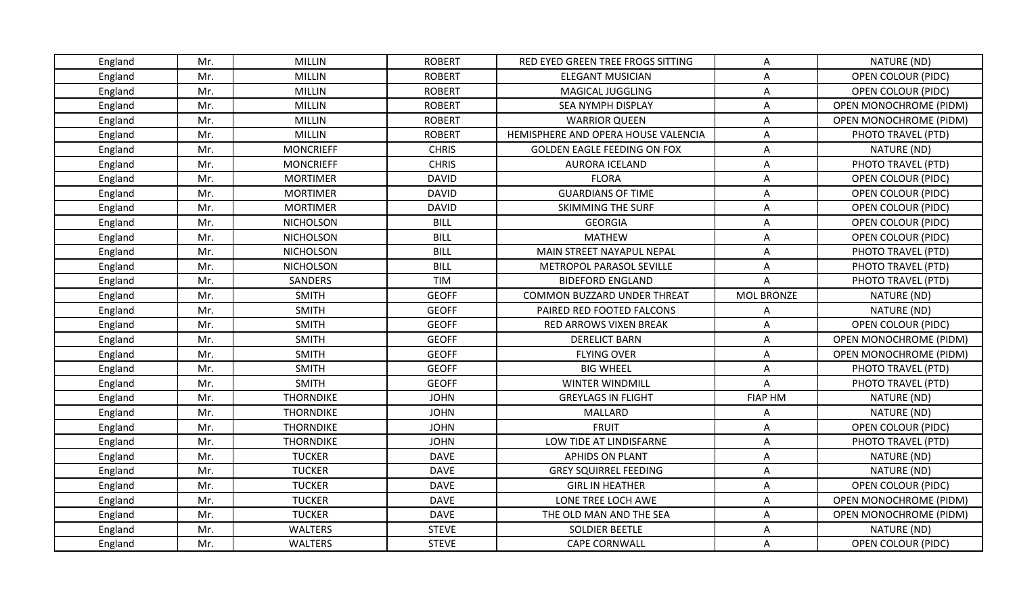| England | Mr. | <b>MILLIN</b>    | <b>ROBERT</b> | RED EYED GREEN TREE FROGS SITTING   | Α                 | NATURE (ND)                   |
|---------|-----|------------------|---------------|-------------------------------------|-------------------|-------------------------------|
| England | Mr. | <b>MILLIN</b>    | <b>ROBERT</b> | <b>ELEGANT MUSICIAN</b>             | A                 | <b>OPEN COLOUR (PIDC)</b>     |
| England | Mr. | MILLIN           | <b>ROBERT</b> | MAGICAL JUGGLING                    | A                 | <b>OPEN COLOUR (PIDC)</b>     |
| England | Mr. | MILLIN           | <b>ROBERT</b> | SEA NYMPH DISPLAY                   | A                 | <b>OPEN MONOCHROME (PIDM)</b> |
| England | Mr. | <b>MILLIN</b>    | <b>ROBERT</b> | <b>WARRIOR QUEEN</b>                | Α                 | <b>OPEN MONOCHROME (PIDM)</b> |
| England | Mr. | <b>MILLIN</b>    | <b>ROBERT</b> | HEMISPHERE AND OPERA HOUSE VALENCIA | A                 | PHOTO TRAVEL (PTD)            |
| England | Mr. | <b>MONCRIEFF</b> | <b>CHRIS</b>  | <b>GOLDEN EAGLE FEEDING ON FOX</b>  | A                 | NATURE (ND)                   |
| England | Mr. | <b>MONCRIEFF</b> | <b>CHRIS</b>  | AURORA ICELAND                      | Α                 | PHOTO TRAVEL (PTD)            |
| England | Mr. | <b>MORTIMER</b>  | <b>DAVID</b>  | <b>FLORA</b>                        | A                 | <b>OPEN COLOUR (PIDC)</b>     |
| England | Mr. | <b>MORTIMER</b>  | <b>DAVID</b>  | <b>GUARDIANS OF TIME</b>            | Α                 | <b>OPEN COLOUR (PIDC)</b>     |
| England | Mr. | <b>MORTIMER</b>  | <b>DAVID</b>  | <b>SKIMMING THE SURF</b>            | Α                 | <b>OPEN COLOUR (PIDC)</b>     |
| England | Mr. | <b>NICHOLSON</b> | <b>BILL</b>   | <b>GEORGIA</b>                      | A                 | <b>OPEN COLOUR (PIDC)</b>     |
| England | Mr. | <b>NICHOLSON</b> | <b>BILL</b>   | <b>MATHEW</b>                       | A                 | OPEN COLOUR (PIDC)            |
| England | Mr. | <b>NICHOLSON</b> | <b>BILL</b>   | MAIN STREET NAYAPUL NEPAL           | Α                 | PHOTO TRAVEL (PTD)            |
| England | Mr. | <b>NICHOLSON</b> | <b>BILL</b>   | METROPOL PARASOL SEVILLE            | A                 | PHOTO TRAVEL (PTD)            |
| England | Mr. | SANDERS          | <b>TIM</b>    | <b>BIDEFORD ENGLAND</b>             | А                 | PHOTO TRAVEL (PTD)            |
| England | Mr. | <b>SMITH</b>     | <b>GEOFF</b>  | <b>COMMON BUZZARD UNDER THREAT</b>  | <b>MOL BRONZE</b> | NATURE (ND)                   |
| England | Mr. | <b>SMITH</b>     | <b>GEOFF</b>  | PAIRED RED FOOTED FALCONS           | Α                 | NATURE (ND)                   |
| England | Mr. | <b>SMITH</b>     | <b>GEOFF</b>  | RED ARROWS VIXEN BREAK              | Α                 | OPEN COLOUR (PIDC)            |
| England | Mr. | <b>SMITH</b>     | <b>GEOFF</b>  | <b>DERELICT BARN</b>                | A                 | OPEN MONOCHROME (PIDM)        |
| England | Mr. | <b>SMITH</b>     | <b>GEOFF</b>  | <b>FLYING OVER</b>                  | Α                 | <b>OPEN MONOCHROME (PIDM)</b> |
| England | Mr. | <b>SMITH</b>     | <b>GEOFF</b>  | <b>BIG WHEEL</b>                    | A                 | PHOTO TRAVEL (PTD)            |
| England | Mr. | <b>SMITH</b>     | <b>GEOFF</b>  | WINTER WINDMILL                     | A                 | PHOTO TRAVEL (PTD)            |
| England | Mr. | <b>THORNDIKE</b> | <b>JOHN</b>   | <b>GREYLAGS IN FLIGHT</b>           | <b>FIAP HM</b>    | NATURE (ND)                   |
| England | Mr. | <b>THORNDIKE</b> | <b>JOHN</b>   | <b>MALLARD</b>                      | Α                 | NATURE (ND)                   |
| England | Mr. | <b>THORNDIKE</b> | <b>JOHN</b>   | <b>FRUIT</b>                        | A                 | <b>OPEN COLOUR (PIDC)</b>     |
| England | Mr. | <b>THORNDIKE</b> | <b>JOHN</b>   | LOW TIDE AT LINDISFARNE             | A                 | PHOTO TRAVEL (PTD)            |
| England | Mr. | <b>TUCKER</b>    | <b>DAVE</b>   | APHIDS ON PLANT                     | Α                 | NATURE (ND)                   |
| England | Mr. | <b>TUCKER</b>    | <b>DAVE</b>   | <b>GREY SQUIRREL FEEDING</b>        | Α                 | NATURE (ND)                   |
| England | Mr. | <b>TUCKER</b>    | <b>DAVE</b>   | <b>GIRL IN HEATHER</b>              | A                 | <b>OPEN COLOUR (PIDC)</b>     |
| England | Mr. | <b>TUCKER</b>    | <b>DAVE</b>   | LONE TREE LOCH AWE                  | Α                 | <b>OPEN MONOCHROME (PIDM)</b> |
| England | Mr. | <b>TUCKER</b>    | <b>DAVE</b>   | THE OLD MAN AND THE SEA             | Α                 | <b>OPEN MONOCHROME (PIDM)</b> |
| England | Mr. | WALTERS          | <b>STEVE</b>  | <b>SOLDIER BEETLE</b>               | A                 | NATURE (ND)                   |
| England | Mr. | <b>WALTERS</b>   | <b>STEVE</b>  | <b>CAPE CORNWALL</b>                | $\mathsf{A}$      | OPEN COLOUR (PIDC)            |
|         |     |                  |               |                                     |                   |                               |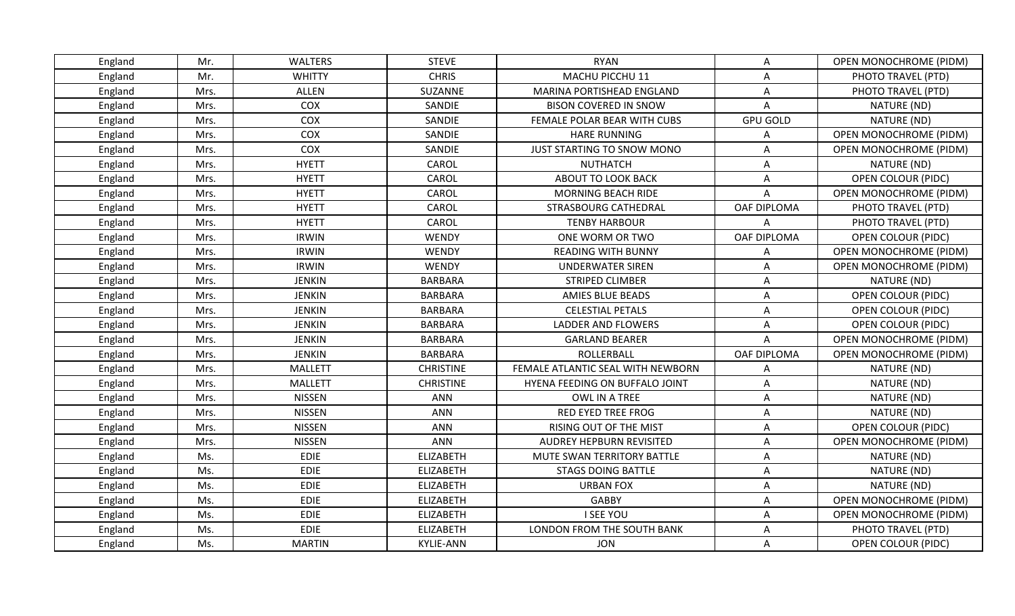| England | Mr.  | <b>WALTERS</b> | <b>STEVE</b>     | <b>RYAN</b>                       | A                         | <b>OPEN MONOCHROME (PIDM)</b> |
|---------|------|----------------|------------------|-----------------------------------|---------------------------|-------------------------------|
| England | Mr.  | <b>WHITTY</b>  | <b>CHRIS</b>     | MACHU PICCHU 11                   | $\boldsymbol{\mathsf{A}}$ | PHOTO TRAVEL (PTD)            |
| England | Mrs. | <b>ALLEN</b>   | SUZANNE          | MARINA PORTISHEAD ENGLAND         | Α                         | PHOTO TRAVEL (PTD)            |
| England | Mrs. | COX            | SANDIE           | <b>BISON COVERED IN SNOW</b>      | A                         | NATURE (ND)                   |
| England | Mrs. | COX            | SANDIE           | FEMALE POLAR BEAR WITH CUBS       | <b>GPU GOLD</b>           | NATURE (ND)                   |
| England | Mrs. | COX            | SANDIE           | <b>HARE RUNNING</b>               | Α                         | <b>OPEN MONOCHROME (PIDM)</b> |
| England | Mrs. | COX            | SANDIE           | JUST STARTING TO SNOW MONO        | A                         | OPEN MONOCHROME (PIDM)        |
| England | Mrs. | <b>HYETT</b>   | CAROL            | <b>NUTHATCH</b>                   | A                         | NATURE (ND)                   |
| England | Mrs. | <b>HYETT</b>   | CAROL            | ABOUT TO LOOK BACK                | Α                         | <b>OPEN COLOUR (PIDC)</b>     |
| England | Mrs. | <b>HYETT</b>   | CAROL            | <b>MORNING BEACH RIDE</b>         | A                         | <b>OPEN MONOCHROME (PIDM)</b> |
| England | Mrs. | <b>HYETT</b>   | CAROL            | STRASBOURG CATHEDRAL              | OAF DIPLOMA               | PHOTO TRAVEL (PTD)            |
| England | Mrs. | <b>HYETT</b>   | CAROL            | <b>TENBY HARBOUR</b>              | A                         | PHOTO TRAVEL (PTD)            |
| England | Mrs. | <b>IRWIN</b>   | <b>WENDY</b>     | ONE WORM OR TWO                   | OAF DIPLOMA               | <b>OPEN COLOUR (PIDC)</b>     |
| England | Mrs. | <b>IRWIN</b>   | <b>WENDY</b>     | <b>READING WITH BUNNY</b>         | Α                         | <b>OPEN MONOCHROME (PIDM)</b> |
| England | Mrs. | <b>IRWIN</b>   | <b>WENDY</b>     | <b>UNDERWATER SIREN</b>           | Α                         | <b>OPEN MONOCHROME (PIDM)</b> |
| England | Mrs. | <b>JENKIN</b>  | <b>BARBARA</b>   | STRIPED CLIMBER                   | A                         | NATURE (ND)                   |
| England | Mrs. | <b>JENKIN</b>  | <b>BARBARA</b>   | AMIES BLUE BEADS                  | $\boldsymbol{\mathsf{A}}$ | <b>OPEN COLOUR (PIDC)</b>     |
| England | Mrs. | <b>JENKIN</b>  | <b>BARBARA</b>   | <b>CELESTIAL PETALS</b>           | A                         | OPEN COLOUR (PIDC)            |
| England | Mrs. | <b>JENKIN</b>  | <b>BARBARA</b>   | LADDER AND FLOWERS                | A                         | <b>OPEN COLOUR (PIDC)</b>     |
| England | Mrs. | <b>JENKIN</b>  | <b>BARBARA</b>   | <b>GARLAND BEARER</b>             | A                         | OPEN MONOCHROME (PIDM)        |
| England | Mrs. | <b>JENKIN</b>  | <b>BARBARA</b>   | ROLLERBALL                        | OAF DIPLOMA               | <b>OPEN MONOCHROME (PIDM)</b> |
| England | Mrs. | <b>MALLETT</b> | <b>CHRISTINE</b> | FEMALE ATLANTIC SEAL WITH NEWBORN | A                         | NATURE (ND)                   |
| England | Mrs. | <b>MALLETT</b> | <b>CHRISTINE</b> | HYENA FEEDING ON BUFFALO JOINT    | Α                         | NATURE (ND)                   |
| England | Mrs. | <b>NISSEN</b>  | <b>ANN</b>       | OWL IN A TREE                     | A                         | NATURE (ND)                   |
| England | Mrs. | <b>NISSEN</b>  | ANN              | <b>RED EYED TREE FROG</b>         | Α                         | NATURE (ND)                   |
| England | Mrs. | <b>NISSEN</b>  | ANN              | RISING OUT OF THE MIST            | Α                         | <b>OPEN COLOUR (PIDC)</b>     |
| England | Mrs. | <b>NISSEN</b>  | ANN              | AUDREY HEPBURN REVISITED          | Α                         | OPEN MONOCHROME (PIDM)        |
| England | Ms.  | <b>EDIE</b>    | <b>ELIZABETH</b> | MUTE SWAN TERRITORY BATTLE        | Α                         | NATURE (ND)                   |
| England | Ms.  | <b>EDIE</b>    | <b>ELIZABETH</b> | <b>STAGS DOING BATTLE</b>         | A                         | NATURE (ND)                   |
| England | Ms.  | <b>EDIE</b>    | <b>ELIZABETH</b> | <b>URBAN FOX</b>                  | A                         | NATURE (ND)                   |
| England | Ms.  | <b>EDIE</b>    | <b>ELIZABETH</b> | <b>GABBY</b>                      | Α                         | OPEN MONOCHROME (PIDM)        |
| England | Ms.  | <b>EDIE</b>    | <b>ELIZABETH</b> | <b>I SEE YOU</b>                  | A                         | OPEN MONOCHROME (PIDM)        |
| England | Ms.  | <b>EDIE</b>    | <b>ELIZABETH</b> | LONDON FROM THE SOUTH BANK        | A                         | PHOTO TRAVEL (PTD)            |
| England | Ms.  | <b>MARTIN</b>  | <b>KYLIE-ANN</b> | <b>JON</b>                        | A                         | OPEN COLOUR (PIDC)            |
|         |      |                |                  |                                   |                           |                               |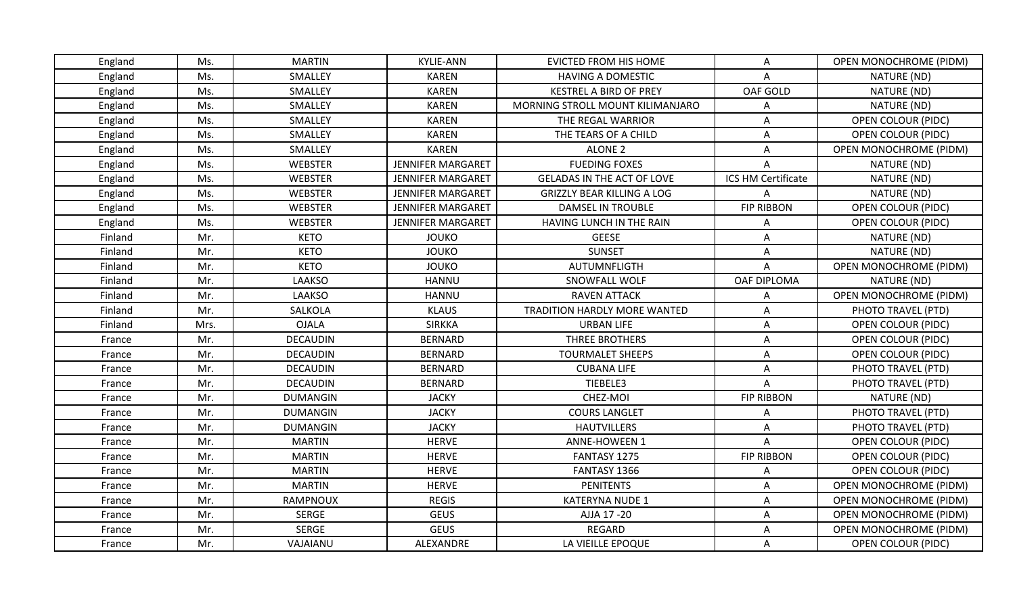| England | Ms.  | <b>MARTIN</b>   | <b>KYLIE-ANN</b>         | <b>EVICTED FROM HIS HOME</b>      | $\mathsf{A}$       | <b>OPEN MONOCHROME (PIDM)</b> |
|---------|------|-----------------|--------------------------|-----------------------------------|--------------------|-------------------------------|
| England | Ms.  | SMALLEY         | <b>KAREN</b>             | <b>HAVING A DOMESTIC</b>          | A                  | NATURE (ND)                   |
| England | Ms.  | SMALLEY         | <b>KAREN</b>             | <b>KESTREL A BIRD OF PREY</b>     | OAF GOLD           | NATURE (ND)                   |
| England | Ms.  | SMALLEY         | <b>KAREN</b>             | MORNING STROLL MOUNT KILIMANJARO  | A                  | NATURE (ND)                   |
| England | Ms.  | SMALLEY         | <b>KAREN</b>             | THE REGAL WARRIOR                 | Α                  | OPEN COLOUR (PIDC)            |
| England | Ms.  | SMALLEY         | <b>KAREN</b>             | THE TEARS OF A CHILD              | Α                  | <b>OPEN COLOUR (PIDC)</b>     |
| England | Ms.  | SMALLEY         | <b>KAREN</b>             | <b>ALONE 2</b>                    | A                  | OPEN MONOCHROME (PIDM)        |
| England | Ms.  | <b>WEBSTER</b>  | <b>JENNIFER MARGARET</b> | <b>FUEDING FOXES</b>              | Α                  | NATURE (ND)                   |
| England | Ms.  | <b>WEBSTER</b>  | <b>JENNIFER MARGARET</b> | <b>GELADAS IN THE ACT OF LOVE</b> | ICS HM Certificate | NATURE (ND)                   |
| England | Ms.  | WEBSTER         | <b>JENNIFER MARGARET</b> | <b>GRIZZLY BEAR KILLING A LOG</b> | Α                  | NATURE (ND)                   |
| England | Ms.  | <b>WEBSTER</b>  | <b>JENNIFER MARGARET</b> | <b>DAMSEL IN TROUBLE</b>          | <b>FIP RIBBON</b>  | <b>OPEN COLOUR (PIDC)</b>     |
| England | Ms.  | <b>WEBSTER</b>  | <b>JENNIFER MARGARET</b> | HAVING LUNCH IN THE RAIN          | Α                  | <b>OPEN COLOUR (PIDC)</b>     |
| Finland | Mr.  | <b>KETO</b>     | <b>JOUKO</b>             | <b>GEESE</b>                      | A                  | NATURE (ND)                   |
| Finland | Mr.  | <b>KETO</b>     | <b>JOUKO</b>             | <b>SUNSET</b>                     | A                  | NATURE (ND)                   |
| Finland | Mr.  | <b>KETO</b>     | <b>JOUKO</b>             | AUTUMNFLIGTH                      | A                  | OPEN MONOCHROME (PIDM)        |
| Finland | Mr.  | <b>LAAKSO</b>   | <b>HANNU</b>             | SNOWFALL WOLF                     | OAF DIPLOMA        | NATURE (ND)                   |
| Finland | Mr.  | LAAKSO          | <b>HANNU</b>             | <b>RAVEN ATTACK</b>               | Α                  | OPEN MONOCHROME (PIDM)        |
| Finland | Mr.  | SALKOLA         | <b>KLAUS</b>             | TRADITION HARDLY MORE WANTED      | A                  | PHOTO TRAVEL (PTD)            |
| Finland | Mrs. | <b>OJALA</b>    | <b>SIRKKA</b>            | <b>URBAN LIFE</b>                 | A                  | <b>OPEN COLOUR (PIDC)</b>     |
| France  | Mr.  | <b>DECAUDIN</b> | <b>BERNARD</b>           | THREE BROTHERS                    | Α                  | <b>OPEN COLOUR (PIDC)</b>     |
| France  | Mr.  | <b>DECAUDIN</b> | <b>BERNARD</b>           | <b>TOURMALET SHEEPS</b>           | Α                  | <b>OPEN COLOUR (PIDC)</b>     |
| France  | Mr.  | <b>DECAUDIN</b> | <b>BERNARD</b>           | <b>CUBANA LIFE</b>                | A                  | PHOTO TRAVEL (PTD)            |
| France  | Mr.  | <b>DECAUDIN</b> | <b>BERNARD</b>           | TIEBELE3                          | A                  | PHOTO TRAVEL (PTD)            |
| France  | Mr.  | <b>DUMANGIN</b> | <b>JACKY</b>             | CHEZ-MOI                          | <b>FIP RIBBON</b>  | NATURE (ND)                   |
| France  | Mr.  | <b>DUMANGIN</b> | <b>JACKY</b>             | <b>COURS LANGLET</b>              | Α                  | PHOTO TRAVEL (PTD)            |
| France  | Mr.  | <b>DUMANGIN</b> | <b>JACKY</b>             | <b>HAUTVILLERS</b>                | Α                  | PHOTO TRAVEL (PTD)            |
| France  | Mr.  | <b>MARTIN</b>   | <b>HERVE</b>             | <b>ANNE-HOWEEN 1</b>              | A                  | <b>OPEN COLOUR (PIDC)</b>     |
| France  | Mr.  | <b>MARTIN</b>   | <b>HERVE</b>             | FANTASY 1275                      | <b>FIP RIBBON</b>  | OPEN COLOUR (PIDC)            |
| France  | Mr.  | <b>MARTIN</b>   | <b>HERVE</b>             | FANTASY 1366                      | A                  | <b>OPEN COLOUR (PIDC)</b>     |
| France  | Mr.  | <b>MARTIN</b>   | <b>HERVE</b>             | <b>PENITENTS</b>                  | A                  | <b>OPEN MONOCHROME (PIDM)</b> |
| France  | Mr.  | RAMPNOUX        | <b>REGIS</b>             | <b>KATERYNA NUDE 1</b>            | A                  | <b>OPEN MONOCHROME (PIDM)</b> |
| France  | Mr.  | <b>SERGE</b>    | <b>GEUS</b>              | AJJA 17-20                        | A                  | <b>OPEN MONOCHROME (PIDM)</b> |
| France  | Mr.  | <b>SERGE</b>    | <b>GEUS</b>              | REGARD                            | A                  | OPEN MONOCHROME (PIDM)        |
| France  | Mr.  | VAJAIANU        | ALEXANDRE                | LA VIEILLE EPOQUE                 | $\mathsf{A}$       | OPEN COLOUR (PIDC)            |
|         |      |                 |                          |                                   |                    |                               |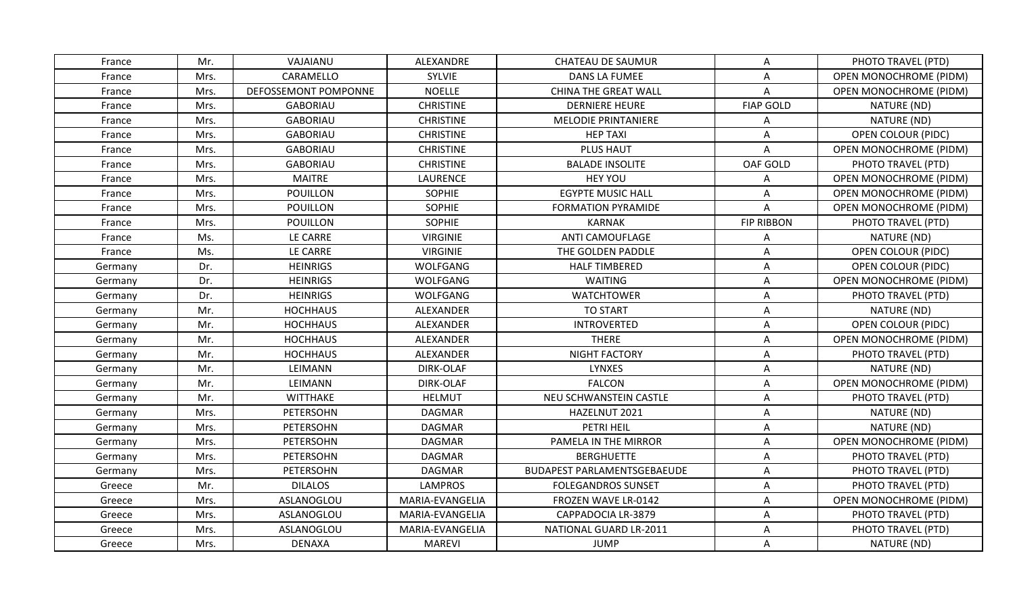| France  | Mr.  | VAJAIANU             | ALEXANDRE        | <b>CHATEAU DE SAUMUR</b>           | A                 | PHOTO TRAVEL (PTD)            |
|---------|------|----------------------|------------------|------------------------------------|-------------------|-------------------------------|
| France  | Mrs. | CARAMELLO            | <b>SYLVIE</b>    | <b>DANS LA FUMEE</b>               | A                 | OPEN MONOCHROME (PIDM)        |
| France  | Mrs. | DEFOSSEMONT POMPONNE | <b>NOELLE</b>    | <b>CHINA THE GREAT WALL</b>        | A                 | OPEN MONOCHROME (PIDM)        |
| France  | Mrs. | <b>GABORIAU</b>      | <b>CHRISTINE</b> | <b>DERNIERE HEURE</b>              | <b>FIAP GOLD</b>  | NATURE (ND)                   |
| France  | Mrs. | <b>GABORIAU</b>      | <b>CHRISTINE</b> | <b>MELODIE PRINTANIERE</b>         | Α                 | NATURE (ND)                   |
| France  | Mrs. | <b>GABORIAU</b>      | <b>CHRISTINE</b> | <b>HEP TAXI</b>                    | A                 | <b>OPEN COLOUR (PIDC)</b>     |
| France  | Mrs. | <b>GABORIAU</b>      | <b>CHRISTINE</b> | <b>PLUS HAUT</b>                   | Α                 | <b>OPEN MONOCHROME (PIDM)</b> |
| France  | Mrs. | <b>GABORIAU</b>      | <b>CHRISTINE</b> | <b>BALADE INSOLITE</b>             | OAF GOLD          | PHOTO TRAVEL (PTD)            |
| France  | Mrs. | <b>MAITRE</b>        | <b>LAURENCE</b>  | <b>HEY YOU</b>                     | Α                 | <b>OPEN MONOCHROME (PIDM)</b> |
| France  | Mrs. | POUILLON             | <b>SOPHIE</b>    | <b>EGYPTE MUSIC HALL</b>           | A                 | <b>OPEN MONOCHROME (PIDM)</b> |
| France  | Mrs. | POUILLON             | <b>SOPHIE</b>    | <b>FORMATION PYRAMIDE</b>          | A                 | <b>OPEN MONOCHROME (PIDM)</b> |
| France  | Mrs. | POUILLON             | SOPHIE           | <b>KARNAK</b>                      | <b>FIP RIBBON</b> | PHOTO TRAVEL (PTD)            |
| France  | Ms.  | LE CARRE             | <b>VIRGINIE</b>  | <b>ANTI CAMOUFLAGE</b>             | Α                 | NATURE (ND)                   |
| France  | Ms.  | LE CARRE             | <b>VIRGINIE</b>  | THE GOLDEN PADDLE                  | A                 | <b>OPEN COLOUR (PIDC)</b>     |
| Germany | Dr.  | <b>HEINRIGS</b>      | WOLFGANG         | <b>HALF TIMBERED</b>               | A                 | <b>OPEN COLOUR (PIDC)</b>     |
| Germany | Dr.  | <b>HEINRIGS</b>      | <b>WOLFGANG</b>  | <b>WAITING</b>                     | Α                 | OPEN MONOCHROME (PIDM)        |
| Germany | Dr.  | <b>HEINRIGS</b>      | WOLFGANG         | <b>WATCHTOWER</b>                  | A                 | PHOTO TRAVEL (PTD)            |
| Germany | Mr.  | <b>HOCHHAUS</b>      | ALEXANDER        | <b>TO START</b>                    | A                 | NATURE (ND)                   |
| Germany | Mr.  | <b>HOCHHAUS</b>      | ALEXANDER        | <b>INTROVERTED</b>                 | Α                 | OPEN COLOUR (PIDC)            |
| Germany | Mr.  | <b>HOCHHAUS</b>      | ALEXANDER        | <b>THERE</b>                       | A                 | <b>OPEN MONOCHROME (PIDM)</b> |
| Germany | Mr.  | <b>HOCHHAUS</b>      | ALEXANDER        | <b>NIGHT FACTORY</b>               | Α                 | PHOTO TRAVEL (PTD)            |
| Germany | Mr.  | LEIMANN              | DIRK-OLAF        | <b>LYNXES</b>                      | A                 | NATURE (ND)                   |
| Germany | Mr.  | LEIMANN              | <b>DIRK-OLAF</b> | <b>FALCON</b>                      | Α                 | OPEN MONOCHROME (PIDM)        |
| Germany | Mr.  | WITTHAKE             | <b>HELMUT</b>    | NEU SCHWANSTEIN CASTLE             | Α                 | PHOTO TRAVEL (PTD)            |
| Germany | Mrs. | PETERSOHN            | <b>DAGMAR</b>    | HAZELNUT 2021                      | A                 | NATURE (ND)                   |
| Germany | Mrs. | PETERSOHN            | DAGMAR           | PETRI HEIL                         | Α                 | NATURE (ND)                   |
| Germany | Mrs. | PETERSOHN            | <b>DAGMAR</b>    | PAMELA IN THE MIRROR               | A                 | <b>OPEN MONOCHROME (PIDM)</b> |
| Germany | Mrs. | PETERSOHN            | <b>DAGMAR</b>    | <b>BERGHUETTE</b>                  | A                 | PHOTO TRAVEL (PTD)            |
| Germany | Mrs. | PETERSOHN            | <b>DAGMAR</b>    | <b>BUDAPEST PARLAMENTSGEBAEUDE</b> | Α                 | PHOTO TRAVEL (PTD)            |
| Greece  | Mr.  | <b>DILALOS</b>       | <b>LAMPROS</b>   | <b>FOLEGANDROS SUNSET</b>          | A                 | PHOTO TRAVEL (PTD)            |
| Greece  | Mrs. | ASLANOGLOU           | MARIA-EVANGELIA  | FROZEN WAVE LR-0142                | Α                 | <b>OPEN MONOCHROME (PIDM)</b> |
| Greece  | Mrs. | ASLANOGLOU           | MARIA-EVANGELIA  | CAPPADOCIA LR-3879                 | A                 | PHOTO TRAVEL (PTD)            |
| Greece  | Mrs. | ASLANOGLOU           | MARIA-EVANGELIA  | NATIONAL GUARD LR-2011             | A                 | PHOTO TRAVEL (PTD)            |
| Greece  | Mrs. | <b>DENAXA</b>        | <b>MAREVI</b>    | JUMP                               | A                 | NATURE (ND)                   |
|         |      |                      |                  |                                    |                   |                               |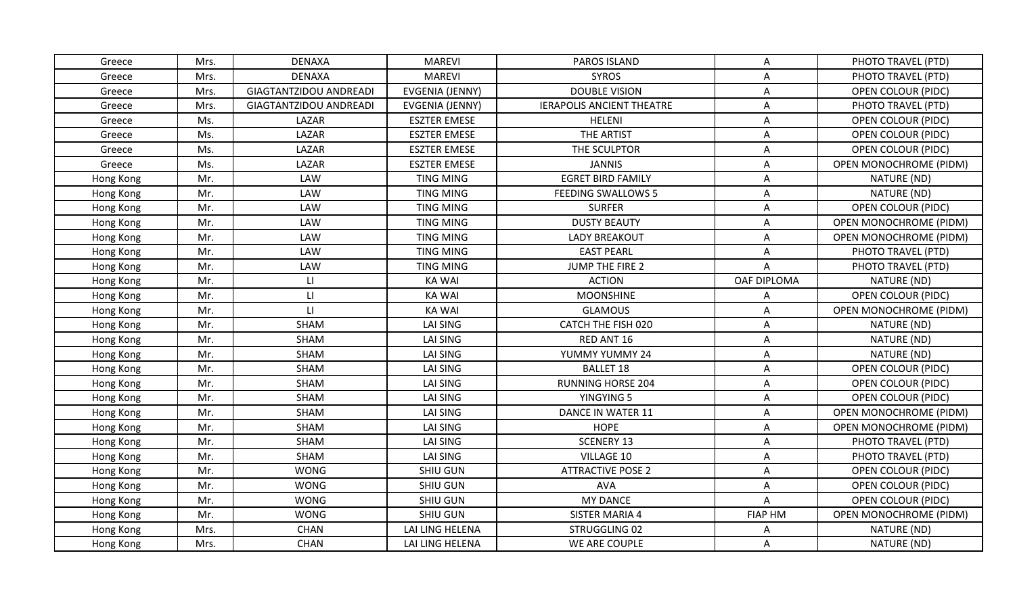| Greece    | Mrs. | <b>DENAXA</b>                 | <b>MAREVI</b>          | PAROS ISLAND                     | A                         | PHOTO TRAVEL (PTD)            |
|-----------|------|-------------------------------|------------------------|----------------------------------|---------------------------|-------------------------------|
| Greece    | Mrs. | <b>DENAXA</b>                 | <b>MAREVI</b>          | <b>SYROS</b>                     | Α                         | PHOTO TRAVEL (PTD)            |
| Greece    | Mrs. | <b>GIAGTANTZIDOU ANDREADI</b> | <b>EVGENIA (JENNY)</b> | <b>DOUBLE VISION</b>             | A                         | <b>OPEN COLOUR (PIDC)</b>     |
| Greece    | Mrs. | GIAGTANTZIDOU ANDREADI        | EVGENIA (JENNY)        | <b>IERAPOLIS ANCIENT THEATRE</b> | A                         | PHOTO TRAVEL (PTD)            |
| Greece    | Ms.  | LAZAR                         | <b>ESZTER EMESE</b>    | HELENI                           | Α                         | <b>OPEN COLOUR (PIDC)</b>     |
| Greece    | Ms.  | LAZAR                         | <b>ESZTER EMESE</b>    | THE ARTIST                       | Α                         | <b>OPEN COLOUR (PIDC)</b>     |
| Greece    | Ms.  | LAZAR                         | <b>ESZTER EMESE</b>    | THE SCULPTOR                     | A                         | <b>OPEN COLOUR (PIDC)</b>     |
| Greece    | Ms.  | LAZAR                         | <b>ESZTER EMESE</b>    | <b>JANNIS</b>                    | A                         | OPEN MONOCHROME (PIDM)        |
| Hong Kong | Mr.  | LAW                           | TING MING              | <b>EGRET BIRD FAMILY</b>         | Α                         | NATURE (ND)                   |
| Hong Kong | Mr.  | LAW                           | <b>TING MING</b>       | <b>FEEDING SWALLOWS 5</b>        | A                         | NATURE (ND)                   |
| Hong Kong | Mr.  | LAW                           | <b>TING MING</b>       | <b>SURFER</b>                    | A                         | <b>OPEN COLOUR (PIDC)</b>     |
| Hong Kong | Mr.  | LAW                           | TING MING              | <b>DUSTY BEAUTY</b>              | Α                         | <b>OPEN MONOCHROME (PIDM)</b> |
| Hong Kong | Mr.  | LAW                           | <b>TING MING</b>       | <b>LADY BREAKOUT</b>             | A                         | OPEN MONOCHROME (PIDM)        |
| Hong Kong | Mr.  | LAW                           | <b>TING MING</b>       | <b>EAST PEARL</b>                | A                         | PHOTO TRAVEL (PTD)            |
| Hong Kong | Mr.  | LAW                           | <b>TING MING</b>       | JUMP THE FIRE 2                  | A                         | PHOTO TRAVEL (PTD)            |
| Hong Kong | Mr.  | LI.                           | <b>KA WAI</b>          | <b>ACTION</b>                    | OAF DIPLOMA               | NATURE (ND)                   |
| Hong Kong | Mr.  | $\mathsf{L}\mathsf{L}$        | <b>KA WAI</b>          | <b>MOONSHINE</b>                 | Α                         | <b>OPEN COLOUR (PIDC)</b>     |
| Hong Kong | Mr.  | $\mathsf{L}$                  | <b>KA WAI</b>          | <b>GLAMOUS</b>                   | A                         | OPEN MONOCHROME (PIDM)        |
| Hong Kong | Mr.  | SHAM                          | LAI SING               | CATCH THE FISH 020               | A                         | NATURE (ND)                   |
| Hong Kong | Mr.  | <b>SHAM</b>                   | <b>LAI SING</b>        | RED ANT 16                       | A                         | NATURE (ND)                   |
| Hong Kong | Mr.  | <b>SHAM</b>                   | LAI SING               | YUMMY YUMMY 24                   | Α                         | NATURE (ND)                   |
| Hong Kong | Mr.  | SHAM                          | LAI SING               | <b>BALLET 18</b>                 | A                         | <b>OPEN COLOUR (PIDC)</b>     |
| Hong Kong | Mr.  | <b>SHAM</b>                   | <b>LAI SING</b>        | <b>RUNNING HORSE 204</b>         | Α                         | <b>OPEN COLOUR (PIDC)</b>     |
| Hong Kong | Mr.  | SHAM                          | LAI SING               | YINGYING 5                       | A                         | <b>OPEN COLOUR (PIDC)</b>     |
| Hong Kong | Mr.  | <b>SHAM</b>                   | LAI SING               | DANCE IN WATER 11                | A                         | OPEN MONOCHROME (PIDM)        |
| Hong Kong | Mr.  | SHAM                          | LAI SING               | <b>HOPE</b>                      | A                         | <b>OPEN MONOCHROME (PIDM)</b> |
| Hong Kong | Mr.  | <b>SHAM</b>                   | <b>LAI SING</b>        | <b>SCENERY 13</b>                | Α                         | PHOTO TRAVEL (PTD)            |
| Hong Kong | Mr.  | SHAM                          | LAI SING               | VILLAGE 10                       | Α                         | PHOTO TRAVEL (PTD)            |
| Hong Kong | Mr.  | <b>WONG</b>                   | SHIU GUN               | <b>ATTRACTIVE POSE 2</b>         | Α                         | <b>OPEN COLOUR (PIDC)</b>     |
| Hong Kong | Mr.  | <b>WONG</b>                   | SHIU GUN               | <b>AVA</b>                       | $\boldsymbol{\mathsf{A}}$ | <b>OPEN COLOUR (PIDC)</b>     |
| Hong Kong | Mr.  | <b>WONG</b>                   | SHIU GUN               | <b>MY DANCE</b>                  | A                         | <b>OPEN COLOUR (PIDC)</b>     |
| Hong Kong | Mr.  | <b>WONG</b>                   | SHIU GUN               | <b>SISTER MARIA 4</b>            | <b>FIAP HM</b>            | <b>OPEN MONOCHROME (PIDM)</b> |
| Hong Kong | Mrs. | <b>CHAN</b>                   | LAI LING HELENA        | STRUGGLING 02                    | Α                         | NATURE (ND)                   |
| Hong Kong | Mrs. | <b>CHAN</b>                   | LAI LING HELENA        | WE ARE COUPLE                    | A                         | NATURE (ND)                   |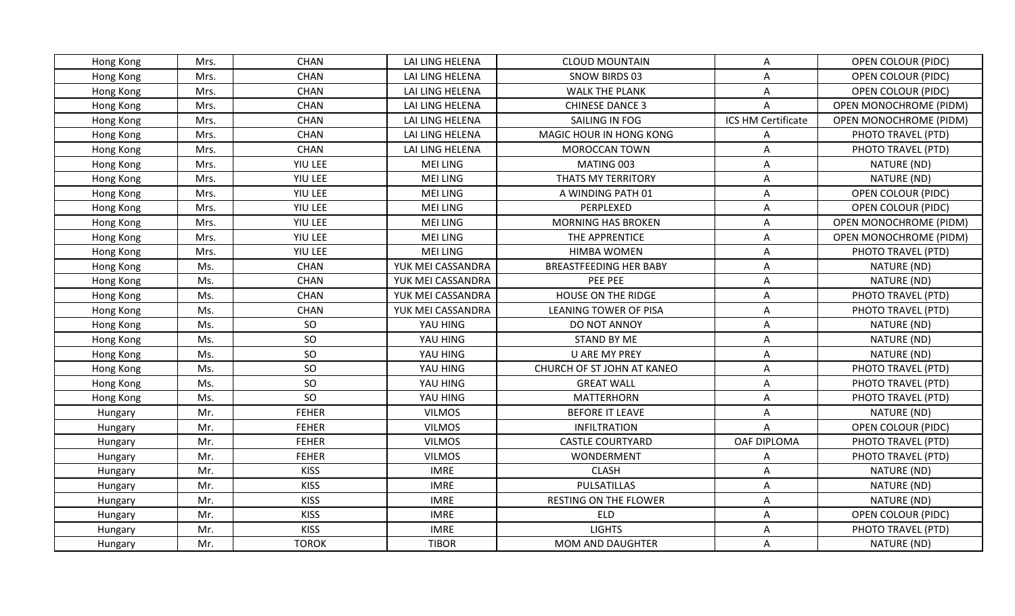| Hong Kong | Mrs. | <b>CHAN</b>  | LAI LING HELENA   | <b>CLOUD MOUNTAIN</b>        | A                  | OPEN COLOUR (PIDC)            |
|-----------|------|--------------|-------------------|------------------------------|--------------------|-------------------------------|
| Hong Kong | Mrs. | <b>CHAN</b>  | LAI LING HELENA   | SNOW BIRDS 03                | A                  | <b>OPEN COLOUR (PIDC)</b>     |
| Hong Kong | Mrs. | <b>CHAN</b>  | LAI LING HELENA   | <b>WALK THE PLANK</b>        | A                  | <b>OPEN COLOUR (PIDC)</b>     |
| Hong Kong | Mrs. | <b>CHAN</b>  | LAI LING HELENA   | <b>CHINESE DANCE 3</b>       | $\mathsf{A}$       | OPEN MONOCHROME (PIDM)        |
| Hong Kong | Mrs. | <b>CHAN</b>  | LAI LING HELENA   | SAILING IN FOG               | ICS HM Certificate | <b>OPEN MONOCHROME (PIDM)</b> |
| Hong Kong | Mrs. | <b>CHAN</b>  | LAI LING HELENA   | MAGIC HOUR IN HONG KONG      | Α                  | PHOTO TRAVEL (PTD)            |
| Hong Kong | Mrs. | <b>CHAN</b>  | LAI LING HELENA   | <b>MOROCCAN TOWN</b>         | A                  | PHOTO TRAVEL (PTD)            |
| Hong Kong | Mrs. | YIU LEE      | <b>MEI LING</b>   | MATING 003                   | A                  | NATURE (ND)                   |
| Hong Kong | Mrs. | YIU LEE      | <b>MEI LING</b>   | <b>THATS MY TERRITORY</b>    | A                  | NATURE (ND)                   |
| Hong Kong | Mrs. | YIU LEE      | <b>MEI LING</b>   | A WINDING PATH 01            | A                  | OPEN COLOUR (PIDC)            |
| Hong Kong | Mrs. | YIU LEE      | <b>MEI LING</b>   | PERPLEXED                    | $\mathsf{A}$       | <b>OPEN COLOUR (PIDC)</b>     |
| Hong Kong | Mrs. | YIU LEE      | <b>MEI LING</b>   | MORNING HAS BROKEN           | A                  | OPEN MONOCHROME (PIDM)        |
| Hong Kong | Mrs. | YIU LEE      | <b>MEI LING</b>   | THE APPRENTICE               | A                  | OPEN MONOCHROME (PIDM)        |
| Hong Kong | Mrs. | YIU LEE      | <b>MEI LING</b>   | <b>HIMBA WOMEN</b>           | A                  | PHOTO TRAVEL (PTD)            |
| Hong Kong | Ms.  | <b>CHAN</b>  | YUK MEI CASSANDRA | BREASTFEEDING HER BABY       | Α                  | NATURE (ND)                   |
| Hong Kong | Ms.  | <b>CHAN</b>  | YUK MEI CASSANDRA | PEE PEE                      | $\mathsf{A}$       | NATURE (ND)                   |
| Hong Kong | Ms.  | <b>CHAN</b>  | YUK MEI CASSANDRA | HOUSE ON THE RIDGE           | Α                  | PHOTO TRAVEL (PTD)            |
| Hong Kong | Ms.  | <b>CHAN</b>  | YUK MEI CASSANDRA | LEANING TOWER OF PISA        | $\mathsf A$        | PHOTO TRAVEL (PTD)            |
| Hong Kong | Ms.  | SO           | YAU HING          | DO NOT ANNOY                 | A                  | NATURE (ND)                   |
| Hong Kong | Ms.  | SO           | YAU HING          | <b>STAND BY ME</b>           | A                  | NATURE (ND)                   |
| Hong Kong | Ms.  | SO           | YAU HING          | U ARE MY PREY                | $\mathsf{A}$       | NATURE (ND)                   |
| Hong Kong | Ms.  | SO           | YAU HING          | CHURCH OF ST JOHN AT KANEO   | A                  | PHOTO TRAVEL (PTD)            |
| Hong Kong | Ms.  | SO           | YAU HING          | <b>GREAT WALL</b>            | Α                  | PHOTO TRAVEL (PTD)            |
| Hong Kong | Ms.  | SO           | YAU HING          | <b>MATTERHORN</b>            | A                  | PHOTO TRAVEL (PTD)            |
| Hungary   | Mr.  | <b>FEHER</b> | <b>VILMOS</b>     | <b>BEFORE IT LEAVE</b>       | $\mathsf{A}$       | NATURE (ND)                   |
| Hungary   | Mr.  | <b>FEHER</b> | <b>VILMOS</b>     | <b>INFILTRATION</b>          | A                  | OPEN COLOUR (PIDC)            |
| Hungary   | Mr.  | <b>FEHER</b> | <b>VILMOS</b>     | <b>CASTLE COURTYARD</b>      | OAF DIPLOMA        | PHOTO TRAVEL (PTD)            |
| Hungary   | Mr.  | <b>FEHER</b> | <b>VILMOS</b>     | WONDERMENT                   | Α                  | PHOTO TRAVEL (PTD)            |
| Hungary   | Mr.  | <b>KISS</b>  | <b>IMRE</b>       | <b>CLASH</b>                 | Α                  | NATURE (ND)                   |
| Hungary   | Mr.  | <b>KISS</b>  | <b>IMRE</b>       | PULSATILLAS                  | Α                  | NATURE (ND)                   |
| Hungary   | Mr.  | <b>KISS</b>  | <b>IMRE</b>       | <b>RESTING ON THE FLOWER</b> | Α                  | NATURE (ND)                   |
| Hungary   | Mr.  | <b>KISS</b>  | <b>IMRE</b>       | <b>ELD</b>                   | $\mathsf{A}$       | <b>OPEN COLOUR (PIDC)</b>     |
| Hungary   | Mr.  | <b>KISS</b>  | <b>IMRE</b>       | <b>LIGHTS</b>                | Α                  | PHOTO TRAVEL (PTD)            |
| Hungary   | Mr.  | <b>TOROK</b> | <b>TIBOR</b>      | <b>MOM AND DAUGHTER</b>      | $\mathsf{A}$       | NATURE (ND)                   |
|           |      |              |                   |                              |                    |                               |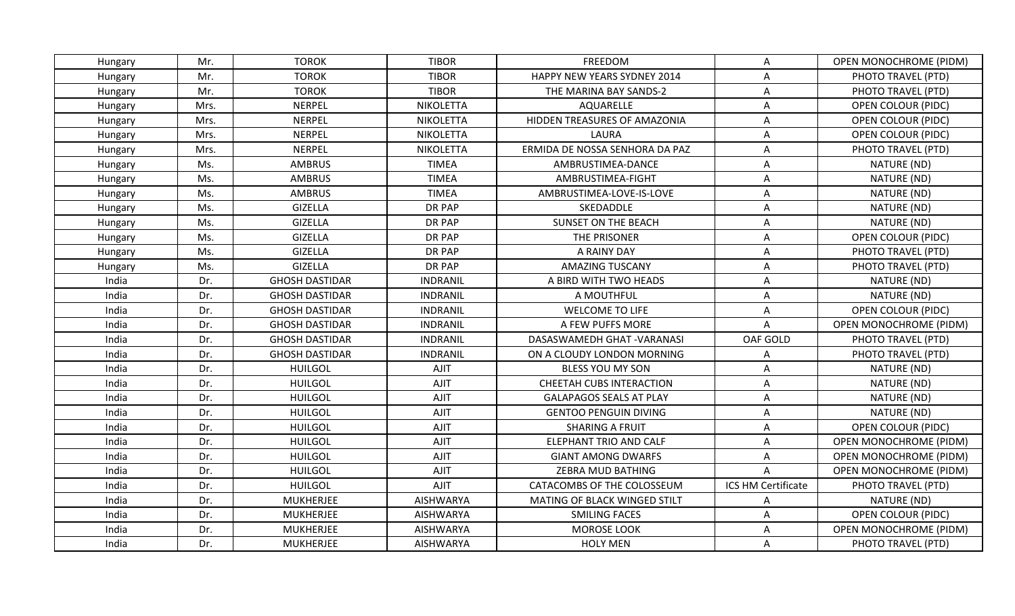| Hungary | Mr.  | <b>TOROK</b>          | <b>TIBOR</b>     | FREEDOM                         | A                         | <b>OPEN MONOCHROME (PIDM)</b> |
|---------|------|-----------------------|------------------|---------------------------------|---------------------------|-------------------------------|
| Hungary | Mr.  | <b>TOROK</b>          | <b>TIBOR</b>     | HAPPY NEW YEARS SYDNEY 2014     | A                         | PHOTO TRAVEL (PTD)            |
| Hungary | Mr.  | <b>TOROK</b>          | <b>TIBOR</b>     | THE MARINA BAY SANDS-2          | A                         | PHOTO TRAVEL (PTD)            |
| Hungary | Mrs. | NERPEL                | <b>NIKOLETTA</b> | AQUARELLE                       | A                         | <b>OPEN COLOUR (PIDC)</b>     |
| Hungary | Mrs. | <b>NERPEL</b>         | <b>NIKOLETTA</b> | HIDDEN TREASURES OF AMAZONIA    | Α                         | OPEN COLOUR (PIDC)            |
| Hungary | Mrs. | NERPEL                | <b>NIKOLETTA</b> | LAURA                           | A                         | OPEN COLOUR (PIDC)            |
| Hungary | Mrs. | NERPEL                | <b>NIKOLETTA</b> | ERMIDA DE NOSSA SENHORA DA PAZ  | A                         | PHOTO TRAVEL (PTD)            |
| Hungary | Ms.  | <b>AMBRUS</b>         | <b>TIMEA</b>     | AMBRUSTIMEA-DANCE               | Α                         | NATURE (ND)                   |
| Hungary | Ms.  | <b>AMBRUS</b>         | <b>TIMEA</b>     | AMBRUSTIMEA-FIGHT               | A                         | NATURE (ND)                   |
| Hungary | Ms.  | <b>AMBRUS</b>         | <b>TIMEA</b>     | AMBRUSTIMEA-LOVE-IS-LOVE        | Α                         | NATURE (ND)                   |
| Hungary | Ms.  | <b>GIZELLA</b>        | DR PAP           | SKEDADDLE                       | A                         | NATURE (ND)                   |
| Hungary | Ms.  | <b>GIZELLA</b>        | DR PAP           | SUNSET ON THE BEACH             | Α                         | NATURE (ND)                   |
| Hungary | Ms.  | <b>GIZELLA</b>        | DR PAP           | THE PRISONER                    | A                         | OPEN COLOUR (PIDC)            |
| Hungary | Ms.  | GIZELLA               | DR PAP           | A RAINY DAY                     | Α                         | PHOTO TRAVEL (PTD)            |
| Hungary | Ms.  | <b>GIZELLA</b>        | DR PAP           | <b>AMAZING TUSCANY</b>          | Α                         | PHOTO TRAVEL (PTD)            |
| India   | Dr.  | <b>GHOSH DASTIDAR</b> | <b>INDRANIL</b>  | A BIRD WITH TWO HEADS           | A                         | NATURE (ND)                   |
| India   | Dr.  | <b>GHOSH DASTIDAR</b> | <b>INDRANIL</b>  | A MOUTHFUL                      | Α                         | NATURE (ND)                   |
| India   | Dr.  | <b>GHOSH DASTIDAR</b> | <b>INDRANIL</b>  | <b>WELCOME TO LIFE</b>          | Α                         | OPEN COLOUR (PIDC)            |
| India   | Dr.  | <b>GHOSH DASTIDAR</b> | <b>INDRANIL</b>  | A FEW PUFFS MORE                | A                         | <b>OPEN MONOCHROME (PIDM)</b> |
| India   | Dr.  | <b>GHOSH DASTIDAR</b> | <b>INDRANIL</b>  | DASASWAMEDH GHAT - VARANASI     | OAF GOLD                  | PHOTO TRAVEL (PTD)            |
| India   | Dr.  | <b>GHOSH DASTIDAR</b> | <b>INDRANIL</b>  | ON A CLOUDY LONDON MORNING      | Α                         | PHOTO TRAVEL (PTD)            |
| India   | Dr.  | <b>HUILGOL</b>        | <b>AJIT</b>      | <b>BLESS YOU MY SON</b>         | Α                         | NATURE (ND)                   |
| India   | Dr.  | <b>HUILGOL</b>        | <b>AJIT</b>      | <b>CHEETAH CUBS INTERACTION</b> | Α                         | NATURE (ND)                   |
| India   | Dr.  | <b>HUILGOL</b>        | AJIT             | <b>GALAPAGOS SEALS AT PLAY</b>  | A                         | NATURE (ND)                   |
| India   | Dr.  | <b>HUILGOL</b>        | <b>AJIT</b>      | <b>GENTOO PENGUIN DIVING</b>    | A                         | NATURE (ND)                   |
| India   | Dr.  | <b>HUILGOL</b>        | <b>AJIT</b>      | <b>SHARING A FRUIT</b>          | A                         | <b>OPEN COLOUR (PIDC)</b>     |
| India   | Dr.  | <b>HUILGOL</b>        | <b>AJIT</b>      | ELEPHANT TRIO AND CALF          | $\boldsymbol{\mathsf{A}}$ | <b>OPEN MONOCHROME (PIDM)</b> |
| India   | Dr.  | <b>HUILGOL</b>        | <b>AJIT</b>      | <b>GIANT AMONG DWARFS</b>       | Α                         | OPEN MONOCHROME (PIDM)        |
| India   | Dr.  | <b>HUILGOL</b>        | <b>AJIT</b>      | ZEBRA MUD BATHING               | $\mathsf{A}$              | <b>OPEN MONOCHROME (PIDM)</b> |
| India   | Dr.  | <b>HUILGOL</b>        | <b>AJIT</b>      | CATACOMBS OF THE COLOSSEUM      | ICS HM Certificate        | PHOTO TRAVEL (PTD)            |
| India   | Dr.  | <b>MUKHERJEE</b>      | <b>AISHWARYA</b> | MATING OF BLACK WINGED STILT    | A                         | NATURE (ND)                   |
| India   | Dr.  | <b>MUKHERJEE</b>      | <b>AISHWARYA</b> | <b>SMILING FACES</b>            | A                         | <b>OPEN COLOUR (PIDC)</b>     |
| India   | Dr.  | <b>MUKHERJEE</b>      | <b>AISHWARYA</b> | <b>MOROSE LOOK</b>              | Α                         | OPEN MONOCHROME (PIDM)        |
| India   | Dr.  | <b>MUKHERJEE</b>      | <b>AISHWARYA</b> | <b>HOLY MEN</b>                 | A                         | PHOTO TRAVEL (PTD)            |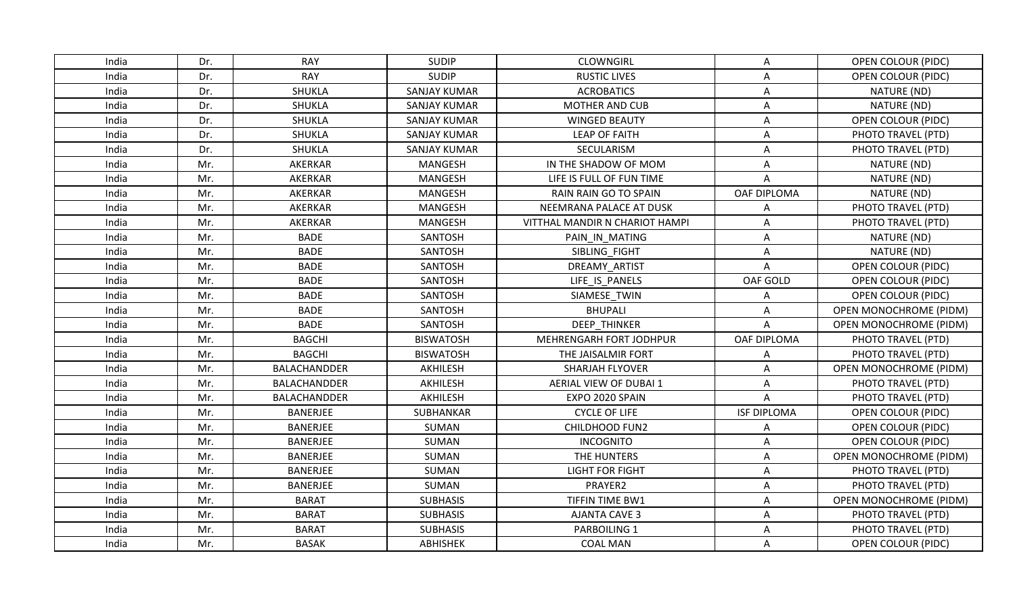| India | Dr. | <b>RAY</b>          | <b>SUDIP</b>        | <b>CLOWNGIRL</b>               | A                         | OPEN COLOUR (PIDC)            |
|-------|-----|---------------------|---------------------|--------------------------------|---------------------------|-------------------------------|
| India | Dr. | <b>RAY</b>          | <b>SUDIP</b>        | <b>RUSTIC LIVES</b>            | $\boldsymbol{\mathsf{A}}$ | <b>OPEN COLOUR (PIDC)</b>     |
| India | Dr. | SHUKLA              | <b>SANJAY KUMAR</b> | <b>ACROBATICS</b>              | A                         | NATURE (ND)                   |
| India | Dr. | SHUKLA              | SANJAY KUMAR        | MOTHER AND CUB                 | Α                         | NATURE (ND)                   |
| India | Dr. | SHUKLA              | <b>SANJAY KUMAR</b> | <b>WINGED BEAUTY</b>           | Α                         | OPEN COLOUR (PIDC)            |
| India | Dr. | <b>SHUKLA</b>       | <b>SANJAY KUMAR</b> | <b>LEAP OF FAITH</b>           | A                         | PHOTO TRAVEL (PTD)            |
| India | Dr. | <b>SHUKLA</b>       | <b>SANJAY KUMAR</b> | SECULARISM                     | A                         | PHOTO TRAVEL (PTD)            |
| India | Mr. | AKERKAR             | <b>MANGESH</b>      | IN THE SHADOW OF MOM           | A                         | NATURE (ND)                   |
| India | Mr. | AKERKAR             | MANGESH             | LIFE IS FULL OF FUN TIME       | A                         | NATURE (ND)                   |
| India | Mr. | AKERKAR             | MANGESH             | RAIN RAIN GO TO SPAIN          | OAF DIPLOMA               | NATURE (ND)                   |
| India | Mr. | AKERKAR             | <b>MANGESH</b>      | NEEMRANA PALACE AT DUSK        | A                         | PHOTO TRAVEL (PTD)            |
| India | Mr. | AKERKAR             | MANGESH             | VITTHAL MANDIR N CHARIOT HAMPI | A                         | PHOTO TRAVEL (PTD)            |
| India | Mr. | <b>BADE</b>         | SANTOSH             | PAIN IN MATING                 | A                         | NATURE (ND)                   |
| India | Mr. | <b>BADE</b>         | SANTOSH             | SIBLING FIGHT                  | A                         | NATURE (ND)                   |
| India | Mr. | <b>BADE</b>         | SANTOSH             | DREAMY ARTIST                  | Α                         | OPEN COLOUR (PIDC)            |
| India | Mr. | <b>BADE</b>         | <b>SANTOSH</b>      | LIFE IS PANELS                 | OAF GOLD                  | <b>OPEN COLOUR (PIDC)</b>     |
| India | Mr. | <b>BADE</b>         | SANTOSH             | SIAMESE TWIN                   | Α                         | <b>OPEN COLOUR (PIDC)</b>     |
| India | Mr. | <b>BADE</b>         | SANTOSH             | <b>BHUPALI</b>                 | Α                         | OPEN MONOCHROME (PIDM)        |
| India | Mr. | <b>BADE</b>         | SANTOSH             | <b>DEEP THINKER</b>            | $\mathsf{A}$              | <b>OPEN MONOCHROME (PIDM)</b> |
| India | Mr. | <b>BAGCHI</b>       | <b>BISWATOSH</b>    | MEHRENGARH FORT JODHPUR        | OAF DIPLOMA               | PHOTO TRAVEL (PTD)            |
| India | Mr. | <b>BAGCHI</b>       | <b>BISWATOSH</b>    | THE JAISALMIR FORT             | A                         | PHOTO TRAVEL (PTD)            |
| India | Mr. | BALACHANDDER        | AKHILESH            | <b>SHARJAH FLYOVER</b>         | Α                         | OPEN MONOCHROME (PIDM)        |
| India | Mr. | <b>BALACHANDDER</b> | AKHILESH            | AERIAL VIEW OF DUBAI 1         | A                         | PHOTO TRAVEL (PTD)            |
| India | Mr. | <b>BALACHANDDER</b> | AKHILESH            | EXPO 2020 SPAIN                | A                         | PHOTO TRAVEL (PTD)            |
| India | Mr. | <b>BANERJEE</b>     | SUBHANKAR           | <b>CYCLE OF LIFE</b>           | <b>ISF DIPLOMA</b>        | <b>OPEN COLOUR (PIDC)</b>     |
| India | Mr. | BANERJEE            | SUMAN               | <b>CHILDHOOD FUN2</b>          | Α                         | <b>OPEN COLOUR (PIDC)</b>     |
| India | Mr. | BANERJEE            | SUMAN               | <b>INCOGNITO</b>               | Α                         | <b>OPEN COLOUR (PIDC)</b>     |
| India | Mr. | <b>BANERJEE</b>     | SUMAN               | THE HUNTERS                    | A                         | OPEN MONOCHROME (PIDM)        |
| India | Mr. | BANERJEE            | SUMAN               | <b>LIGHT FOR FIGHT</b>         | Α                         | PHOTO TRAVEL (PTD)            |
| India | Mr. | <b>BANERJEE</b>     | SUMAN               | PRAYER2                        | $\boldsymbol{\mathsf{A}}$ | PHOTO TRAVEL (PTD)            |
| India | Mr. | <b>BARAT</b>        | <b>SUBHASIS</b>     | <b>TIFFIN TIME BW1</b>         | Α                         | <b>OPEN MONOCHROME (PIDM)</b> |
| India | Mr. | <b>BARAT</b>        | <b>SUBHASIS</b>     | <b>AJANTA CAVE 3</b>           | A                         | PHOTO TRAVEL (PTD)            |
| India | Mr. | <b>BARAT</b>        | <b>SUBHASIS</b>     | PARBOILING 1                   | A                         | PHOTO TRAVEL (PTD)            |
| India | Mr. | <b>BASAK</b>        | ABHISHEK            | <b>COAL MAN</b>                | A                         | OPEN COLOUR (PIDC)            |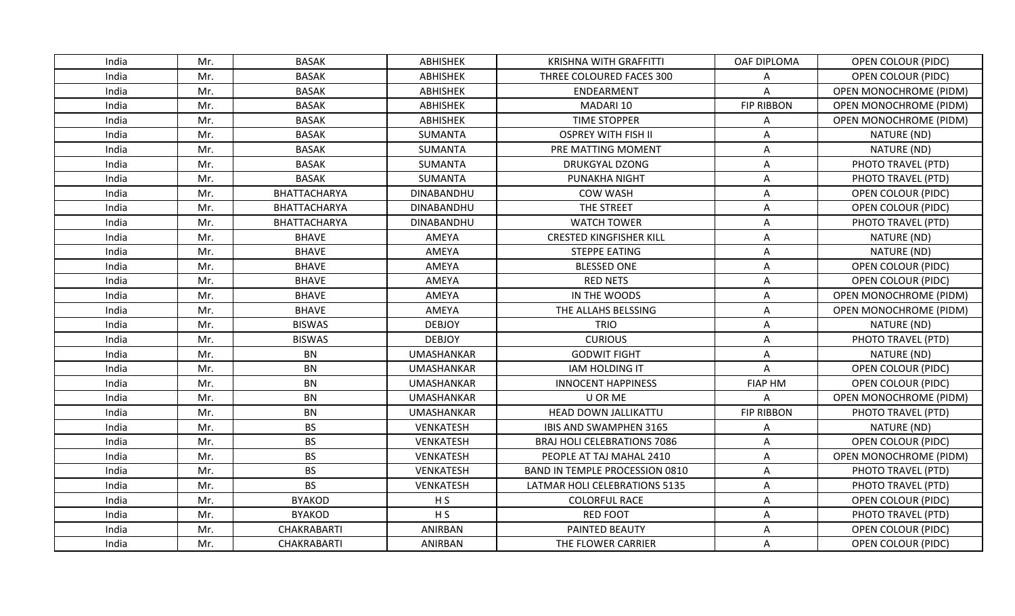| India | Mr. | <b>BASAK</b>  | <b>ABHISHEK</b>   | <b>KRISHNA WITH GRAFFITTI</b>         | OAF DIPLOMA               | OPEN COLOUR (PIDC)            |
|-------|-----|---------------|-------------------|---------------------------------------|---------------------------|-------------------------------|
| India | Mr. | <b>BASAK</b>  | <b>ABHISHEK</b>   | THREE COLOURED FACES 300              | Α                         | <b>OPEN COLOUR (PIDC)</b>     |
| India | Mr. | <b>BASAK</b>  | <b>ABHISHEK</b>   | ENDEARMENT                            | A                         | OPEN MONOCHROME (PIDM)        |
| India | Mr. | <b>BASAK</b>  | <b>ABHISHEK</b>   | MADARI 10                             | <b>FIP RIBBON</b>         | <b>OPEN MONOCHROME (PIDM)</b> |
| India | Mr. | <b>BASAK</b>  | <b>ABHISHEK</b>   | <b>TIME STOPPER</b>                   | Α                         | <b>OPEN MONOCHROME (PIDM)</b> |
| India | Mr. | <b>BASAK</b>  | <b>SUMANTA</b>    | <b>OSPREY WITH FISH II</b>            | A                         | NATURE (ND)                   |
| India | Mr. | <b>BASAK</b>  | <b>SUMANTA</b>    | PRE MATTING MOMENT                    | A                         | NATURE (ND)                   |
| India | Mr. | <b>BASAK</b>  | <b>SUMANTA</b>    | <b>DRUKGYAL DZONG</b>                 | Α                         | PHOTO TRAVEL (PTD)            |
| India | Mr. | <b>BASAK</b>  | SUMANTA           | PUNAKHA NIGHT                         | Α                         | PHOTO TRAVEL (PTD)            |
| India | Mr. | BHATTACHARYA  | DINABANDHU        | <b>COW WASH</b>                       | Α                         | OPEN COLOUR (PIDC)            |
| India | Mr. | BHATTACHARYA  | DINABANDHU        | THE STREET                            | A                         | OPEN COLOUR (PIDC)            |
| India | Mr. | BHATTACHARYA  | DINABANDHU        | <b>WATCH TOWER</b>                    | A                         | PHOTO TRAVEL (PTD)            |
| India | Mr. | <b>BHAVE</b>  | AMEYA             | <b>CRESTED KINGFISHER KILL</b>        | A                         | NATURE (ND)                   |
| India | Mr. | <b>BHAVE</b>  | AMEYA             | <b>STEPPE EATING</b>                  | Α                         | NATURE (ND)                   |
| India | Mr. | <b>BHAVE</b>  | AMEYA             | <b>BLESSED ONE</b>                    | A                         | OPEN COLOUR (PIDC)            |
| India | Mr. | <b>BHAVE</b>  | AMEYA             | <b>RED NETS</b>                       | Α                         | OPEN COLOUR (PIDC)            |
| India | Mr. | <b>BHAVE</b>  | AMEYA             | IN THE WOODS                          | $\boldsymbol{\mathsf{A}}$ | OPEN MONOCHROME (PIDM)        |
| India | Mr. | <b>BHAVE</b>  | AMEYA             | THE ALLAHS BELSSING                   | A                         | OPEN MONOCHROME (PIDM)        |
| India | Mr. | <b>BISWAS</b> | <b>DEBJOY</b>     | <b>TRIO</b>                           | A                         | NATURE (ND)                   |
| India | Mr. | <b>BISWAS</b> | <b>DEBJOY</b>     | <b>CURIOUS</b>                        | A                         | PHOTO TRAVEL (PTD)            |
| India | Mr. | <b>BN</b>     | <b>UMASHANKAR</b> | <b>GODWIT FIGHT</b>                   | A                         | NATURE (ND)                   |
| India | Mr. | <b>BN</b>     | <b>UMASHANKAR</b> | <b>IAM HOLDING IT</b>                 | A                         | OPEN COLOUR (PIDC)            |
| India | Mr. | <b>BN</b>     | <b>UMASHANKAR</b> | <b>INNOCENT HAPPINESS</b>             | <b>FIAP HM</b>            | <b>OPEN COLOUR (PIDC)</b>     |
| India | Mr. | <b>BN</b>     | <b>UMASHANKAR</b> | U OR ME                               | Α                         | OPEN MONOCHROME (PIDM)        |
| India | Mr. | <b>BN</b>     | <b>UMASHANKAR</b> | HEAD DOWN JALLIKATTU                  | <b>FIP RIBBON</b>         | PHOTO TRAVEL (PTD)            |
| India | Mr. | <b>BS</b>     | VENKATESH         | IBIS AND SWAMPHEN 3165                | A                         | NATURE (ND)                   |
| India | Mr. | <b>BS</b>     | VENKATESH         | <b>BRAJ HOLI CELEBRATIONS 7086</b>    | Α                         | <b>OPEN COLOUR (PIDC)</b>     |
| India | Mr. | <b>BS</b>     | VENKATESH         | PEOPLE AT TAJ MAHAL 2410              | А                         | OPEN MONOCHROME (PIDM)        |
| India | Mr. | <b>BS</b>     | VENKATESH         | <b>BAND IN TEMPLE PROCESSION 0810</b> | Α                         | PHOTO TRAVEL (PTD)            |
| India | Mr. | <b>BS</b>     | VENKATESH         | <b>LATMAR HOLI CELEBRATIONS 5135</b>  | A                         | PHOTO TRAVEL (PTD)            |
| India | Mr. | <b>BYAKOD</b> | H <sub>S</sub>    | <b>COLORFUL RACE</b>                  | Α                         | OPEN COLOUR (PIDC)            |
| India | Mr. | <b>BYAKOD</b> | H <sub>S</sub>    | <b>RED FOOT</b>                       | Α                         | PHOTO TRAVEL (PTD)            |
| India | Mr. | CHAKRABARTI   | <b>ANIRBAN</b>    | <b>PAINTED BEAUTY</b>                 | A                         | OPEN COLOUR (PIDC)            |
| India | Mr. | CHAKRABARTI   | ANIRBAN           | THE FLOWER CARRIER                    | A                         | OPEN COLOUR (PIDC)            |
|       |     |               |                   |                                       |                           |                               |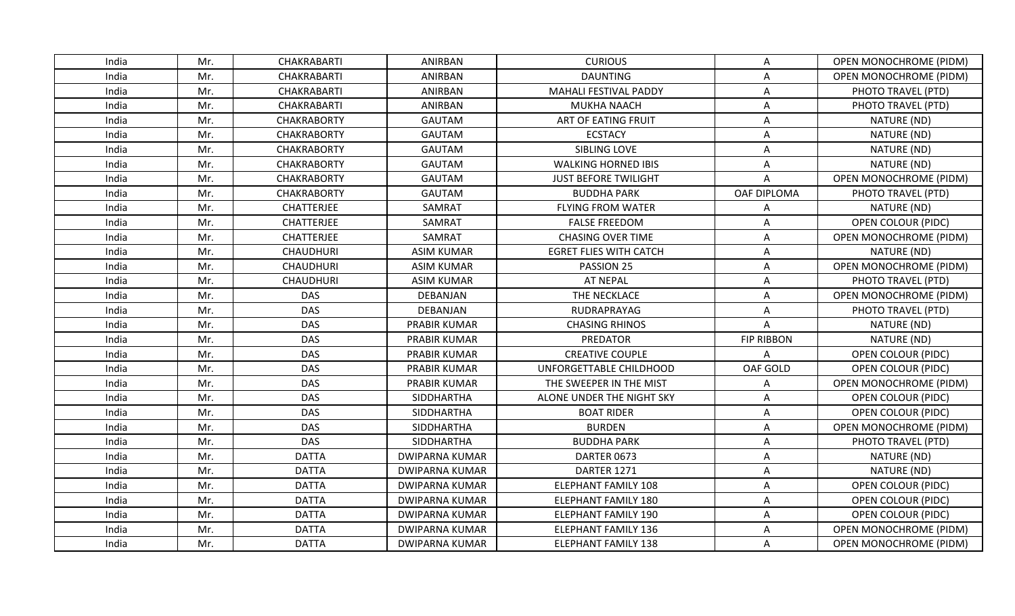| India | Mr. | CHAKRABARTI        | ANIRBAN               | <b>CURIOUS</b>                | Α                 | <b>OPEN MONOCHROME (PIDM)</b> |
|-------|-----|--------------------|-----------------------|-------------------------------|-------------------|-------------------------------|
| India | Mr. | CHAKRABARTI        | ANIRBAN               | <b>DAUNTING</b>               | A                 | OPEN MONOCHROME (PIDM)        |
| India | Mr. | CHAKRABARTI        | ANIRBAN               | MAHALI FESTIVAL PADDY         | Α                 | PHOTO TRAVEL (PTD)            |
| India | Mr. | CHAKRABARTI        | ANIRBAN               | <b>MUKHA NAACH</b>            | Α                 | PHOTO TRAVEL (PTD)            |
| India | Mr. | <b>CHAKRABORTY</b> | <b>GAUTAM</b>         | ART OF EATING FRUIT           | Α                 | NATURE (ND)                   |
| India | Mr. | <b>CHAKRABORTY</b> | <b>GAUTAM</b>         | <b>ECSTACY</b>                | Α                 | NATURE (ND)                   |
| India | Mr. | <b>CHAKRABORTY</b> | <b>GAUTAM</b>         | SIBLING LOVE                  | $\mathsf A$       | NATURE (ND)                   |
| India | Mr. | <b>CHAKRABORTY</b> | <b>GAUTAM</b>         | <b>WALKING HORNED IBIS</b>    | Α                 | NATURE (ND)                   |
| India | Mr. | <b>CHAKRABORTY</b> | <b>GAUTAM</b>         | <b>JUST BEFORE TWILIGHT</b>   | A                 | OPEN MONOCHROME (PIDM)        |
| India | Mr. | <b>CHAKRABORTY</b> | <b>GAUTAM</b>         | <b>BUDDHA PARK</b>            | OAF DIPLOMA       | PHOTO TRAVEL (PTD)            |
| India | Mr. | <b>CHATTERJEE</b>  | SAMRAT                | <b>FLYING FROM WATER</b>      | A                 | NATURE (ND)                   |
| India | Mr. | CHATTERJEE         | SAMRAT                | <b>FALSE FREEDOM</b>          | Α                 | <b>OPEN COLOUR (PIDC)</b>     |
| India | Mr. | CHATTERJEE         | SAMRAT                | <b>CHASING OVER TIME</b>      | Α                 | OPEN MONOCHROME (PIDM)        |
| India | Mr. | <b>CHAUDHURI</b>   | <b>ASIM KUMAR</b>     | <b>EGRET FLIES WITH CATCH</b> | A                 | NATURE (ND)                   |
| India | Mr. | <b>CHAUDHURI</b>   | <b>ASIM KUMAR</b>     | PASSION 25                    | Α                 | <b>OPEN MONOCHROME (PIDM)</b> |
| India | Mr. | <b>CHAUDHURI</b>   | <b>ASIM KUMAR</b>     | <b>AT NEPAL</b>               | $\mathsf{A}$      | PHOTO TRAVEL (PTD)            |
| India | Mr. | <b>DAS</b>         | DEBANJAN              | THE NECKLACE                  | A                 | OPEN MONOCHROME (PIDM)        |
| India | Mr. | <b>DAS</b>         | DEBANJAN              | RUDRAPRAYAG                   | Α                 | PHOTO TRAVEL (PTD)            |
| India | Mr. | <b>DAS</b>         | <b>PRABIR KUMAR</b>   | <b>CHASING RHINOS</b>         | $\mathsf{A}$      | NATURE (ND)                   |
| India | Mr. | <b>DAS</b>         | PRABIR KUMAR          | PREDATOR                      | <b>FIP RIBBON</b> | NATURE (ND)                   |
| India | Mr. | <b>DAS</b>         | PRABIR KUMAR          | <b>CREATIVE COUPLE</b>        | A                 | <b>OPEN COLOUR (PIDC)</b>     |
| India | Mr. | <b>DAS</b>         | <b>PRABIR KUMAR</b>   | UNFORGETTABLE CHILDHOOD       | OAF GOLD          | <b>OPEN COLOUR (PIDC)</b>     |
| India | Mr. | <b>DAS</b>         | PRABIR KUMAR          | THE SWEEPER IN THE MIST       | A                 | OPEN MONOCHROME (PIDM)        |
| India | Mr. | <b>DAS</b>         | SIDDHARTHA            | ALONE UNDER THE NIGHT SKY     | Α                 | OPEN COLOUR (PIDC)            |
| India | Mr. | <b>DAS</b>         | SIDDHARTHA            | <b>BOAT RIDER</b>             | Α                 | OPEN COLOUR (PIDC)            |
| India | Mr. | <b>DAS</b>         | SIDDHARTHA            | <b>BURDEN</b>                 | Α                 | <b>OPEN MONOCHROME (PIDM)</b> |
| India | Mr. | <b>DAS</b>         | SIDDHARTHA            | <b>BUDDHA PARK</b>            | A                 | PHOTO TRAVEL (PTD)            |
| India | Mr. | <b>DATTA</b>       | <b>DWIPARNA KUMAR</b> | DARTER 0673                   | A                 | NATURE (ND)                   |
| India | Mr. | <b>DATTA</b>       | <b>DWIPARNA KUMAR</b> | DARTER 1271                   | Α                 | NATURE (ND)                   |
| India | Mr. | <b>DATTA</b>       | <b>DWIPARNA KUMAR</b> | ELEPHANT FAMILY 108           | A                 | OPEN COLOUR (PIDC)            |
| India | Mr. | <b>DATTA</b>       | <b>DWIPARNA KUMAR</b> | <b>ELEPHANT FAMILY 180</b>    | Α                 | <b>OPEN COLOUR (PIDC)</b>     |
| India | Mr. | <b>DATTA</b>       | <b>DWIPARNA KUMAR</b> | <b>ELEPHANT FAMILY 190</b>    | A                 | OPEN COLOUR (PIDC)            |
| India | Mr. | <b>DATTA</b>       | <b>DWIPARNA KUMAR</b> | <b>ELEPHANT FAMILY 136</b>    | A                 | OPEN MONOCHROME (PIDM)        |
| India | Mr. | <b>DATTA</b>       | <b>DWIPARNA KUMAR</b> | <b>ELEPHANT FAMILY 138</b>    | A                 | <b>OPEN MONOCHROME (PIDM)</b> |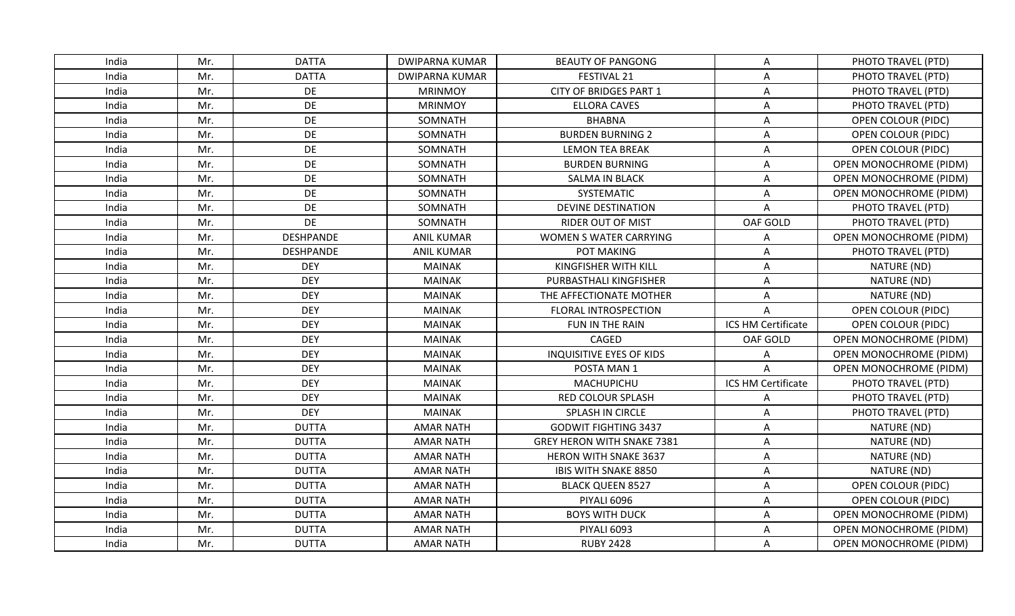| India | Mr. | <b>DATTA</b>     | <b>DWIPARNA KUMAR</b> | <b>BEAUTY OF PANGONG</b>          | Α                  | PHOTO TRAVEL (PTD)            |
|-------|-----|------------------|-----------------------|-----------------------------------|--------------------|-------------------------------|
| India | Mr. | <b>DATTA</b>     | <b>DWIPARNA KUMAR</b> | FESTIVAL 21                       | A                  | PHOTO TRAVEL (PTD)            |
| India | Mr. | DE               | <b>MRINMOY</b>        | <b>CITY OF BRIDGES PART 1</b>     | A                  | PHOTO TRAVEL (PTD)            |
| India | Mr. | DE               | <b>MRINMOY</b>        | <b>ELLORA CAVES</b>               | A                  | PHOTO TRAVEL (PTD)            |
| India | Mr. | DE               | SOMNATH               | <b>BHABNA</b>                     | Α                  | OPEN COLOUR (PIDC)            |
| India | Mr. | DE               | SOMNATH               | <b>BURDEN BURNING 2</b>           | A                  | <b>OPEN COLOUR (PIDC)</b>     |
| India | Mr. | DE               | SOMNATH               | <b>LEMON TEA BREAK</b>            | A                  | OPEN COLOUR (PIDC)            |
| India | Mr. | DE               | SOMNATH               | <b>BURDEN BURNING</b>             | Α                  | OPEN MONOCHROME (PIDM)        |
| India | Mr. | DE               | SOMNATH               | <b>SALMA IN BLACK</b>             | Α                  | <b>OPEN MONOCHROME (PIDM)</b> |
| India | Mr. | DE               | SOMNATH               | SYSTEMATIC                        | Α                  | <b>OPEN MONOCHROME (PIDM)</b> |
| India | Mr. | DE               | SOMNATH               | <b>DEVINE DESTINATION</b>         | A                  | PHOTO TRAVEL (PTD)            |
| India | Mr. | DE               | SOMNATH               | <b>RIDER OUT OF MIST</b>          | OAF GOLD           | PHOTO TRAVEL (PTD)            |
| India | Mr. | <b>DESHPANDE</b> | <b>ANIL KUMAR</b>     | WOMEN S WATER CARRYING            | A                  | OPEN MONOCHROME (PIDM)        |
| India | Mr. | <b>DESHPANDE</b> | <b>ANIL KUMAR</b>     | POT MAKING                        | Α                  | PHOTO TRAVEL (PTD)            |
| India | Mr. | <b>DEY</b>       | <b>MAINAK</b>         | KINGFISHER WITH KILL              | A                  | NATURE (ND)                   |
| India | Mr. | <b>DEY</b>       | <b>MAINAK</b>         | PURBASTHALI KINGFISHER            | Α                  | NATURE (ND)                   |
| India | Mr. | <b>DEY</b>       | <b>MAINAK</b>         | THE AFFECTIONATE MOTHER           | Α                  | NATURE (ND)                   |
| India | Mr. | <b>DEY</b>       | <b>MAINAK</b>         | <b>FLORAL INTROSPECTION</b>       | Α                  | OPEN COLOUR (PIDC)            |
| India | Mr. | <b>DEY</b>       | <b>MAINAK</b>         | FUN IN THE RAIN                   | ICS HM Certificate | OPEN COLOUR (PIDC)            |
| India | Mr. | <b>DEY</b>       | <b>MAINAK</b>         | CAGED                             | OAF GOLD           | <b>OPEN MONOCHROME (PIDM)</b> |
| India | Mr. | <b>DEY</b>       | <b>MAINAK</b>         | <b>INQUISITIVE EYES OF KIDS</b>   | Α                  | <b>OPEN MONOCHROME (PIDM)</b> |
| India | Mr. | <b>DEY</b>       | <b>MAINAK</b>         | POSTA MAN 1                       | A                  | OPEN MONOCHROME (PIDM)        |
| India | Mr. | <b>DEY</b>       | <b>MAINAK</b>         | MACHUPICHU                        | ICS HM Certificate | PHOTO TRAVEL (PTD)            |
| India | Mr. | <b>DEY</b>       | <b>MAINAK</b>         | RED COLOUR SPLASH                 | A                  | PHOTO TRAVEL (PTD)            |
| India | Mr. | <b>DEY</b>       | <b>MAINAK</b>         | SPLASH IN CIRCLE                  | Α                  | PHOTO TRAVEL (PTD)            |
| India | Mr. | <b>DUTTA</b>     | <b>AMAR NATH</b>      | <b>GODWIT FIGHTING 3437</b>       | A                  | NATURE (ND)                   |
| India | Mr. | <b>DUTTA</b>     | <b>AMAR NATH</b>      | <b>GREY HERON WITH SNAKE 7381</b> | A                  | NATURE (ND)                   |
| India | Mr. | <b>DUTTA</b>     | <b>AMAR NATH</b>      | <b>HERON WITH SNAKE 3637</b>      | Α                  | NATURE (ND)                   |
| India | Mr. | <b>DUTTA</b>     | <b>AMAR NATH</b>      | IBIS WITH SNAKE 8850              | Α                  | NATURE (ND)                   |
| India | Mr. | <b>DUTTA</b>     | <b>AMAR NATH</b>      | <b>BLACK QUEEN 8527</b>           | A                  | <b>OPEN COLOUR (PIDC)</b>     |
| India | Mr. | <b>DUTTA</b>     | <b>AMAR NATH</b>      | PIYALI 6096                       | Α                  | <b>OPEN COLOUR (PIDC)</b>     |
| India | Mr. | <b>DUTTA</b>     | <b>AMAR NATH</b>      | <b>BOYS WITH DUCK</b>             | A                  | OPEN MONOCHROME (PIDM)        |
| India | Mr. | <b>DUTTA</b>     | <b>AMAR NATH</b>      | <b>PIYALI 6093</b>                | A                  | OPEN MONOCHROME (PIDM)        |
| India | Mr. | <b>DUTTA</b>     | <b>AMAR NATH</b>      | <b>RUBY 2428</b>                  | A                  | <b>OPEN MONOCHROME (PIDM)</b> |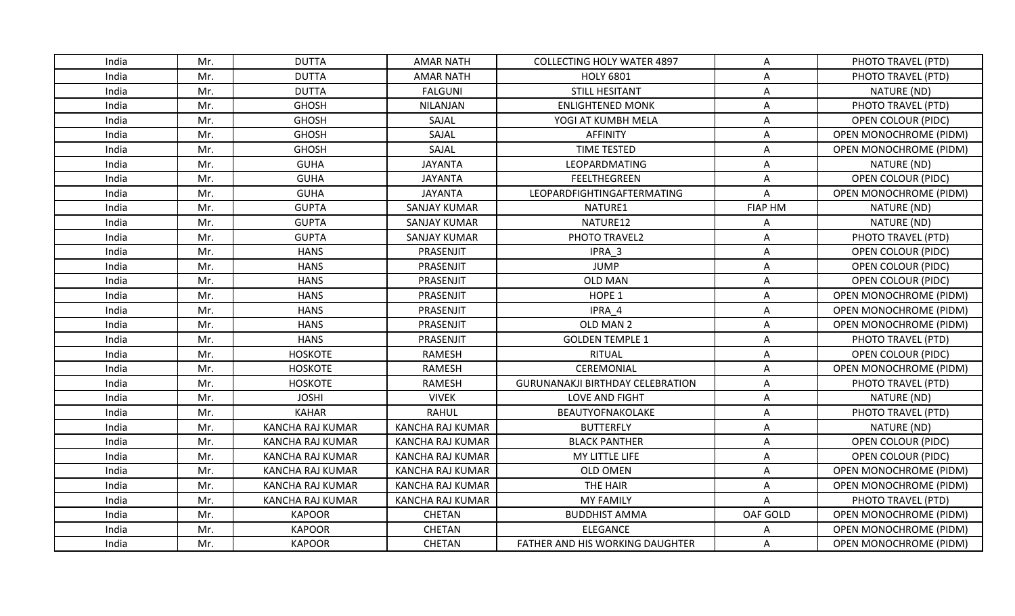| India | Mr. | <b>DUTTA</b>            | <b>AMAR NATH</b>        | <b>COLLECTING HOLY WATER 4897</b>       | A                         | PHOTO TRAVEL (PTD)            |
|-------|-----|-------------------------|-------------------------|-----------------------------------------|---------------------------|-------------------------------|
| India | Mr. | <b>DUTTA</b>            | <b>AMAR NATH</b>        | <b>HOLY 6801</b>                        | Α                         | PHOTO TRAVEL (PTD)            |
| India | Mr. | <b>DUTTA</b>            | <b>FALGUNI</b>          | <b>STILL HESITANT</b>                   | A                         | NATURE (ND)                   |
| India | Mr. | <b>GHOSH</b>            | <b>NILANJAN</b>         | <b>ENLIGHTENED MONK</b>                 | A                         | PHOTO TRAVEL (PTD)            |
| India | Mr. | <b>GHOSH</b>            | SAJAL                   | YOGI AT KUMBH MELA                      | Α                         | OPEN COLOUR (PIDC)            |
| India | Mr. | <b>GHOSH</b>            | SAJAL                   | <b>AFFINITY</b>                         | A                         | OPEN MONOCHROME (PIDM)        |
| India | Mr. | <b>GHOSH</b>            | SAJAL                   | <b>TIME TESTED</b>                      | A                         | OPEN MONOCHROME (PIDM)        |
| India | Mr. | <b>GUHA</b>             | <b>JAYANTA</b>          | LEOPARDMATING                           | A                         | NATURE (ND)                   |
| India | Mr. | <b>GUHA</b>             | <b>JAYANTA</b>          | <b>FEELTHEGREEN</b>                     | A                         | OPEN COLOUR (PIDC)            |
| India | Mr. | <b>GUHA</b>             | <b>JAYANTA</b>          | <b>LEOPARDFIGHTINGAFTERMATING</b>       | A                         | <b>OPEN MONOCHROME (PIDM)</b> |
| India | Mr. | <b>GUPTA</b>            | <b>SANJAY KUMAR</b>     | NATURE1                                 | <b>FIAP HM</b>            | NATURE (ND)                   |
| India | Mr. | <b>GUPTA</b>            | <b>SANJAY KUMAR</b>     | NATURE12                                | A                         | NATURE (ND)                   |
| India | Mr. | <b>GUPTA</b>            | <b>SANJAY KUMAR</b>     | PHOTO TRAVEL2                           | Α                         | PHOTO TRAVEL (PTD)            |
| India | Mr. | <b>HANS</b>             | PRASENJIT               | IPRA 3                                  | Α                         | OPEN COLOUR (PIDC)            |
| India | Mr. | <b>HANS</b>             | PRASENJIT               | <b>JUMP</b>                             | Α                         | OPEN COLOUR (PIDC)            |
| India | Mr. | <b>HANS</b>             | PRASENJIT               | <b>OLD MAN</b>                          | Α                         | OPEN COLOUR (PIDC)            |
| India | Mr. | <b>HANS</b>             | PRASENJIT               | HOPE <sub>1</sub>                       | A                         | OPEN MONOCHROME (PIDM)        |
| India | Mr. | <b>HANS</b>             | PRASENJIT               | IPRA 4                                  | A                         | OPEN MONOCHROME (PIDM)        |
| India | Mr. | <b>HANS</b>             | PRASENJIT               | OLD MAN 2                               | A                         | <b>OPEN MONOCHROME (PIDM)</b> |
| India | Mr. | <b>HANS</b>             | PRASENJIT               | <b>GOLDEN TEMPLE 1</b>                  | Α                         | PHOTO TRAVEL (PTD)            |
| India | Mr. | <b>HOSKOTE</b>          | RAMESH                  | <b>RITUAL</b>                           | Α                         | <b>OPEN COLOUR (PIDC)</b>     |
| India | Mr. | <b>HOSKOTE</b>          | RAMESH                  | CEREMONIAL                              | A                         | OPEN MONOCHROME (PIDM)        |
| India | Mr. | <b>HOSKOTE</b>          | <b>RAMESH</b>           | <b>GURUNANAKJI BIRTHDAY CELEBRATION</b> | A                         | PHOTO TRAVEL (PTD)            |
| India | Mr. | <b>JOSHI</b>            | <b>VIVEK</b>            | LOVE AND FIGHT                          | A                         | NATURE (ND)                   |
| India | Mr. | <b>KAHAR</b>            | <b>RAHUL</b>            | BEAUTYOFNAKOLAKE                        | A                         | PHOTO TRAVEL (PTD)            |
| India | Mr. | KANCHA RAJ KUMAR        | KANCHA RAJ KUMAR        | <b>BUTTERFLY</b>                        | A                         | NATURE (ND)                   |
| India | Mr. | <b>KANCHA RAJ KUMAR</b> | KANCHA RAJ KUMAR        | <b>BLACK PANTHER</b>                    | $\boldsymbol{\mathsf{A}}$ | OPEN COLOUR (PIDC)            |
| India | Mr. | KANCHA RAJ KUMAR        | KANCHA RAJ KUMAR        | MY LITTLE LIFE                          | Α                         | <b>OPEN COLOUR (PIDC)</b>     |
| India | Mr. | <b>KANCHA RAJ KUMAR</b> | KANCHA RAJ KUMAR        | <b>OLD OMEN</b>                         | A                         | OPEN MONOCHROME (PIDM)        |
| India | Mr. | <b>KANCHA RAJ KUMAR</b> | KANCHA RAJ KUMAR        | THE HAIR                                | A                         | <b>OPEN MONOCHROME (PIDM)</b> |
| India | Mr. | <b>KANCHA RAJ KUMAR</b> | <b>KANCHA RAJ KUMAR</b> | <b>MY FAMILY</b>                        | A                         | PHOTO TRAVEL (PTD)            |
| India | Mr. | <b>KAPOOR</b>           | <b>CHETAN</b>           | <b>BUDDHIST AMMA</b>                    | OAF GOLD                  | <b>OPEN MONOCHROME (PIDM)</b> |
| India | Mr. | <b>KAPOOR</b>           | CHETAN                  | <b>ELEGANCE</b>                         | Α                         | OPEN MONOCHROME (PIDM)        |
| India | Mr. | <b>KAPOOR</b>           | <b>CHETAN</b>           | FATHER AND HIS WORKING DAUGHTER         | A                         | OPEN MONOCHROME (PIDM)        |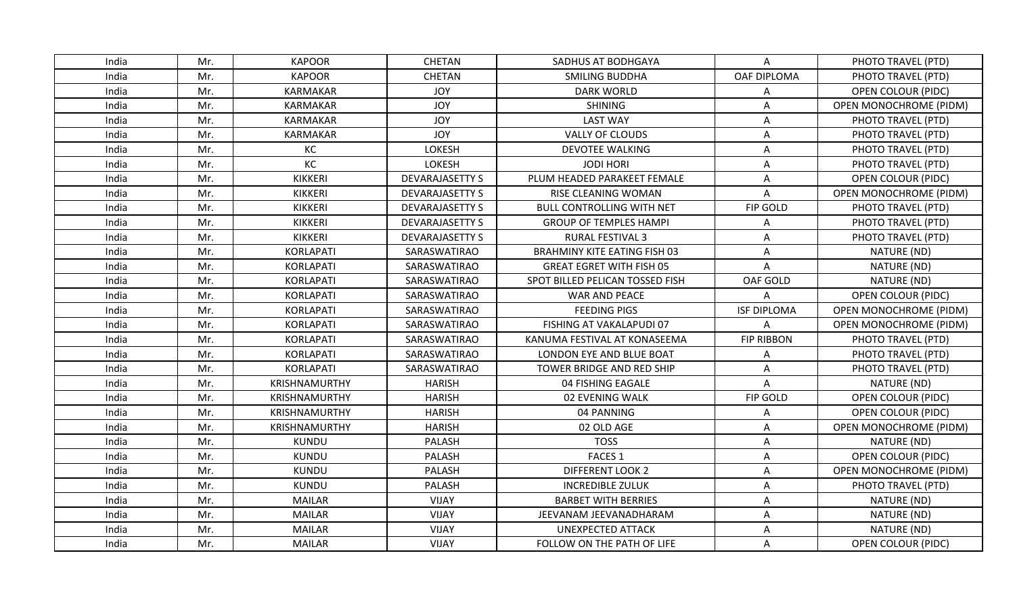| India | Mr. | <b>KAPOOR</b>    | <b>CHETAN</b>          | SADHUS AT BODHGAYA                  | A                  | PHOTO TRAVEL (PTD)            |
|-------|-----|------------------|------------------------|-------------------------------------|--------------------|-------------------------------|
| India | Mr. | <b>KAPOOR</b>    | CHETAN                 | <b>SMILING BUDDHA</b>               | OAF DIPLOMA        | PHOTO TRAVEL (PTD)            |
| India | Mr. | <b>KARMAKAR</b>  | <b>JOY</b>             | <b>DARK WORLD</b>                   | Α                  | OPEN COLOUR (PIDC)            |
| India | Mr. | KARMAKAR         | <b>JOY</b>             | <b>SHINING</b>                      | Α                  | OPEN MONOCHROME (PIDM)        |
| India | Mr. | KARMAKAR         | <b>JOY</b>             | <b>LAST WAY</b>                     | A                  | PHOTO TRAVEL (PTD)            |
| India | Mr. | <b>KARMAKAR</b>  | <b>JOY</b>             | VALLY OF CLOUDS                     | A                  | PHOTO TRAVEL (PTD)            |
| India | Mr. | KC               | LOKESH                 | <b>DEVOTEE WALKING</b>              | A                  | PHOTO TRAVEL (PTD)            |
| India | Mr. | KC               | LOKESH                 | <b>JODI HORI</b>                    | Α                  | PHOTO TRAVEL (PTD)            |
| India | Mr. | KIKKERI          | <b>DEVARAJASETTY S</b> | PLUM HEADED PARAKEET FEMALE         | Α                  | OPEN COLOUR (PIDC)            |
| India | Mr. | <b>KIKKERI</b>   | <b>DEVARAJASETTY S</b> | RISE CLEANING WOMAN                 | Α                  | OPEN MONOCHROME (PIDM)        |
| India | Mr. | <b>KIKKERI</b>   | <b>DEVARAJASETTY S</b> | <b>BULL CONTROLLING WITH NET</b>    | FIP GOLD           | PHOTO TRAVEL (PTD)            |
| India | Mr. | <b>KIKKERI</b>   | <b>DEVARAJASETTY S</b> | <b>GROUP OF TEMPLES HAMPI</b>       | Α                  | PHOTO TRAVEL (PTD)            |
| India | Mr. | <b>KIKKERI</b>   | <b>DEVARAJASETTY S</b> | RURAL FESTIVAL 3                    | A                  | PHOTO TRAVEL (PTD)            |
| India | Mr. | <b>KORLAPATI</b> | SARASWATIRAO           | <b>BRAHMINY KITE EATING FISH 03</b> | Α                  | NATURE (ND)                   |
| India | Mr. | <b>KORLAPATI</b> | SARASWATIRAO           | <b>GREAT EGRET WITH FISH 05</b>     | A                  | NATURE (ND)                   |
| India | Mr. | <b>KORLAPATI</b> | SARASWATIRAO           | SPOT BILLED PELICAN TOSSED FISH     | OAF GOLD           | NATURE (ND)                   |
| India | Mr. | <b>KORLAPATI</b> | SARASWATIRAO           | <b>WAR AND PEACE</b>                | A                  | OPEN COLOUR (PIDC)            |
| India | Mr. | <b>KORLAPATI</b> | SARASWATIRAO           | <b>FEEDING PIGS</b>                 | <b>ISF DIPLOMA</b> | OPEN MONOCHROME (PIDM)        |
| India | Mr. | KORLAPATI        | SARASWATIRAO           | FISHING AT VAKALAPUDI 07            | Α                  | <b>OPEN MONOCHROME (PIDM)</b> |
| India | Mr. | <b>KORLAPATI</b> | SARASWATIRAO           | KANUMA FESTIVAL AT KONASEEMA        | <b>FIP RIBBON</b>  | PHOTO TRAVEL (PTD)            |
| India | Mr. | <b>KORLAPATI</b> | SARASWATIRAO           | LONDON EYE AND BLUE BOAT            | A                  | PHOTO TRAVEL (PTD)            |
| India | Mr. | <b>KORLAPATI</b> | SARASWATIRAO           | TOWER BRIDGE AND RED SHIP           | A                  | PHOTO TRAVEL (PTD)            |
| India | Mr. | KRISHNAMURTHY    | <b>HARISH</b>          | 04 FISHING EAGALE                   | A                  | NATURE (ND)                   |
| India | Mr. | KRISHNAMURTHY    | <b>HARISH</b>          | 02 EVENING WALK                     | FIP GOLD           | OPEN COLOUR (PIDC)            |
| India | Mr. | KRISHNAMURTHY    | <b>HARISH</b>          | 04 PANNING                          | Α                  | OPEN COLOUR (PIDC)            |
| India | Mr. | KRISHNAMURTHY    | <b>HARISH</b>          | 02 OLD AGE                          | A                  | OPEN MONOCHROME (PIDM)        |
| India | Mr. | <b>KUNDU</b>     | PALASH                 | <b>TOSS</b>                         | A                  | NATURE (ND)                   |
| India | Mr. | <b>KUNDU</b>     | PALASH                 | <b>FACES 1</b>                      | Α                  | OPEN COLOUR (PIDC)            |
| India | Mr. | <b>KUNDU</b>     | PALASH                 | <b>DIFFERENT LOOK 2</b>             | Α                  | <b>OPEN MONOCHROME (PIDM)</b> |
| India | Mr. | <b>KUNDU</b>     | PALASH                 | <b>INCREDIBLE ZULUK</b>             | A                  | PHOTO TRAVEL (PTD)            |
| India | Mr. | <b>MAILAR</b>    | VIJAY                  | <b>BARBET WITH BERRIES</b>          | Α                  | NATURE (ND)                   |
| India | Mr. | <b>MAILAR</b>    | VIJAY                  | JEEVANAM JEEVANADHARAM              | A                  | NATURE (ND)                   |
| India | Mr. | <b>MAILAR</b>    | <b>VIJAY</b>           | <b>UNEXPECTED ATTACK</b>            | A                  | NATURE (ND)                   |
| India | Mr. | <b>MAILAR</b>    | VIJAY                  | FOLLOW ON THE PATH OF LIFE          | A                  | OPEN COLOUR (PIDC)            |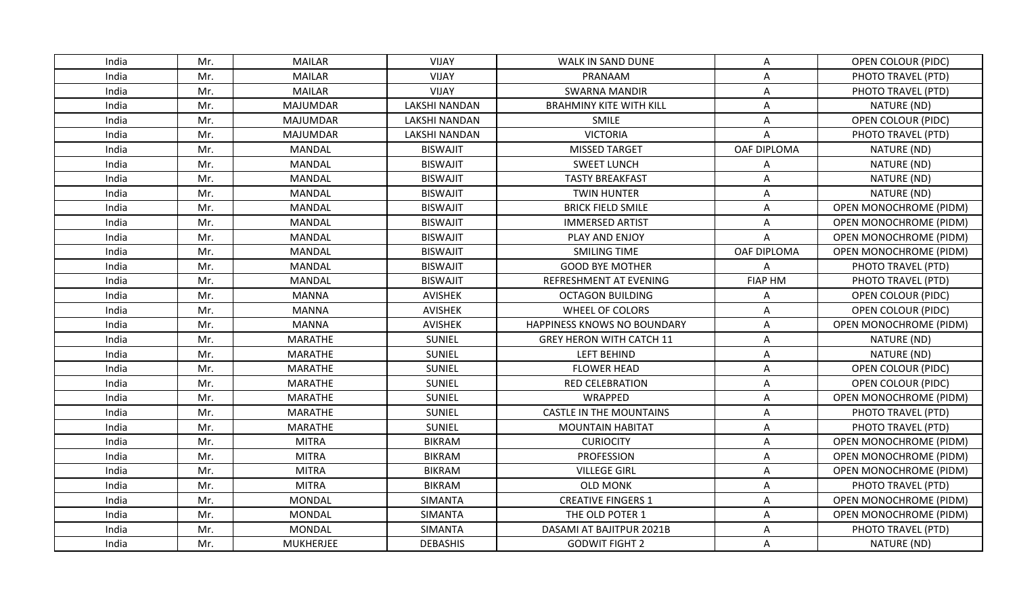| India | Mr. | <b>MAILAR</b>    | <b>VIJAY</b>         | WALK IN SAND DUNE               | A              | OPEN COLOUR (PIDC)            |
|-------|-----|------------------|----------------------|---------------------------------|----------------|-------------------------------|
| India | Mr. | <b>MAILAR</b>    | <b>VIJAY</b>         | PRANAAM                         | Α              | PHOTO TRAVEL (PTD)            |
| India | Mr. | <b>MAILAR</b>    | VIJAY                | <b>SWARNA MANDIR</b>            | A              | PHOTO TRAVEL (PTD)            |
| India | Mr. | <b>MAJUMDAR</b>  | <b>LAKSHI NANDAN</b> | <b>BRAHMINY KITE WITH KILL</b>  | A              | NATURE (ND)                   |
| India | Mr. | <b>MAJUMDAR</b>  | <b>LAKSHI NANDAN</b> | SMILE                           | A              | OPEN COLOUR (PIDC)            |
| India | Mr. | <b>MAJUMDAR</b>  | <b>LAKSHI NANDAN</b> | <b>VICTORIA</b>                 | A              | PHOTO TRAVEL (PTD)            |
| India | Mr. | MANDAL           | <b>BISWAJIT</b>      | <b>MISSED TARGET</b>            | OAF DIPLOMA    | NATURE (ND)                   |
| India | Mr. | MANDAL           | <b>BISWAJIT</b>      | <b>SWEET LUNCH</b>              | Α              | NATURE (ND)                   |
| India | Mr. | <b>MANDAL</b>    | <b>BISWAJIT</b>      | <b>TASTY BREAKFAST</b>          | Α              | NATURE (ND)                   |
| India | Mr. | MANDAL           | <b>BISWAJIT</b>      | <b>TWIN HUNTER</b>              | Α              | NATURE (ND)                   |
| India | Mr. | <b>MANDAL</b>    | <b>BISWAJIT</b>      | <b>BRICK FIELD SMILE</b>        | A              | <b>OPEN MONOCHROME (PIDM)</b> |
| India | Mr. | <b>MANDAL</b>    | <b>BISWAJIT</b>      | <b>IMMERSED ARTIST</b>          | A              | OPEN MONOCHROME (PIDM)        |
| India | Mr. | <b>MANDAL</b>    | <b>BISWAJIT</b>      | PLAY AND ENJOY                  | $\overline{A}$ | OPEN MONOCHROME (PIDM)        |
| India | Mr. | <b>MANDAL</b>    | <b>BISWAJIT</b>      | SMILING TIME                    | OAF DIPLOMA    | <b>OPEN MONOCHROME (PIDM)</b> |
| India | Mr. | MANDAL           | <b>BISWAJIT</b>      | <b>GOOD BYE MOTHER</b>          | Α              | PHOTO TRAVEL (PTD)            |
| India | Mr. | <b>MANDAL</b>    | <b>BISWAJIT</b>      | REFRESHMENT AT EVENING          | <b>FIAP HM</b> | PHOTO TRAVEL (PTD)            |
| India | Mr. | <b>MANNA</b>     | <b>AVISHEK</b>       | <b>OCTAGON BUILDING</b>         | Α              | OPEN COLOUR (PIDC)            |
| India | Mr. | <b>MANNA</b>     | <b>AVISHEK</b>       | WHEEL OF COLORS                 | A              | OPEN COLOUR (PIDC)            |
| India | Mr. | <b>MANNA</b>     | AVISHEK              | HAPPINESS KNOWS NO BOUNDARY     | A              | <b>OPEN MONOCHROME (PIDM)</b> |
| India | Mr. | MARATHE          | SUNIEL               | <b>GREY HERON WITH CATCH 11</b> | Α              | NATURE (ND)                   |
| India | Mr. | MARATHE          | <b>SUNIEL</b>        | <b>LEFT BEHIND</b>              | Α              | NATURE (ND)                   |
| India | Mr. | MARATHE          | SUNIEL               | <b>FLOWER HEAD</b>              | A              | <b>OPEN COLOUR (PIDC)</b>     |
| India | Mr. | <b>MARATHE</b>   | <b>SUNIEL</b>        | <b>RED CELEBRATION</b>          | Α              | <b>OPEN COLOUR (PIDC)</b>     |
| India | Mr. | <b>MARATHE</b>   | SUNIEL               | WRAPPED                         | Α              | OPEN MONOCHROME (PIDM)        |
| India | Mr. | <b>MARATHE</b>   | <b>SUNIEL</b>        | <b>CASTLE IN THE MOUNTAINS</b>  | Α              | PHOTO TRAVEL (PTD)            |
| India | Mr. | <b>MARATHE</b>   | <b>SUNIEL</b>        | <b>MOUNTAIN HABITAT</b>         | A              | PHOTO TRAVEL (PTD)            |
| India | Mr. | <b>MITRA</b>     | <b>BIKRAM</b>        | <b>CURIOCITY</b>                | A              | OPEN MONOCHROME (PIDM)        |
| India | Mr. | <b>MITRA</b>     | <b>BIKRAM</b>        | <b>PROFESSION</b>               | Α              | OPEN MONOCHROME (PIDM)        |
| India | Mr. | <b>MITRA</b>     | <b>BIKRAM</b>        | <b>VILLEGE GIRL</b>             | Α              | <b>OPEN MONOCHROME (PIDM)</b> |
| India | Mr. | <b>MITRA</b>     | <b>BIKRAM</b>        | <b>OLD MONK</b>                 | A              | PHOTO TRAVEL (PTD)            |
| India | Mr. | MONDAL           | <b>SIMANTA</b>       | <b>CREATIVE FINGERS 1</b>       | Α              | <b>OPEN MONOCHROME (PIDM)</b> |
| India | Mr. | <b>MONDAL</b>    | SIMANTA              | THE OLD POTER 1                 | A              | OPEN MONOCHROME (PIDM)        |
| India | Mr. | <b>MONDAL</b>    | <b>SIMANTA</b>       | DASAMI AT BAJITPUR 2021B        | A              | PHOTO TRAVEL (PTD)            |
| India | Mr. | <b>MUKHERJEE</b> | <b>DEBASHIS</b>      | <b>GODWIT FIGHT 2</b>           | A              | NATURE (ND)                   |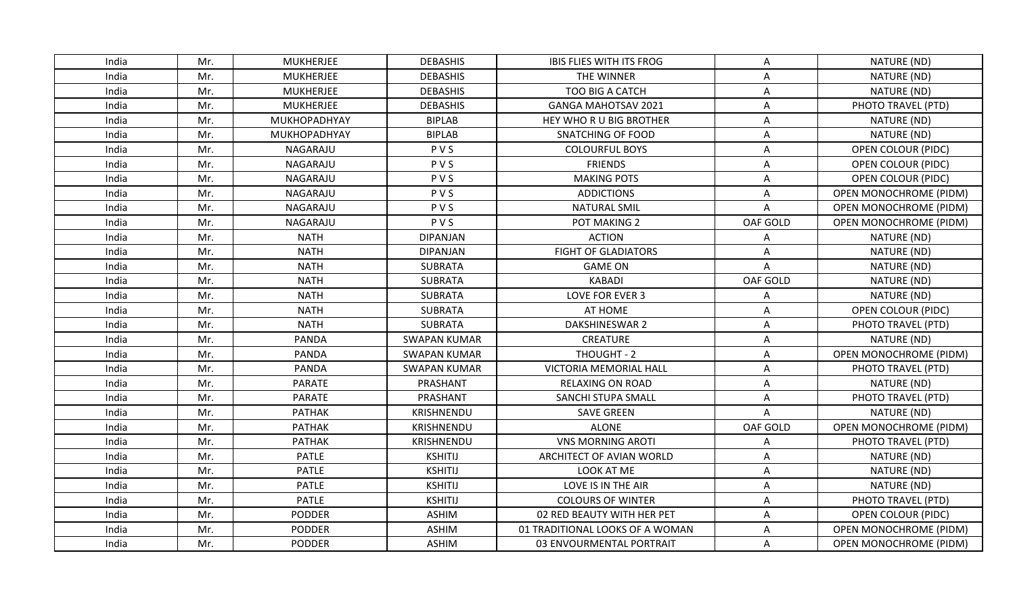| India | Mr. | <b>MUKHERJEE</b> | <b>DEBASHIS</b>     | <b>IBIS FLIES WITH ITS FROG</b> | A                         | NATURE (ND)                   |
|-------|-----|------------------|---------------------|---------------------------------|---------------------------|-------------------------------|
| India | Mr. | <b>MUKHERJEE</b> | <b>DEBASHIS</b>     | THE WINNER                      | A                         | NATURE (ND)                   |
| India | Mr. | <b>MUKHERJEE</b> | <b>DEBASHIS</b>     | TOO BIG A CATCH                 | A                         | NATURE (ND)                   |
| India | Mr. | <b>MUKHERJEE</b> | <b>DEBASHIS</b>     | <b>GANGA MAHOTSAV 2021</b>      | A                         | PHOTO TRAVEL (PTD)            |
| India | Mr. | MUKHOPADHYAY     | <b>BIPLAB</b>       | HEY WHO R U BIG BROTHER         | Α                         | NATURE (ND)                   |
| India | Mr. | MUKHOPADHYAY     | <b>BIPLAB</b>       | <b>SNATCHING OF FOOD</b>        | A                         | NATURE (ND)                   |
| India | Mr. | NAGARAJU         | PVS                 | <b>COLOURFUL BOYS</b>           | $\boldsymbol{\mathsf{A}}$ | OPEN COLOUR (PIDC)            |
| India | Mr. | NAGARAJU         | PVS                 | <b>FRIENDS</b>                  | A                         | <b>OPEN COLOUR (PIDC)</b>     |
| India | Mr. | NAGARAJU         | PVS                 | <b>MAKING POTS</b>              | A                         | OPEN COLOUR (PIDC)            |
| India | Mr. | NAGARAJU         | PVS                 | <b>ADDICTIONS</b>               | Α                         | <b>OPEN MONOCHROME (PIDM)</b> |
| India | Mr. | NAGARAJU         | PVS                 | <b>NATURAL SMIL</b>             | Α                         | <b>OPEN MONOCHROME (PIDM)</b> |
| India | Mr. | NAGARAJU         | PVS                 | POT MAKING 2                    | OAF GOLD                  | OPEN MONOCHROME (PIDM)        |
| India | Mr. | <b>NATH</b>      | <b>DIPANJAN</b>     | <b>ACTION</b>                   | Α                         | NATURE (ND)                   |
| India | Mr. | <b>NATH</b>      | <b>DIPANJAN</b>     | <b>FIGHT OF GLADIATORS</b>      | A                         | NATURE (ND)                   |
| India | Mr. | <b>NATH</b>      | <b>SUBRATA</b>      | <b>GAME ON</b>                  | A                         | NATURE (ND)                   |
| India | Mr. | <b>NATH</b>      | <b>SUBRATA</b>      | <b>KABADI</b>                   | OAF GOLD                  | NATURE (ND)                   |
| India | Mr. | <b>NATH</b>      | <b>SUBRATA</b>      | LOVE FOR EVER 3                 | А                         | NATURE (ND)                   |
| India | Mr. | <b>NATH</b>      | <b>SUBRATA</b>      | AT HOME                         | A                         | <b>OPEN COLOUR (PIDC)</b>     |
| India | Mr. | <b>NATH</b>      | <b>SUBRATA</b>      | DAKSHINESWAR 2                  | Α                         | PHOTO TRAVEL (PTD)            |
| India | Mr. | <b>PANDA</b>     | <b>SWAPAN KUMAR</b> | CREATURE                        | A                         | NATURE (ND)                   |
| India | Mr. | PANDA            | <b>SWAPAN KUMAR</b> | THOUGHT - 2                     | Α                         | OPEN MONOCHROME (PIDM)        |
| India | Mr. | <b>PANDA</b>     | <b>SWAPAN KUMAR</b> | <b>VICTORIA MEMORIAL HALL</b>   | A                         | PHOTO TRAVEL (PTD)            |
| India | Mr. | <b>PARATE</b>    | PRASHANT            | <b>RELAXING ON ROAD</b>         | Α                         | NATURE (ND)                   |
| India | Mr. | <b>PARATE</b>    | PRASHANT            | SANCHI STUPA SMALL              | A                         | PHOTO TRAVEL (PTD)            |
| India | Mr. | <b>PATHAK</b>    | KRISHNENDU          | <b>SAVE GREEN</b>               | A                         | NATURE (ND)                   |
| India | Mr. | <b>PATHAK</b>    | KRISHNENDU          | <b>ALONE</b>                    | OAF GOLD                  | <b>OPEN MONOCHROME (PIDM)</b> |
| India | Mr. | <b>PATHAK</b>    | KRISHNENDU          | <b>VNS MORNING AROTI</b>        | Α                         | PHOTO TRAVEL (PTD)            |
| India | Mr. | <b>PATLE</b>     | <b>KSHITIJ</b>      | ARCHITECT OF AVIAN WORLD        | Α                         | NATURE (ND)                   |
| India | Mr. | <b>PATLE</b>     | <b>KSHITIJ</b>      | LOOK AT ME                      | A                         | NATURE (ND)                   |
| India | Mr. | <b>PATLE</b>     | <b>KSHITIJ</b>      | LOVE IS IN THE AIR              | Α                         | NATURE (ND)                   |
| India | Mr. | <b>PATLE</b>     | <b>KSHITIJ</b>      | <b>COLOURS OF WINTER</b>        | Α                         | PHOTO TRAVEL (PTD)            |
| India | Mr. | <b>PODDER</b>    | <b>ASHIM</b>        | 02 RED BEAUTY WITH HER PET      | A                         | OPEN COLOUR (PIDC)            |
| India | Mr. | <b>PODDER</b>    | <b>ASHIM</b>        | 01 TRADITIONAL LOOKS OF A WOMAN | A                         | <b>OPEN MONOCHROME (PIDM)</b> |
| India | Mr. | <b>PODDER</b>    | <b>ASHIM</b>        | 03 ENVOURMENTAL PORTRAIT        | A                         | OPEN MONOCHROME (PIDM)        |
|       |     |                  |                     |                                 |                           |                               |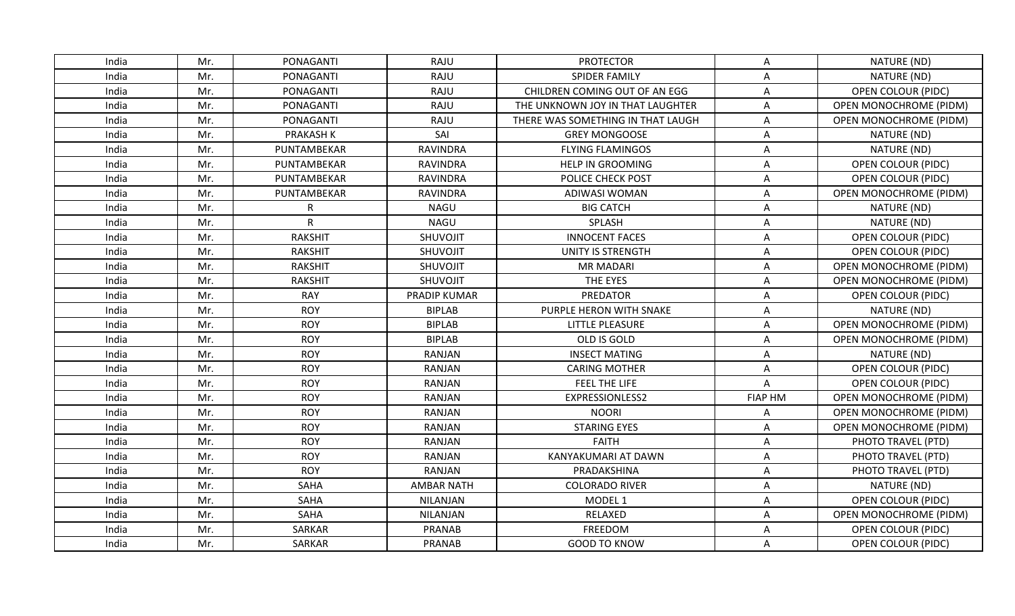| India | Mr. | PONAGANTI        | RAJU              | <b>PROTECTOR</b>                  | A                         | NATURE (ND)                   |
|-------|-----|------------------|-------------------|-----------------------------------|---------------------------|-------------------------------|
| India | Mr. | PONAGANTI        | <b>RAJU</b>       | <b>SPIDER FAMILY</b>              | $\boldsymbol{\mathsf{A}}$ | NATURE (ND)                   |
| India | Mr. | PONAGANTI        | RAJU              | CHILDREN COMING OUT OF AN EGG     | Α                         | <b>OPEN COLOUR (PIDC)</b>     |
| India | Mr. | PONAGANTI        | RAJU              | THE UNKNOWN JOY IN THAT LAUGHTER  | Α                         | OPEN MONOCHROME (PIDM)        |
| India | Mr. | PONAGANTI        | RAJU              | THERE WAS SOMETHING IN THAT LAUGH | Α                         | OPEN MONOCHROME (PIDM)        |
| India | Mr. | <b>PRAKASH K</b> | SAI               | <b>GREY MONGOOSE</b>              | A                         | NATURE (ND)                   |
| India | Mr. | PUNTAMBEKAR      | <b>RAVINDRA</b>   | <b>FLYING FLAMINGOS</b>           | A                         | NATURE (ND)                   |
| India | Mr. | PUNTAMBEKAR      | RAVINDRA          | <b>HELP IN GROOMING</b>           | A                         | <b>OPEN COLOUR (PIDC)</b>     |
| India | Mr. | PUNTAMBEKAR      | <b>RAVINDRA</b>   | POLICE CHECK POST                 | Α                         | <b>OPEN COLOUR (PIDC)</b>     |
| India | Mr. | PUNTAMBEKAR      | <b>RAVINDRA</b>   | ADIWASI WOMAN                     | Α                         | OPEN MONOCHROME (PIDM)        |
| India | Mr. | R                | <b>NAGU</b>       | <b>BIG CATCH</b>                  | Α                         | NATURE (ND)                   |
| India | Mr. | $\mathsf{R}$     | <b>NAGU</b>       | SPLASH                            | A                         | NATURE (ND)                   |
| India | Mr. | <b>RAKSHIT</b>   | SHUVOJIT          | <b>INNOCENT FACES</b>             | A                         | <b>OPEN COLOUR (PIDC)</b>     |
| India | Mr. | <b>RAKSHIT</b>   | SHUVOJIT          | <b>UNITY IS STRENGTH</b>          | A                         | <b>OPEN COLOUR (PIDC)</b>     |
| India | Mr. | <b>RAKSHIT</b>   | SHUVOJIT          | <b>MR MADARI</b>                  | A                         | OPEN MONOCHROME (PIDM)        |
| India | Mr. | <b>RAKSHIT</b>   | SHUVOJIT          | THE EYES                          | A                         | <b>OPEN MONOCHROME (PIDM)</b> |
| India | Mr. | <b>RAY</b>       | PRADIP KUMAR      | PREDATOR                          | A                         | <b>OPEN COLOUR (PIDC)</b>     |
| India | Mr. | <b>ROY</b>       | <b>BIPLAB</b>     | PURPLE HERON WITH SNAKE           | A                         | NATURE (ND)                   |
| India | Mr. | <b>ROY</b>       | <b>BIPLAB</b>     | <b>LITTLE PLEASURE</b>            | Α                         | OPEN MONOCHROME (PIDM)        |
| India | Mr. | <b>ROY</b>       | <b>BIPLAB</b>     | OLD IS GOLD                       | Α                         | <b>OPEN MONOCHROME (PIDM)</b> |
| India | Mr. | <b>ROY</b>       | <b>RANJAN</b>     | <b>INSECT MATING</b>              | Α                         | NATURE (ND)                   |
| India | Mr. | <b>ROY</b>       | RANJAN            | <b>CARING MOTHER</b>              | A                         | <b>OPEN COLOUR (PIDC)</b>     |
| India | Mr. | <b>ROY</b>       | <b>RANJAN</b>     | FEEL THE LIFE                     | A                         | <b>OPEN COLOUR (PIDC)</b>     |
| India | Mr. | <b>ROY</b>       | <b>RANJAN</b>     | EXPRESSIONLESS2                   | <b>FIAP HM</b>            | OPEN MONOCHROME (PIDM)        |
| India | Mr. | <b>ROY</b>       | <b>RANJAN</b>     | <b>NOORI</b>                      | Α                         | <b>OPEN MONOCHROME (PIDM)</b> |
| India | Mr. | <b>ROY</b>       | <b>RANJAN</b>     | <b>STARING EYES</b>               | Α                         | <b>OPEN MONOCHROME (PIDM)</b> |
| India | Mr. | <b>ROY</b>       | <b>RANJAN</b>     | <b>FAITH</b>                      | A                         | PHOTO TRAVEL (PTD)            |
| India | Mr. | <b>ROY</b>       | RANJAN            | KANYAKUMARI AT DAWN               | A                         | PHOTO TRAVEL (PTD)            |
| India | Mr. | <b>ROY</b>       | RANJAN            | PRADAKSHINA                       | Α                         | PHOTO TRAVEL (PTD)            |
| India | Mr. | SAHA             | <b>AMBAR NATH</b> | <b>COLORADO RIVER</b>             | $\boldsymbol{\mathsf{A}}$ | NATURE (ND)                   |
| India | Mr. | <b>SAHA</b>      | NILANJAN          | MODEL 1                           | Α                         | <b>OPEN COLOUR (PIDC)</b>     |
| India | Mr. | SAHA             | NILANJAN          | RELAXED                           | Α                         | OPEN MONOCHROME (PIDM)        |
| India | Mr. | SARKAR           | <b>PRANAB</b>     | FREEDOM                           | A                         | <b>OPEN COLOUR (PIDC)</b>     |
| India | Mr. | SARKAR           | PRANAB            | <b>GOOD TO KNOW</b>               | A                         | OPEN COLOUR (PIDC)            |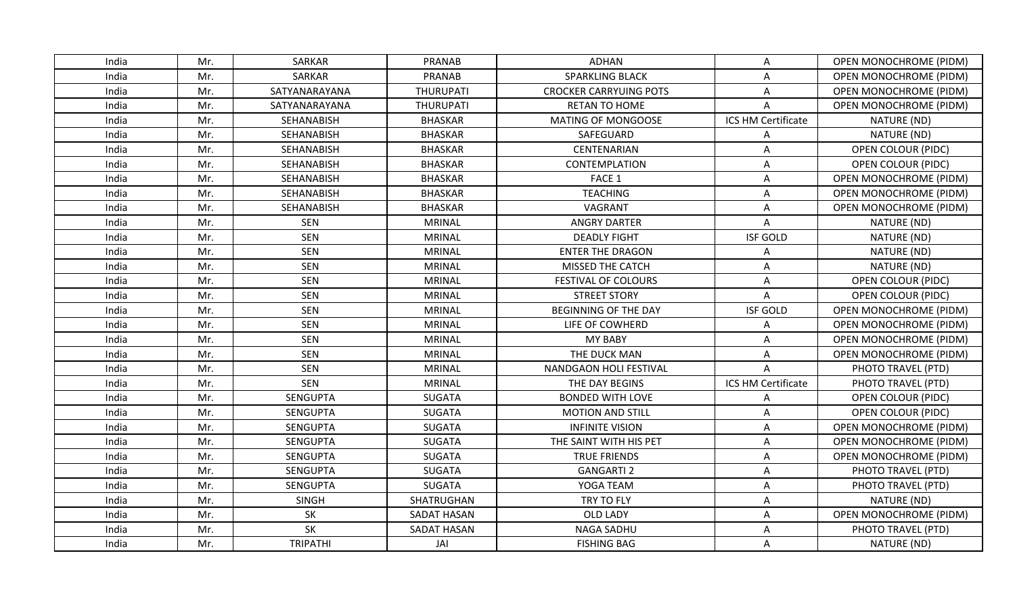| India | Mr. | <b>SARKAR</b>   | <b>PRANAB</b>    | <b>ADHAN</b>                  | A                  | <b>OPEN MONOCHROME (PIDM)</b> |
|-------|-----|-----------------|------------------|-------------------------------|--------------------|-------------------------------|
| India | Mr. | <b>SARKAR</b>   | <b>PRANAB</b>    | <b>SPARKLING BLACK</b>        | A                  | OPEN MONOCHROME (PIDM)        |
| India | Mr. | SATYANARAYANA   | <b>THURUPATI</b> | <b>CROCKER CARRYUING POTS</b> | A                  | OPEN MONOCHROME (PIDM)        |
| India | Mr. | SATYANARAYANA   | <b>THURUPATI</b> | <b>RETAN TO HOME</b>          | A                  | OPEN MONOCHROME (PIDM)        |
| India | Mr. | SEHANABISH      | <b>BHASKAR</b>   | <b>MATING OF MONGOOSE</b>     | ICS HM Certificate | NATURE (ND)                   |
| India | Mr. | SEHANABISH      | <b>BHASKAR</b>   | SAFEGUARD                     | A                  | NATURE (ND)                   |
| India | Mr. | SEHANABISH      | <b>BHASKAR</b>   | CENTENARIAN                   | A                  | OPEN COLOUR (PIDC)            |
| India | Mr. | SEHANABISH      | <b>BHASKAR</b>   | CONTEMPLATION                 | A                  | <b>OPEN COLOUR (PIDC)</b>     |
| India | Mr. | SEHANABISH      | <b>BHASKAR</b>   | FACE 1                        | Α                  | <b>OPEN MONOCHROME (PIDM)</b> |
| India | Mr. | SEHANABISH      | <b>BHASKAR</b>   | <b>TEACHING</b>               | A                  | OPEN MONOCHROME (PIDM)        |
| India | Mr. | SEHANABISH      | <b>BHASKAR</b>   | VAGRANT                       | A                  | <b>OPEN MONOCHROME (PIDM)</b> |
| India | Mr. | <b>SEN</b>      | <b>MRINAL</b>    | <b>ANGRY DARTER</b>           | Α                  | NATURE (ND)                   |
| India | Mr. | <b>SEN</b>      | <b>MRINAL</b>    | <b>DEADLY FIGHT</b>           | <b>ISF GOLD</b>    | NATURE (ND)                   |
| India | Mr. | <b>SEN</b>      | <b>MRINAL</b>    | <b>ENTER THE DRAGON</b>       | Α                  | NATURE (ND)                   |
| India | Mr. | SEN             | <b>MRINAL</b>    | MISSED THE CATCH              | Α                  | NATURE (ND)                   |
| India | Mr. | <b>SEN</b>      | <b>MRINAL</b>    | FESTIVAL OF COLOURS           | Α                  | <b>OPEN COLOUR (PIDC)</b>     |
| India | Mr. | <b>SEN</b>      | <b>MRINAL</b>    | <b>STREET STORY</b>           | A                  | <b>OPEN COLOUR (PIDC)</b>     |
| India | Mr. | SEN             | <b>MRINAL</b>    | <b>BEGINNING OF THE DAY</b>   | <b>ISF GOLD</b>    | OPEN MONOCHROME (PIDM)        |
| India | Mr. | <b>SEN</b>      | <b>MRINAL</b>    | LIFE OF COWHERD               | Α                  | OPEN MONOCHROME (PIDM)        |
| India | Mr. | <b>SEN</b>      | <b>MRINAL</b>    | MY BABY                       | A                  | <b>OPEN MONOCHROME (PIDM)</b> |
| India | Mr. | <b>SEN</b>      | <b>MRINAL</b>    | THE DUCK MAN                  | A                  | OPEN MONOCHROME (PIDM)        |
| India | Mr. | <b>SEN</b>      | <b>MRINAL</b>    | NANDGAON HOLI FESTIVAL        | A                  | PHOTO TRAVEL (PTD)            |
| India | Mr. | <b>SEN</b>      | <b>MRINAL</b>    | THE DAY BEGINS                | ICS HM Certificate | PHOTO TRAVEL (PTD)            |
| India | Mr. | <b>SENGUPTA</b> | <b>SUGATA</b>    | <b>BONDED WITH LOVE</b>       | A                  | OPEN COLOUR (PIDC)            |
| India | Mr. | <b>SENGUPTA</b> | <b>SUGATA</b>    | <b>MOTION AND STILL</b>       | A                  | <b>OPEN COLOUR (PIDC)</b>     |
| India | Mr. | <b>SENGUPTA</b> | <b>SUGATA</b>    | <b>INFINITE VISION</b>        | Α                  | OPEN MONOCHROME (PIDM)        |
| India | Mr. | <b>SENGUPTA</b> | <b>SUGATA</b>    | THE SAINT WITH HIS PET        | Α                  | <b>OPEN MONOCHROME (PIDM)</b> |
| India | Mr. | <b>SENGUPTA</b> | <b>SUGATA</b>    | <b>TRUE FRIENDS</b>           | A                  | OPEN MONOCHROME (PIDM)        |
| India | Mr. | <b>SENGUPTA</b> | <b>SUGATA</b>    | <b>GANGARTI 2</b>             | A                  | PHOTO TRAVEL (PTD)            |
| India | Mr. | <b>SENGUPTA</b> | <b>SUGATA</b>    | YOGA TEAM                     | Α                  | PHOTO TRAVEL (PTD)            |
| India | Mr. | <b>SINGH</b>    | SHATRUGHAN       | TRY TO FLY                    | Α                  | NATURE (ND)                   |
| India | Mr. | SK              | SADAT HASAN      | <b>OLD LADY</b>               | A                  | <b>OPEN MONOCHROME (PIDM)</b> |
| India | Mr. | SK              | SADAT HASAN      | <b>NAGA SADHU</b>             | A                  | PHOTO TRAVEL (PTD)            |
| India | Mr. | <b>TRIPATHI</b> | JAI              | <b>FISHING BAG</b>            | A                  | NATURE (ND)                   |
|       |     |                 |                  |                               |                    |                               |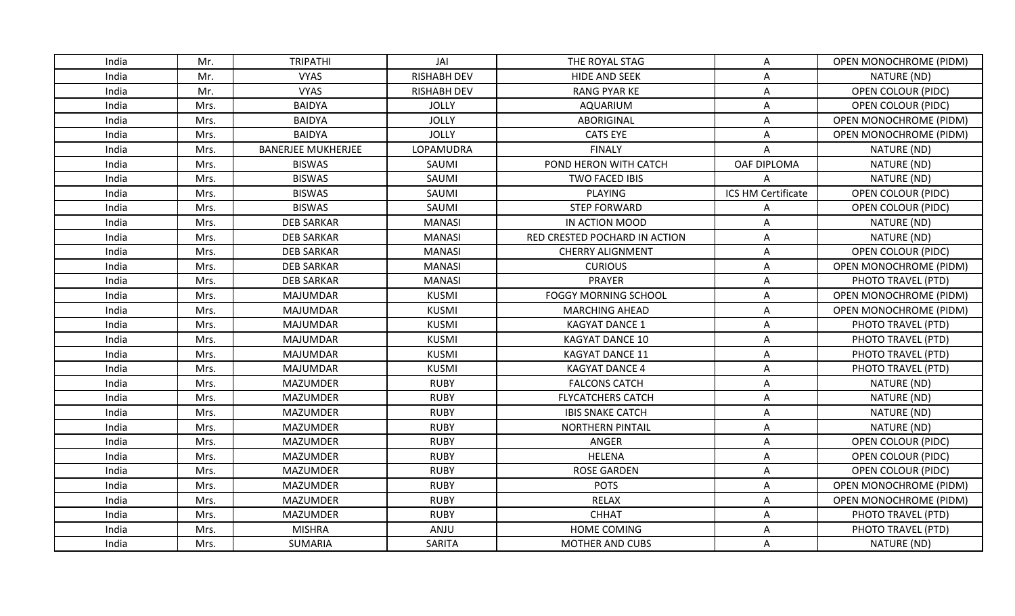| India | Mr.  | <b>TRIPATHI</b>           |                    |                               |                    |                               |
|-------|------|---------------------------|--------------------|-------------------------------|--------------------|-------------------------------|
|       |      |                           | JAI                | THE ROYAL STAG                | A                  | OPEN MONOCHROME (PIDM)        |
| India | Mr.  | <b>VYAS</b>               | <b>RISHABH DEV</b> | <b>HIDE AND SEEK</b>          | A                  | NATURE (ND)                   |
| India | Mr.  | <b>VYAS</b>               | <b>RISHABH DEV</b> | <b>RANG PYAR KE</b>           | Α                  | <b>OPEN COLOUR (PIDC)</b>     |
| India | Mrs. | <b>BAIDYA</b>             | <b>JOLLY</b>       | AQUARIUM                      | Α                  | <b>OPEN COLOUR (PIDC)</b>     |
| India | Mrs. | <b>BAIDYA</b>             | <b>JOLLY</b>       | ABORIGINAL                    | A                  | <b>OPEN MONOCHROME (PIDM)</b> |
| India | Mrs. | <b>BAIDYA</b>             | <b>JOLLY</b>       | <b>CATS EYE</b>               | Α                  | <b>OPEN MONOCHROME (PIDM)</b> |
| India | Mrs. | <b>BANERJEE MUKHERJEE</b> | LOPAMUDRA          | <b>FINALY</b>                 | A                  | NATURE (ND)                   |
| India | Mrs. | <b>BISWAS</b>             | SAUMI              | POND HERON WITH CATCH         | OAF DIPLOMA        | NATURE (ND)                   |
| India | Mrs. | <b>BISWAS</b>             | SAUMI              | <b>TWO FACED IBIS</b>         | A                  | NATURE (ND)                   |
| India | Mrs. | <b>BISWAS</b>             | SAUMI              | <b>PLAYING</b>                | ICS HM Certificate | OPEN COLOUR (PIDC)            |
| India | Mrs. | <b>BISWAS</b>             | SAUMI              | <b>STEP FORWARD</b>           | A                  | <b>OPEN COLOUR (PIDC)</b>     |
| India | Mrs. | <b>DEB SARKAR</b>         | <b>MANASI</b>      | IN ACTION MOOD                | A                  | NATURE (ND)                   |
| India | Mrs. | <b>DEB SARKAR</b>         | <b>MANASI</b>      | RED CRESTED POCHARD IN ACTION | Α                  | NATURE (ND)                   |
| India | Mrs. | <b>DEB SARKAR</b>         | <b>MANASI</b>      | <b>CHERRY ALIGNMENT</b>       | A                  | <b>OPEN COLOUR (PIDC)</b>     |
| India | Mrs. | <b>DEB SARKAR</b>         | <b>MANASI</b>      | <b>CURIOUS</b>                | Α                  | <b>OPEN MONOCHROME (PIDM)</b> |
| India | Mrs. | <b>DEB SARKAR</b>         | <b>MANASI</b>      | PRAYER                        | $\mathsf{A}$       | PHOTO TRAVEL (PTD)            |
| India | Mrs. | <b>MAJUMDAR</b>           | <b>KUSMI</b>       | <b>FOGGY MORNING SCHOOL</b>   | A                  | OPEN MONOCHROME (PIDM)        |
| India | Mrs. | <b>MAJUMDAR</b>           | <b>KUSMI</b>       | <b>MARCHING AHEAD</b>         | A                  | OPEN MONOCHROME (PIDM)        |
| India | Mrs. | <b>MAJUMDAR</b>           | <b>KUSMI</b>       | <b>KAGYAT DANCE 1</b>         | A                  | PHOTO TRAVEL (PTD)            |
| India | Mrs. | <b>MAJUMDAR</b>           | <b>KUSMI</b>       | <b>KAGYAT DANCE 10</b>        | Α                  | PHOTO TRAVEL (PTD)            |
| India | Mrs. | <b>MAJUMDAR</b>           | <b>KUSMI</b>       | <b>KAGYAT DANCE 11</b>        | Α                  | PHOTO TRAVEL (PTD)            |
| India | Mrs. | <b>MAJUMDAR</b>           | <b>KUSMI</b>       | <b>KAGYAT DANCE 4</b>         | A                  | PHOTO TRAVEL (PTD)            |
| India | Mrs. | <b>MAZUMDER</b>           | <b>RUBY</b>        | <b>FALCONS CATCH</b>          | A                  | NATURE (ND)                   |
| India | Mrs. | <b>MAZUMDER</b>           | <b>RUBY</b>        | <b>FLYCATCHERS CATCH</b>      | A                  | NATURE (ND)                   |
| India | Mrs. | <b>MAZUMDER</b>           | <b>RUBY</b>        | <b>IBIS SNAKE CATCH</b>       | Α                  | NATURE (ND)                   |
| India | Mrs. | <b>MAZUMDER</b>           | <b>RUBY</b>        | <b>NORTHERN PINTAIL</b>       | Α                  | NATURE (ND)                   |
| India | Mrs. | <b>MAZUMDER</b>           | <b>RUBY</b>        | ANGER                         | A                  | <b>OPEN COLOUR (PIDC)</b>     |
| India | Mrs. | <b>MAZUMDER</b>           | <b>RUBY</b>        | <b>HELENA</b>                 | A                  | <b>OPEN COLOUR (PIDC)</b>     |
| India | Mrs. | <b>MAZUMDER</b>           | <b>RUBY</b>        | <b>ROSE GARDEN</b>            | Α                  | OPEN COLOUR (PIDC)            |
| India | Mrs. | <b>MAZUMDER</b>           | <b>RUBY</b>        | <b>POTS</b>                   | A                  | <b>OPEN MONOCHROME (PIDM)</b> |
| India | Mrs. | <b>MAZUMDER</b>           | <b>RUBY</b>        | <b>RELAX</b>                  | Α                  | OPEN MONOCHROME (PIDM)        |
| India | Mrs. | <b>MAZUMDER</b>           | <b>RUBY</b>        | <b>CHHAT</b>                  | A                  | PHOTO TRAVEL (PTD)            |
| India | Mrs. | <b>MISHRA</b>             | ANJU               | <b>HOME COMING</b>            | A                  | PHOTO TRAVEL (PTD)            |
| India | Mrs. | SUMARIA                   | SARITA             | <b>MOTHER AND CUBS</b>        | A                  | NATURE (ND)                   |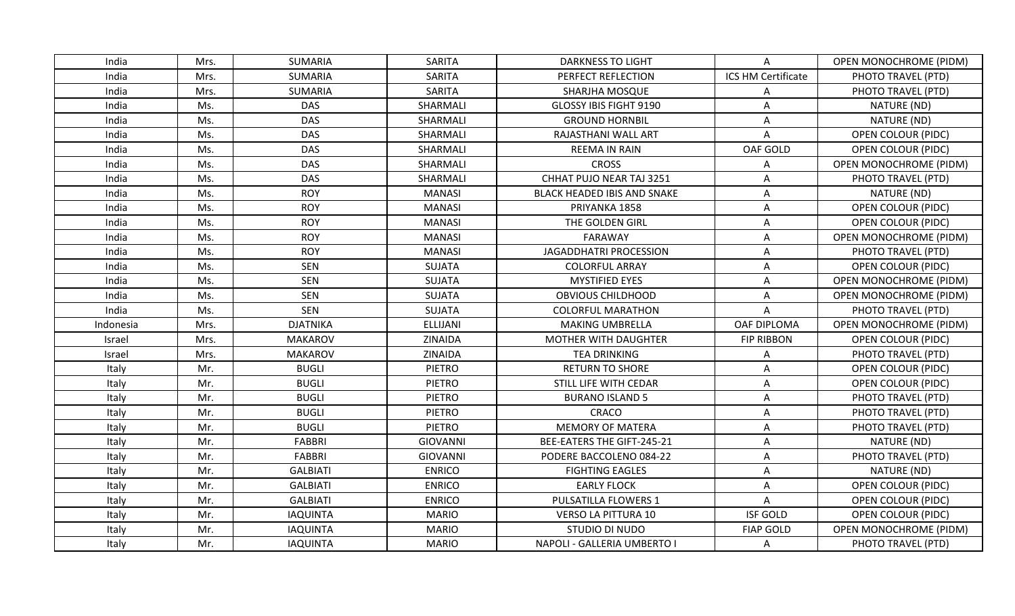| India     | Mrs. | <b>SUMARIA</b>  | <b>SARITA</b>   | <b>DARKNESS TO LIGHT</b>           | A                         | <b>OPEN MONOCHROME (PIDM)</b> |
|-----------|------|-----------------|-----------------|------------------------------------|---------------------------|-------------------------------|
| India     | Mrs. | <b>SUMARIA</b>  | <b>SARITA</b>   | PERFECT REFLECTION                 | ICS HM Certificate        | PHOTO TRAVEL (PTD)            |
| India     | Mrs. | SUMARIA         | SARITA          | SHARJHA MOSQUE                     | Α                         | PHOTO TRAVEL (PTD)            |
| India     | Ms.  | DAS             | SHARMALI        | GLOSSY IBIS FIGHT 9190             | A                         | NATURE (ND)                   |
| India     | Ms.  | <b>DAS</b>      | SHARMALI        | <b>GROUND HORNBIL</b>              | Α                         | NATURE (ND)                   |
| India     | Ms.  | <b>DAS</b>      | SHARMALI        | RAJASTHANI WALL ART                | Α                         | OPEN COLOUR (PIDC)            |
| India     | Ms.  | DAS             | SHARMALI        | <b>REEMA IN RAIN</b>               | OAF GOLD                  | OPEN COLOUR (PIDC)            |
| India     | Ms.  | DAS             | SHARMALI        | <b>CROSS</b>                       | Α                         | <b>OPEN MONOCHROME (PIDM)</b> |
| India     | Ms.  | <b>DAS</b>      | SHARMALI        | CHHAT PUJO NEAR TAJ 3251           | Α                         | PHOTO TRAVEL (PTD)            |
| India     | Ms.  | <b>ROY</b>      | <b>MANASI</b>   | <b>BLACK HEADED IBIS AND SNAKE</b> | Α                         | NATURE (ND)                   |
| India     | Ms.  | <b>ROY</b>      | <b>MANASI</b>   | PRIYANKA 1858                      | Α                         | OPEN COLOUR (PIDC)            |
| India     | Ms.  | <b>ROY</b>      | <b>MANASI</b>   | THE GOLDEN GIRL                    | A                         | <b>OPEN COLOUR (PIDC)</b>     |
| India     | Ms.  | <b>ROY</b>      | <b>MANASI</b>   | FARAWAY                            | Α                         | OPEN MONOCHROME (PIDM)        |
| India     | Ms.  | <b>ROY</b>      | <b>MANASI</b>   | JAGADDHATRI PROCESSION             | Α                         | PHOTO TRAVEL (PTD)            |
| India     | Ms.  | <b>SEN</b>      | SUJATA          | <b>COLORFUL ARRAY</b>              | A                         | OPEN COLOUR (PIDC)            |
| India     | Ms.  | <b>SEN</b>      | <b>SUJATA</b>   | <b>MYSTIFIED EYES</b>              | A                         | <b>OPEN MONOCHROME (PIDM)</b> |
| India     | Ms.  | <b>SEN</b>      | <b>SUJATA</b>   | <b>OBVIOUS CHILDHOOD</b>           | A                         | OPEN MONOCHROME (PIDM)        |
| India     | Ms.  | <b>SEN</b>      | SUJATA          | <b>COLORFUL MARATHON</b>           | Α                         | PHOTO TRAVEL (PTD)            |
| Indonesia | Mrs. | <b>DJATNIKA</b> | ELLIJANI        | <b>MAKING UMBRELLA</b>             | OAF DIPLOMA               | <b>OPEN MONOCHROME (PIDM)</b> |
| Israel    | Mrs. | <b>MAKAROV</b>  | ZINAIDA         | MOTHER WITH DAUGHTER               | <b>FIP RIBBON</b>         | <b>OPEN COLOUR (PIDC)</b>     |
| Israel    | Mrs. | <b>MAKAROV</b>  | ZINAIDA         | <b>TEA DRINKING</b>                | A                         | PHOTO TRAVEL (PTD)            |
| Italy     | Mr.  | <b>BUGLI</b>    | <b>PIETRO</b>   | <b>RETURN TO SHORE</b>             | Α                         | <b>OPEN COLOUR (PIDC)</b>     |
| Italy     | Mr.  | <b>BUGLI</b>    | <b>PIETRO</b>   | STILL LIFE WITH CEDAR              | A                         | OPEN COLOUR (PIDC)            |
| Italy     | Mr.  | <b>BUGLI</b>    | <b>PIETRO</b>   | <b>BURANO ISLAND 5</b>             | Α                         | PHOTO TRAVEL (PTD)            |
| Italy     | Mr.  | <b>BUGLI</b>    | <b>PIETRO</b>   | CRACO                              | Α                         | PHOTO TRAVEL (PTD)            |
| Italy     | Mr.  | <b>BUGLI</b>    | <b>PIETRO</b>   | <b>MEMORY OF MATERA</b>            | A                         | PHOTO TRAVEL (PTD)            |
| Italy     | Mr.  | <b>FABBRI</b>   | <b>GIOVANNI</b> | BEE-EATERS THE GIFT-245-21         | A                         | NATURE (ND)                   |
| Italy     | Mr.  | <b>FABBRI</b>   | <b>GIOVANNI</b> | PODERE BACCOLENO 084-22            | A                         | PHOTO TRAVEL (PTD)            |
| Italy     | Mr.  | <b>GALBIATI</b> | <b>ENRICO</b>   | <b>FIGHTING EAGLES</b>             | Α                         | NATURE (ND)                   |
| Italy     | Mr.  | <b>GALBIATI</b> | <b>ENRICO</b>   | <b>EARLY FLOCK</b>                 | $\boldsymbol{\mathsf{A}}$ | <b>OPEN COLOUR (PIDC)</b>     |
| Italy     | Mr.  | <b>GALBIATI</b> | <b>ENRICO</b>   | PULSATILLA FLOWERS 1               | Α                         | <b>OPEN COLOUR (PIDC)</b>     |
| Italy     | Mr.  | <b>IAQUINTA</b> | <b>MARIO</b>    | <b>VERSO LA PITTURA 10</b>         | <b>ISF GOLD</b>           | OPEN COLOUR (PIDC)            |
| Italy     | Mr.  | <b>IAQUINTA</b> | <b>MARIO</b>    | STUDIO DI NUDO                     | <b>FIAP GOLD</b>          | OPEN MONOCHROME (PIDM)        |
| Italy     | Mr.  | <b>IAQUINTA</b> | <b>MARIO</b>    | NAPOLI - GALLERIA UMBERTO I        | Α                         | PHOTO TRAVEL (PTD)            |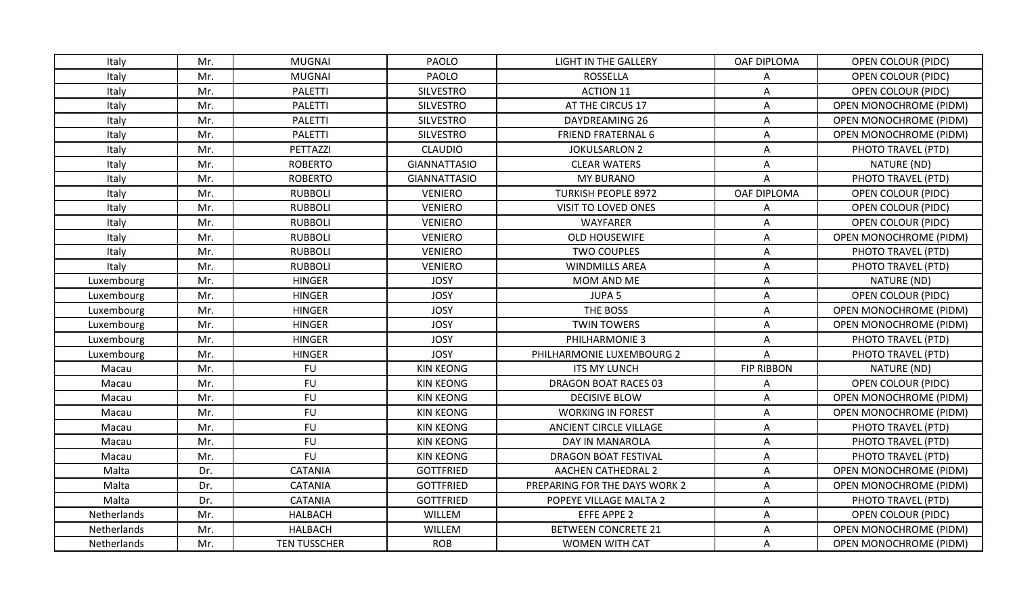| Italy       | Mr. | <b>MUGNAI</b>       | <b>PAOLO</b>        | <b>LIGHT IN THE GALLERY</b>   | OAF DIPLOMA               | OPEN COLOUR (PIDC)            |
|-------------|-----|---------------------|---------------------|-------------------------------|---------------------------|-------------------------------|
| Italy       | Mr. | <b>MUGNAI</b>       | PAOLO               | <b>ROSSELLA</b>               | Α                         | OPEN COLOUR (PIDC)            |
| Italy       | Mr. | <b>PALETTI</b>      | <b>SILVESTRO</b>    | <b>ACTION 11</b>              | Α                         | <b>OPEN COLOUR (PIDC)</b>     |
| Italy       | Mr. | <b>PALETTI</b>      | <b>SILVESTRO</b>    | AT THE CIRCUS 17              | $\mathsf{A}$              | <b>OPEN MONOCHROME (PIDM)</b> |
| Italy       | Mr. | <b>PALETTI</b>      | <b>SILVESTRO</b>    | DAYDREAMING 26                | A                         | <b>OPEN MONOCHROME (PIDM)</b> |
| Italy       | Mr. | <b>PALETTI</b>      | <b>SILVESTRO</b>    | <b>FRIEND FRATERNAL 6</b>     | A                         | <b>OPEN MONOCHROME (PIDM)</b> |
| Italy       | Mr. | PETTAZZI            | <b>CLAUDIO</b>      | <b>JOKULSARLON 2</b>          | A                         | PHOTO TRAVEL (PTD)            |
| Italy       | Mr. | <b>ROBERTO</b>      | <b>GIANNATTASIO</b> | <b>CLEAR WATERS</b>           | Α                         | NATURE (ND)                   |
| Italy       | Mr. | <b>ROBERTO</b>      | <b>GIANNATTASIO</b> | <b>MY BURANO</b>              | Α                         | PHOTO TRAVEL (PTD)            |
| Italy       | Mr. | <b>RUBBOLI</b>      | <b>VENIERO</b>      | <b>TURKISH PEOPLE 8972</b>    | OAF DIPLOMA               | OPEN COLOUR (PIDC)            |
| Italy       | Mr. | <b>RUBBOLI</b>      | <b>VENIERO</b>      | VISIT TO LOVED ONES           | Α                         | <b>OPEN COLOUR (PIDC)</b>     |
| Italy       | Mr. | <b>RUBBOLI</b>      | <b>VENIERO</b>      | WAYFARER                      | A                         | <b>OPEN COLOUR (PIDC)</b>     |
| Italy       | Mr. | <b>RUBBOLI</b>      | <b>VENIERO</b>      | OLD HOUSEWIFE                 | Α                         | OPEN MONOCHROME (PIDM)        |
| Italy       | Mr. | <b>RUBBOLI</b>      | <b>VENIERO</b>      | <b>TWO COUPLES</b>            | Α                         | PHOTO TRAVEL (PTD)            |
| Italy       | Mr. | <b>RUBBOLI</b>      | <b>VENIERO</b>      | <b>WINDMILLS AREA</b>         | Α                         | PHOTO TRAVEL (PTD)            |
| Luxembourg  | Mr. | <b>HINGER</b>       | <b>JOSY</b>         | MOM AND ME                    | $\mathsf{A}$              | NATURE (ND)                   |
| Luxembourg  | Mr. | <b>HINGER</b>       | <b>JOSY</b>         | JUPA <sub>5</sub>             | $\boldsymbol{\mathsf{A}}$ | <b>OPEN COLOUR (PIDC)</b>     |
| Luxembourg  | Mr. | <b>HINGER</b>       | <b>JOSY</b>         | THE BOSS                      | A                         | OPEN MONOCHROME (PIDM)        |
| Luxembourg  | Mr. | <b>HINGER</b>       | <b>JOSY</b>         | <b>TWIN TOWERS</b>            | A                         | <b>OPEN MONOCHROME (PIDM)</b> |
| Luxembourg  | Mr. | <b>HINGER</b>       | <b>JOSY</b>         | PHILHARMONIE 3                | Α                         | PHOTO TRAVEL (PTD)            |
| Luxembourg  | Mr. | <b>HINGER</b>       | <b>JOSY</b>         | PHILHARMONIE LUXEMBOURG 2     | Α                         | PHOTO TRAVEL (PTD)            |
| Macau       | Mr. | <b>FU</b>           | <b>KIN KEONG</b>    | <b>ITS MY LUNCH</b>           | <b>FIP RIBBON</b>         | NATURE (ND)                   |
| Macau       | Mr. | <b>FU</b>           | <b>KIN KEONG</b>    | <b>DRAGON BOAT RACES 03</b>   | A                         | OPEN COLOUR (PIDC)            |
| Macau       | Mr. | <b>FU</b>           | <b>KIN KEONG</b>    | <b>DECISIVE BLOW</b>          | Α                         | OPEN MONOCHROME (PIDM)        |
| Macau       | Mr. | <b>FU</b>           | <b>KIN KEONG</b>    | <b>WORKING IN FOREST</b>      | Α                         | <b>OPEN MONOCHROME (PIDM)</b> |
| Macau       | Mr. | <b>FU</b>           | <b>KIN KEONG</b>    | ANCIENT CIRCLE VILLAGE        | A                         | PHOTO TRAVEL (PTD)            |
| Macau       | Mr. | <b>FU</b>           | <b>KIN KEONG</b>    | DAY IN MANAROLA               | A                         | PHOTO TRAVEL (PTD)            |
| Macau       | Mr. | <b>FU</b>           | <b>KIN KEONG</b>    | <b>DRAGON BOAT FESTIVAL</b>   | Α                         | PHOTO TRAVEL (PTD)            |
| Malta       | Dr. | CATANIA             | <b>GOTTFRIED</b>    | <b>AACHEN CATHEDRAL 2</b>     | Α                         | <b>OPEN MONOCHROME (PIDM)</b> |
| Malta       | Dr. | <b>CATANIA</b>      | <b>GOTTFRIED</b>    | PREPARING FOR THE DAYS WORK 2 | A                         | OPEN MONOCHROME (PIDM)        |
| Malta       | Dr. | CATANIA             | <b>GOTTFRIED</b>    | POPEYE VILLAGE MALTA 2        | A                         | PHOTO TRAVEL (PTD)            |
| Netherlands | Mr. | <b>HALBACH</b>      | WILLEM              | <b>EFFE APPE 2</b>            | $\mathsf{A}$              | <b>OPEN COLOUR (PIDC)</b>     |
| Netherlands | Mr. | <b>HALBACH</b>      | WILLEM              | <b>BETWEEN CONCRETE 21</b>    | A                         | OPEN MONOCHROME (PIDM)        |
| Netherlands | Mr. | <b>TEN TUSSCHER</b> | <b>ROB</b>          | <b>WOMEN WITH CAT</b>         | A                         | <b>OPEN MONOCHROME (PIDM)</b> |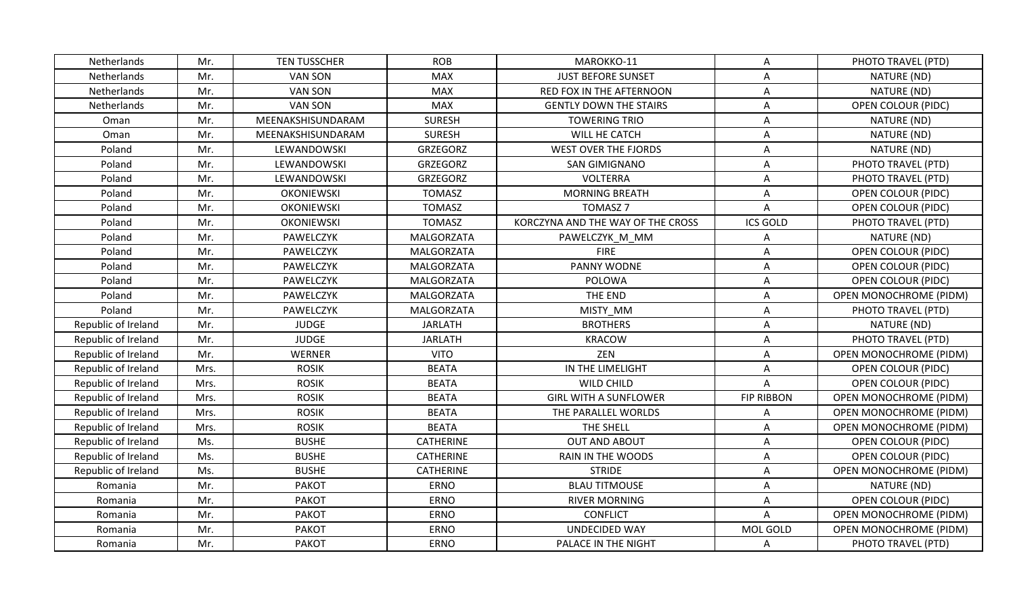| Netherlands         | Mr.  | <b>TEN TUSSCHER</b> | <b>ROB</b>       | MAROKKO-11                        | A                 | PHOTO TRAVEL (PTD)            |
|---------------------|------|---------------------|------------------|-----------------------------------|-------------------|-------------------------------|
| Netherlands         | Mr.  | <b>VAN SON</b>      | <b>MAX</b>       | <b>JUST BEFORE SUNSET</b>         | A                 | NATURE (ND)                   |
| Netherlands         | Mr.  | <b>VAN SON</b>      | <b>MAX</b>       | RED FOX IN THE AFTERNOON          | Α                 | NATURE (ND)                   |
| Netherlands         | Mr.  | <b>VAN SON</b>      | <b>MAX</b>       | <b>GENTLY DOWN THE STAIRS</b>     | A                 | OPEN COLOUR (PIDC)            |
| Oman                | Mr.  | MEENAKSHISUNDARAM   | <b>SURESH</b>    | <b>TOWERING TRIO</b>              | A                 | NATURE (ND)                   |
| Oman                | Mr.  | MEENAKSHISUNDARAM   | <b>SURESH</b>    | WILL HE CATCH                     | A                 | NATURE (ND)                   |
| Poland              | Mr.  | LEWANDOWSKI         | <b>GRZEGORZ</b>  | <b>WEST OVER THE FJORDS</b>       | A                 | NATURE (ND)                   |
| Poland              | Mr.  | LEWANDOWSKI         | GRZEGORZ         | <b>SAN GIMIGNANO</b>              | A                 | PHOTO TRAVEL (PTD)            |
| Poland              | Mr.  | LEWANDOWSKI         | GRZEGORZ         | <b>VOLTERRA</b>                   | Α                 | PHOTO TRAVEL (PTD)            |
| Poland              | Mr.  | <b>OKONIEWSKI</b>   | <b>TOMASZ</b>    | <b>MORNING BREATH</b>             | A                 | OPEN COLOUR (PIDC)            |
| Poland              | Mr.  | <b>OKONIEWSKI</b>   | <b>TOMASZ</b>    | <b>TOMASZ 7</b>                   | Α                 | <b>OPEN COLOUR (PIDC)</b>     |
| Poland              | Mr.  | <b>OKONIEWSKI</b>   | <b>TOMASZ</b>    | KORCZYNA AND THE WAY OF THE CROSS | <b>ICS GOLD</b>   | PHOTO TRAVEL (PTD)            |
| Poland              | Mr.  | PAWELCZYK           | MALGORZATA       | PAWELCZYK M MM                    | A                 | NATURE (ND)                   |
| Poland              | Mr.  | PAWELCZYK           | MALGORZATA       | <b>FIRE</b>                       | A                 | OPEN COLOUR (PIDC)            |
| Poland              | Mr.  | PAWELCZYK           | MALGORZATA       | PANNY WODNE                       | A                 | OPEN COLOUR (PIDC)            |
| Poland              | Mr.  | PAWELCZYK           | MALGORZATA       | POLOWA                            | A                 | <b>OPEN COLOUR (PIDC)</b>     |
| Poland              | Mr.  | PAWELCZYK           | MALGORZATA       | THE END                           | A                 | OPEN MONOCHROME (PIDM)        |
| Poland              | Mr.  | PAWELCZYK           | MALGORZATA       | MISTY MM                          | A                 | PHOTO TRAVEL (PTD)            |
| Republic of Ireland | Mr.  | <b>JUDGE</b>        | JARLATH          | <b>BROTHERS</b>                   | A                 | NATURE (ND)                   |
| Republic of Ireland | Mr.  | <b>JUDGE</b>        | <b>JARLATH</b>   | <b>KRACOW</b>                     | A                 | PHOTO TRAVEL (PTD)            |
| Republic of Ireland | Mr.  | <b>WERNER</b>       | <b>VITO</b>      | ZEN                               | A                 | <b>OPEN MONOCHROME (PIDM)</b> |
| Republic of Ireland | Mrs. | <b>ROSIK</b>        | <b>BEATA</b>     | IN THE LIMELIGHT                  | A                 | <b>OPEN COLOUR (PIDC)</b>     |
| Republic of Ireland | Mrs. | <b>ROSIK</b>        | <b>BEATA</b>     | WILD CHILD                        | A                 | OPEN COLOUR (PIDC)            |
| Republic of Ireland | Mrs. | <b>ROSIK</b>        | <b>BEATA</b>     | <b>GIRL WITH A SUNFLOWER</b>      | <b>FIP RIBBON</b> | OPEN MONOCHROME (PIDM)        |
| Republic of Ireland | Mrs. | <b>ROSIK</b>        | <b>BEATA</b>     | THE PARALLEL WORLDS               | A                 | <b>OPEN MONOCHROME (PIDM)</b> |
| Republic of Ireland | Mrs. | <b>ROSIK</b>        | <b>BEATA</b>     | THE SHELL                         | A                 | <b>OPEN MONOCHROME (PIDM)</b> |
| Republic of Ireland | Ms.  | <b>BUSHE</b>        | <b>CATHERINE</b> | <b>OUT AND ABOUT</b>              | A                 | OPEN COLOUR (PIDC)            |
| Republic of Ireland | Ms.  | <b>BUSHE</b>        | <b>CATHERINE</b> | RAIN IN THE WOODS                 | Α                 | <b>OPEN COLOUR (PIDC)</b>     |
| Republic of Ireland | Ms.  | <b>BUSHE</b>        | <b>CATHERINE</b> | <b>STRIDE</b>                     | A                 | <b>OPEN MONOCHROME (PIDM)</b> |
| Romania             | Mr.  | <b>PAKOT</b>        | <b>ERNO</b>      | <b>BLAU TITMOUSE</b>              | A                 | NATURE (ND)                   |
| Romania             | Mr.  | <b>PAKOT</b>        | <b>ERNO</b>      | <b>RIVER MORNING</b>              | Α                 | <b>OPEN COLOUR (PIDC)</b>     |
| Romania             | Mr.  | <b>PAKOT</b>        | <b>ERNO</b>      | <b>CONFLICT</b>                   | A                 | OPEN MONOCHROME (PIDM)        |
| Romania             | Mr.  | <b>PAKOT</b>        | <b>ERNO</b>      | <b>UNDECIDED WAY</b>              | MOL GOLD          | <b>OPEN MONOCHROME (PIDM)</b> |
| Romania             | Mr.  | <b>PAKOT</b>        | <b>ERNO</b>      | PALACE IN THE NIGHT               | Α                 | PHOTO TRAVEL (PTD)            |
|                     |      |                     |                  |                                   |                   |                               |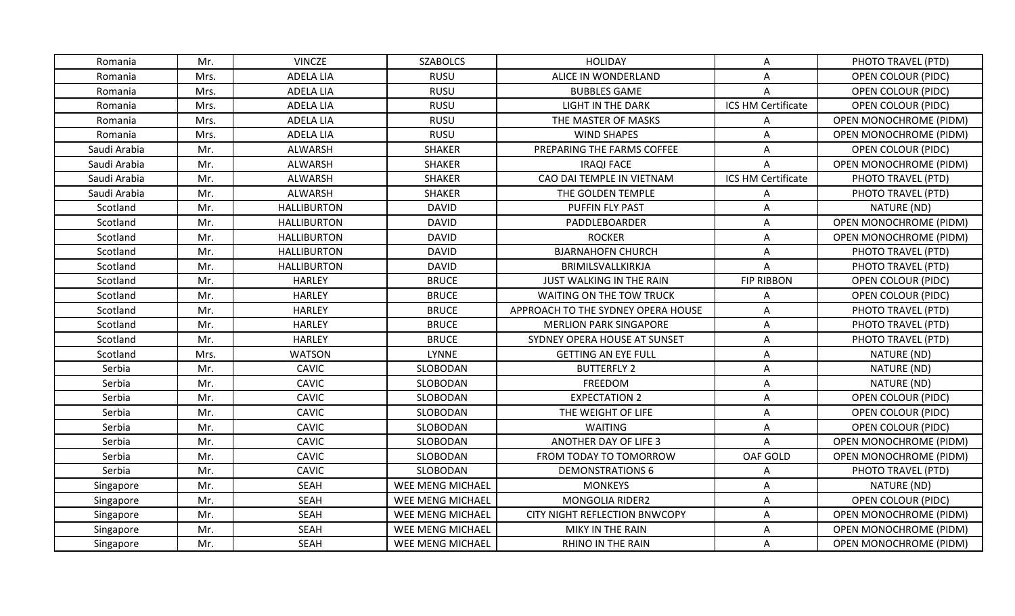| Romania      | Mr.  | <b>VINCZE</b>      | <b>SZABOLCS</b>  | <b>HOLIDAY</b>                     | Α                  | PHOTO TRAVEL (PTD)            |
|--------------|------|--------------------|------------------|------------------------------------|--------------------|-------------------------------|
| Romania      | Mrs. | <b>ADELA LIA</b>   | <b>RUSU</b>      | ALICE IN WONDERLAND                | A                  | OPEN COLOUR (PIDC)            |
| Romania      | Mrs. | <b>ADELA LIA</b>   | <b>RUSU</b>      | <b>BUBBLES GAME</b>                | A                  | <b>OPEN COLOUR (PIDC)</b>     |
| Romania      | Mrs. | ADELA LIA          | <b>RUSU</b>      | LIGHT IN THE DARK                  | ICS HM Certificate | <b>OPEN COLOUR (PIDC)</b>     |
| Romania      | Mrs. | ADELA LIA          | <b>RUSU</b>      | THE MASTER OF MASKS                | А                  | OPEN MONOCHROME (PIDM)        |
| Romania      | Mrs. | ADELA LIA          | <b>RUSU</b>      | <b>WIND SHAPES</b>                 | A                  | <b>OPEN MONOCHROME (PIDM)</b> |
| Saudi Arabia | Mr.  | ALWARSH            | <b>SHAKER</b>    | PREPARING THE FARMS COFFEE         | Α                  | <b>OPEN COLOUR (PIDC)</b>     |
| Saudi Arabia | Mr.  | ALWARSH            | <b>SHAKER</b>    | <b>IRAQI FACE</b>                  | A                  | OPEN MONOCHROME (PIDM)        |
| Saudi Arabia | Mr.  | ALWARSH            | <b>SHAKER</b>    | CAO DAI TEMPLE IN VIETNAM          | ICS HM Certificate | PHOTO TRAVEL (PTD)            |
| Saudi Arabia | Mr.  | ALWARSH            | <b>SHAKER</b>    | THE GOLDEN TEMPLE                  | Α                  | PHOTO TRAVEL (PTD)            |
| Scotland     | Mr.  | <b>HALLIBURTON</b> | <b>DAVID</b>     | PUFFIN FLY PAST                    | A                  | NATURE (ND)                   |
| Scotland     | Mr.  | <b>HALLIBURTON</b> | <b>DAVID</b>     | PADDLEBOARDER                      | A                  | OPEN MONOCHROME (PIDM)        |
| Scotland     | Mr.  | <b>HALLIBURTON</b> | <b>DAVID</b>     | <b>ROCKER</b>                      | A                  | OPEN MONOCHROME (PIDM)        |
| Scotland     | Mr.  | <b>HALLIBURTON</b> | <b>DAVID</b>     | <b>BJARNAHOFN CHURCH</b>           | Α                  | PHOTO TRAVEL (PTD)            |
| Scotland     | Mr.  | <b>HALLIBURTON</b> | <b>DAVID</b>     | BRIMILSVALLKIRKJA                  | A                  | PHOTO TRAVEL (PTD)            |
| Scotland     | Mr.  | <b>HARLEY</b>      | <b>BRUCE</b>     | JUST WALKING IN THE RAIN           | <b>FIP RIBBON</b>  | <b>OPEN COLOUR (PIDC)</b>     |
| Scotland     | Mr.  | <b>HARLEY</b>      | <b>BRUCE</b>     | <b>WAITING ON THE TOW TRUCK</b>    | Α                  | OPEN COLOUR (PIDC)            |
| Scotland     | Mr.  | <b>HARLEY</b>      | <b>BRUCE</b>     | APPROACH TO THE SYDNEY OPERA HOUSE | Α                  | PHOTO TRAVEL (PTD)            |
| Scotland     | Mr.  | <b>HARLEY</b>      | <b>BRUCE</b>     | <b>MERLION PARK SINGAPORE</b>      | A                  | PHOTO TRAVEL (PTD)            |
| Scotland     | Mr.  | <b>HARLEY</b>      | <b>BRUCE</b>     | SYDNEY OPERA HOUSE AT SUNSET       | A                  | PHOTO TRAVEL (PTD)            |
| Scotland     | Mrs. | <b>WATSON</b>      | <b>LYNNE</b>     | <b>GETTING AN EYE FULL</b>         | A                  | NATURE (ND)                   |
| Serbia       | Mr.  | CAVIC              | SLOBODAN         | <b>BUTTERFLY 2</b>                 | A                  | NATURE (ND)                   |
| Serbia       | Mr.  | <b>CAVIC</b>       | SLOBODAN         | FREEDOM                            | A                  | NATURE (ND)                   |
| Serbia       | Mr.  | CAVIC              | SLOBODAN         | <b>EXPECTATION 2</b>               | Α                  | <b>OPEN COLOUR (PIDC)</b>     |
| Serbia       | Mr.  | CAVIC              | SLOBODAN         | THE WEIGHT OF LIFE                 | Α                  | OPEN COLOUR (PIDC)            |
| Serbia       | Mr.  | CAVIC              | SLOBODAN         | <b>WAITING</b>                     | A                  | <b>OPEN COLOUR (PIDC)</b>     |
| Serbia       | Mr.  | <b>CAVIC</b>       | SLOBODAN         | ANOTHER DAY OF LIFE 3              | A                  | OPEN MONOCHROME (PIDM)        |
| Serbia       | Mr.  | <b>CAVIC</b>       | SLOBODAN         | FROM TODAY TO TOMORROW             | OAF GOLD           | OPEN MONOCHROME (PIDM)        |
| Serbia       | Mr.  | CAVIC              | SLOBODAN         | <b>DEMONSTRATIONS 6</b>            | Α                  | PHOTO TRAVEL (PTD)            |
| Singapore    | Mr.  | <b>SEAH</b>        | WEE MENG MICHAEL | <b>MONKEYS</b>                     | Α                  | NATURE (ND)                   |
| Singapore    | Mr.  | <b>SEAH</b>        | WEE MENG MICHAEL | <b>MONGOLIA RIDER2</b>             | Α                  | <b>OPEN COLOUR (PIDC)</b>     |
| Singapore    | Mr.  | <b>SEAH</b>        | WEE MENG MICHAEL | CITY NIGHT REFLECTION BNWCOPY      | A                  | OPEN MONOCHROME (PIDM)        |
| Singapore    | Mr.  | <b>SEAH</b>        | WEE MENG MICHAEL | MIKY IN THE RAIN                   | A                  | OPEN MONOCHROME (PIDM)        |
| Singapore    | Mr.  | <b>SEAH</b>        | WEE MENG MICHAEL | RHINO IN THE RAIN                  | A                  | <b>OPEN MONOCHROME (PIDM)</b> |
|              |      |                    |                  |                                    |                    |                               |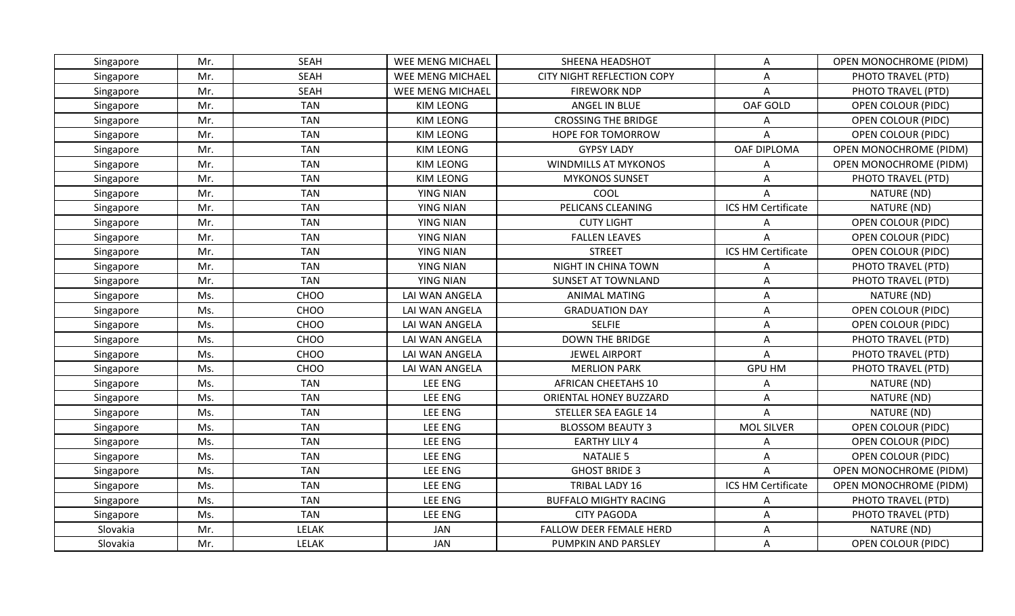| Singapore | Mr. | <b>SEAH</b>  | WEE MENG MICHAEL | SHEENA HEADSHOT                   | A                  | OPEN MONOCHROME (PIDM)        |
|-----------|-----|--------------|------------------|-----------------------------------|--------------------|-------------------------------|
| Singapore | Mr. | <b>SEAH</b>  | WEE MENG MICHAEL | <b>CITY NIGHT REFLECTION COPY</b> | A                  | PHOTO TRAVEL (PTD)            |
| Singapore | Mr. | <b>SEAH</b>  | WEE MENG MICHAEL | <b>FIREWORK NDP</b>               | A                  | PHOTO TRAVEL (PTD)            |
| Singapore | Mr. | <b>TAN</b>   | <b>KIM LEONG</b> | ANGEL IN BLUE                     | OAF GOLD           | <b>OPEN COLOUR (PIDC)</b>     |
| Singapore | Mr. | <b>TAN</b>   | <b>KIM LEONG</b> | <b>CROSSING THE BRIDGE</b>        | Α                  | OPEN COLOUR (PIDC)            |
| Singapore | Mr. | <b>TAN</b>   | <b>KIM LEONG</b> | HOPE FOR TOMORROW                 | Α                  | <b>OPEN COLOUR (PIDC)</b>     |
| Singapore | Mr. | <b>TAN</b>   | <b>KIM LEONG</b> | <b>GYPSY LADY</b>                 | OAF DIPLOMA        | OPEN MONOCHROME (PIDM)        |
| Singapore | Mr. | <b>TAN</b>   | <b>KIM LEONG</b> | <b>WINDMILLS AT MYKONOS</b>       | Α                  | OPEN MONOCHROME (PIDM)        |
| Singapore | Mr. | <b>TAN</b>   | <b>KIM LEONG</b> | <b>MYKONOS SUNSET</b>             | A                  | PHOTO TRAVEL (PTD)            |
| Singapore | Mr. | <b>TAN</b>   | <b>YING NIAN</b> | COOL                              | Α                  | NATURE (ND)                   |
| Singapore | Mr. | <b>TAN</b>   | <b>YING NIAN</b> | PELICANS CLEANING                 | ICS HM Certificate | NATURE (ND)                   |
| Singapore | Mr. | <b>TAN</b>   | <b>YING NIAN</b> | <b>CUTY LIGHT</b>                 | Α                  | <b>OPEN COLOUR (PIDC)</b>     |
| Singapore | Mr. | <b>TAN</b>   | <b>YING NIAN</b> | <b>FALLEN LEAVES</b>              | A                  | <b>OPEN COLOUR (PIDC)</b>     |
| Singapore | Mr. | <b>TAN</b>   | <b>YING NIAN</b> | <b>STREET</b>                     | ICS HM Certificate | <b>OPEN COLOUR (PIDC)</b>     |
| Singapore | Mr. | <b>TAN</b>   | <b>YING NIAN</b> | NIGHT IN CHINA TOWN               | Α                  | PHOTO TRAVEL (PTD)            |
| Singapore | Mr. | <b>TAN</b>   | <b>YING NIAN</b> | SUNSET AT TOWNLAND                | Α                  | PHOTO TRAVEL (PTD)            |
| Singapore | Ms. | CHOO         | LAI WAN ANGELA   | <b>ANIMAL MATING</b>              | A                  | NATURE (ND)                   |
| Singapore | Ms. | CHOO         | LAI WAN ANGELA   | <b>GRADUATION DAY</b>             | A                  | <b>OPEN COLOUR (PIDC)</b>     |
| Singapore | Ms. | CHOO         | LAI WAN ANGELA   | <b>SELFIE</b>                     | Α                  | <b>OPEN COLOUR (PIDC)</b>     |
| Singapore | Ms. | CHOO         | LAI WAN ANGELA   | <b>DOWN THE BRIDGE</b>            | A                  | PHOTO TRAVEL (PTD)            |
| Singapore | Ms. | CHOO         | LAI WAN ANGELA   | <b>JEWEL AIRPORT</b>              | A                  | PHOTO TRAVEL (PTD)            |
| Singapore | Ms. | CHOO         | LAI WAN ANGELA   | <b>MERLION PARK</b>               | <b>GPU HM</b>      | PHOTO TRAVEL (PTD)            |
| Singapore | Ms. | <b>TAN</b>   | <b>LEE ENG</b>   | <b>AFRICAN CHEETAHS 10</b>        | Α                  | NATURE (ND)                   |
| Singapore | Ms. | <b>TAN</b>   | LEE ENG          | ORIENTAL HONEY BUZZARD            | Α                  | NATURE (ND)                   |
| Singapore | Ms. | <b>TAN</b>   | LEE ENG          | STELLER SEA EAGLE 14              | A                  | NATURE (ND)                   |
| Singapore | Ms. | <b>TAN</b>   | LEE ENG          | <b>BLOSSOM BEAUTY 3</b>           | <b>MOL SILVER</b>  | <b>OPEN COLOUR (PIDC)</b>     |
| Singapore | Ms. | <b>TAN</b>   | LEE ENG          | <b>EARTHY LILY 4</b>              | Α                  | <b>OPEN COLOUR (PIDC)</b>     |
| Singapore | Ms. | <b>TAN</b>   | LEE ENG          | <b>NATALIE 5</b>                  | Α                  | <b>OPEN COLOUR (PIDC)</b>     |
| Singapore | Ms. | <b>TAN</b>   | LEE ENG          | <b>GHOST BRIDE 3</b>              | A                  | <b>OPEN MONOCHROME (PIDM)</b> |
| Singapore | Ms. | <b>TAN</b>   | LEE ENG          | TRIBAL LADY 16                    | ICS HM Certificate | <b>OPEN MONOCHROME (PIDM)</b> |
| Singapore | Ms. | <b>TAN</b>   | LEE ENG          | <b>BUFFALO MIGHTY RACING</b>      | Α                  | PHOTO TRAVEL (PTD)            |
| Singapore | Ms. | <b>TAN</b>   | LEE ENG          | <b>CITY PAGODA</b>                | Α                  | PHOTO TRAVEL (PTD)            |
| Slovakia  | Mr. | <b>LELAK</b> | <b>JAN</b>       | <b>FALLOW DEER FEMALE HERD</b>    | Α                  | NATURE (ND)                   |
| Slovakia  | Mr. | <b>LELAK</b> | <b>JAN</b>       | PUMPKIN AND PARSLEY               | A                  | OPEN COLOUR (PIDC)            |
|           |     |              |                  |                                   |                    |                               |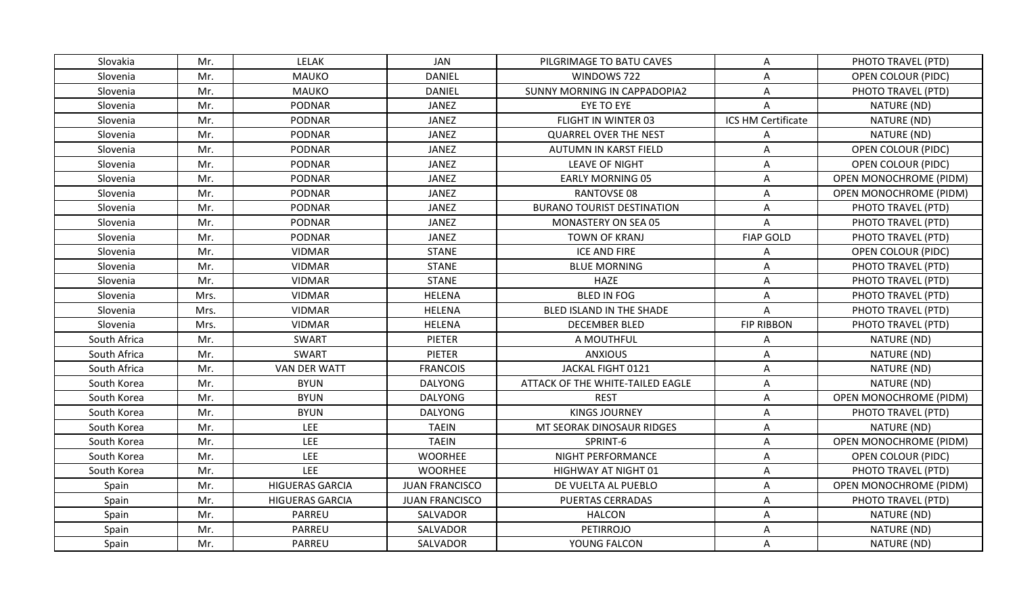| Slovakia     | Mr.  | <b>LELAK</b>           | JAN                   | PILGRIMAGE TO BATU CAVES          | A                         | PHOTO TRAVEL (PTD)            |
|--------------|------|------------------------|-----------------------|-----------------------------------|---------------------------|-------------------------------|
| Slovenia     | Mr.  | <b>MAUKO</b>           | <b>DANIEL</b>         | WINDOWS 722                       | A                         | <b>OPEN COLOUR (PIDC)</b>     |
| Slovenia     | Mr.  | <b>MAUKO</b>           | <b>DANIEL</b>         | SUNNY MORNING IN CAPPADOPIA2      | A                         | PHOTO TRAVEL (PTD)            |
| Slovenia     | Mr.  | PODNAR                 | JANEZ                 | EYE TO EYE                        | A                         | NATURE (ND)                   |
| Slovenia     | Mr.  | <b>PODNAR</b>          | <b>JANEZ</b>          | FLIGHT IN WINTER 03               | ICS HM Certificate        | NATURE (ND)                   |
| Slovenia     | Mr.  | <b>PODNAR</b>          | JANEZ                 | <b>QUARREL OVER THE NEST</b>      | A                         | NATURE (ND)                   |
| Slovenia     | Mr.  | <b>PODNAR</b>          | <b>JANEZ</b>          | AUTUMN IN KARST FIELD             | A                         | <b>OPEN COLOUR (PIDC)</b>     |
| Slovenia     | Mr.  | <b>PODNAR</b>          | <b>JANEZ</b>          | <b>LEAVE OF NIGHT</b>             | Α                         | OPEN COLOUR (PIDC)            |
| Slovenia     | Mr.  | <b>PODNAR</b>          | JANEZ                 | <b>EARLY MORNING 05</b>           | A                         | OPEN MONOCHROME (PIDM)        |
| Slovenia     | Mr.  | <b>PODNAR</b>          | <b>JANEZ</b>          | <b>RANTOVSE 08</b>                | A                         | <b>OPEN MONOCHROME (PIDM)</b> |
| Slovenia     | Mr.  | <b>PODNAR</b>          | <b>JANEZ</b>          | <b>BURANO TOURIST DESTINATION</b> | A                         | PHOTO TRAVEL (PTD)            |
| Slovenia     | Mr.  | <b>PODNAR</b>          | <b>JANEZ</b>          | MONASTERY ON SEA 05               | A                         | PHOTO TRAVEL (PTD)            |
| Slovenia     | Mr.  | <b>PODNAR</b>          | <b>JANEZ</b>          | <b>TOWN OF KRANJ</b>              | <b>FIAP GOLD</b>          | PHOTO TRAVEL (PTD)            |
| Slovenia     | Mr.  | <b>VIDMAR</b>          | <b>STANE</b>          | <b>ICE AND FIRE</b>               | Α                         | OPEN COLOUR (PIDC)            |
| Slovenia     | Mr.  | <b>VIDMAR</b>          | <b>STANE</b>          | <b>BLUE MORNING</b>               | Α                         | PHOTO TRAVEL (PTD)            |
| Slovenia     | Mr.  | <b>VIDMAR</b>          | <b>STANE</b>          | <b>HAZE</b>                       | A                         | PHOTO TRAVEL (PTD)            |
| Slovenia     | Mrs. | <b>VIDMAR</b>          | <b>HELENA</b>         | <b>BLED IN FOG</b>                | $\boldsymbol{\mathsf{A}}$ | PHOTO TRAVEL (PTD)            |
| Slovenia     | Mrs. | <b>VIDMAR</b>          | <b>HELENA</b>         | BLED ISLAND IN THE SHADE          | A                         | PHOTO TRAVEL (PTD)            |
| Slovenia     | Mrs. | <b>VIDMAR</b>          | <b>HELENA</b>         | <b>DECEMBER BLED</b>              | <b>FIP RIBBON</b>         | PHOTO TRAVEL (PTD)            |
| South Africa | Mr.  | <b>SWART</b>           | <b>PIETER</b>         | A MOUTHFUL                        | Α                         | NATURE (ND)                   |
| South Africa | Mr.  | <b>SWART</b>           | <b>PIETER</b>         | <b>ANXIOUS</b>                    | Α                         | NATURE (ND)                   |
| South Africa | Mr.  | VAN DER WATT           | <b>FRANCOIS</b>       | JACKAL FIGHT 0121                 | A                         | NATURE (ND)                   |
| South Korea  | Mr.  | <b>BYUN</b>            | <b>DALYONG</b>        | ATTACK OF THE WHITE-TAILED EAGLE  | A                         | NATURE (ND)                   |
| South Korea  | Mr.  | <b>BYUN</b>            | <b>DALYONG</b>        | <b>REST</b>                       | A                         | <b>OPEN MONOCHROME (PIDM)</b> |
| South Korea  | Mr.  | <b>BYUN</b>            | <b>DALYONG</b>        | <b>KINGS JOURNEY</b>              | A                         | PHOTO TRAVEL (PTD)            |
| South Korea  | Mr.  | <b>LEE</b>             | <b>TAEIN</b>          | MT SEORAK DINOSAUR RIDGES         | A                         | NATURE (ND)                   |
| South Korea  | Mr.  | LEE                    | <b>TAEIN</b>          | SPRINT-6                          | A                         | <b>OPEN MONOCHROME (PIDM)</b> |
| South Korea  | Mr.  | LEE                    | <b>WOORHEE</b>        | NIGHT PERFORMANCE                 | A                         | <b>OPEN COLOUR (PIDC)</b>     |
| South Korea  | Mr.  | <b>LEE</b>             | <b>WOORHEE</b>        | HIGHWAY AT NIGHT 01               | Α                         | PHOTO TRAVEL (PTD)            |
| Spain        | Mr.  | <b>HIGUERAS GARCIA</b> | <b>JUAN FRANCISCO</b> | DE VUELTA AL PUEBLO               | A                         | <b>OPEN MONOCHROME (PIDM)</b> |
| Spain        | Mr.  | <b>HIGUERAS GARCIA</b> | <b>JUAN FRANCISCO</b> | <b>PUERTAS CERRADAS</b>           | Α                         | PHOTO TRAVEL (PTD)            |
| Spain        | Mr.  | PARREU                 | SALVADOR              | <b>HALCON</b>                     | A                         | NATURE (ND)                   |
| Spain        | Mr.  | PARREU                 | SALVADOR              | <b>PETIRROJO</b>                  | A                         | NATURE (ND)                   |
| Spain        | Mr.  | PARREU                 | SALVADOR              | YOUNG FALCON                      | A                         | NATURE (ND)                   |
|              |      |                        |                       |                                   |                           |                               |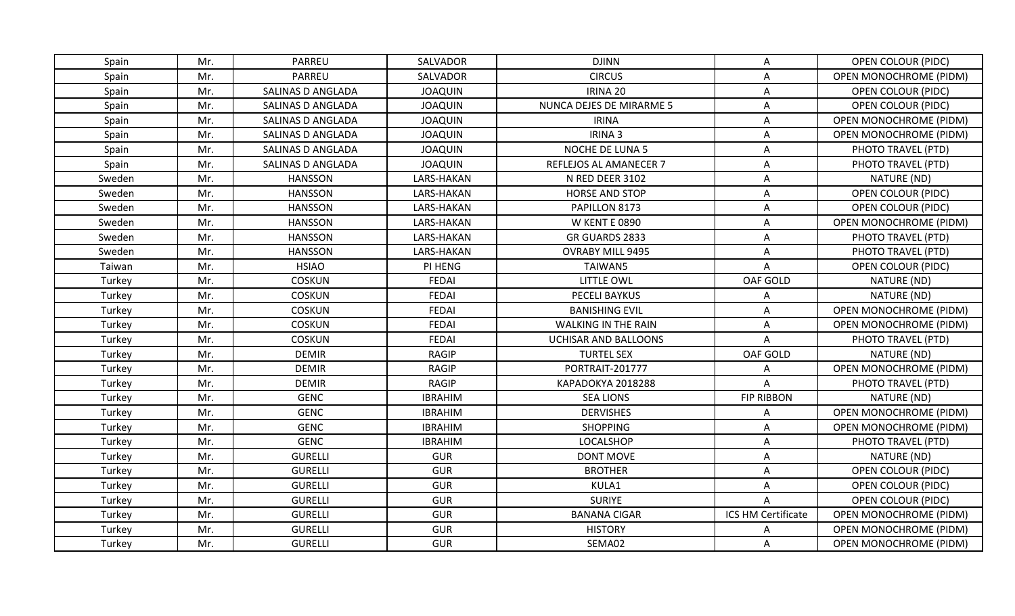| Spain  | Mr. | <b>PARREU</b>     | SALVADOR       | <b>DJINN</b>               | Α                  | OPEN COLOUR (PIDC)            |
|--------|-----|-------------------|----------------|----------------------------|--------------------|-------------------------------|
| Spain  | Mr. | <b>PARREU</b>     | SALVADOR       | <b>CIRCUS</b>              | $\mathsf A$        | OPEN MONOCHROME (PIDM)        |
| Spain  | Mr. | SALINAS D ANGLADA | <b>JOAQUIN</b> | IRINA 20                   | Α                  | <b>OPEN COLOUR (PIDC)</b>     |
| Spain  | Mr. | SALINAS D ANGLADA | <b>JOAQUIN</b> | NUNCA DEJES DE MIRARME 5   | A                  | <b>OPEN COLOUR (PIDC)</b>     |
| Spain  | Mr. | SALINAS D ANGLADA | <b>JOAQUIN</b> | <b>IRINA</b>               | Α                  | OPEN MONOCHROME (PIDM)        |
| Spain  | Mr. | SALINAS D ANGLADA | <b>JOAQUIN</b> | IRINA 3                    | Α                  | <b>OPEN MONOCHROME (PIDM)</b> |
| Spain  | Mr. | SALINAS D ANGLADA | <b>JOAQUIN</b> | NOCHE DE LUNA 5            | A                  | PHOTO TRAVEL (PTD)            |
| Spain  | Mr. | SALINAS D ANGLADA | <b>JOAQUIN</b> | REFLEJOS AL AMANECER 7     | Α                  | PHOTO TRAVEL (PTD)            |
| Sweden | Mr. | <b>HANSSON</b>    | LARS-HAKAN     | N RED DEER 3102            | Α                  | NATURE (ND)                   |
| Sweden | Mr. | <b>HANSSON</b>    | LARS-HAKAN     | <b>HORSE AND STOP</b>      | Α                  | OPEN COLOUR (PIDC)            |
| Sweden | Mr. | <b>HANSSON</b>    | LARS-HAKAN     | PAPILLON 8173              | Α                  | <b>OPEN COLOUR (PIDC)</b>     |
| Sweden | Mr. | <b>HANSSON</b>    | LARS-HAKAN     | <b>W KENT E 0890</b>       | A                  | OPEN MONOCHROME (PIDM)        |
| Sweden | Mr. | <b>HANSSON</b>    | LARS-HAKAN     | GR GUARDS 2833             | Α                  | PHOTO TRAVEL (PTD)            |
| Sweden | Mr. | <b>HANSSON</b>    | LARS-HAKAN     | <b>OVRABY MILL 9495</b>    | Α                  | PHOTO TRAVEL (PTD)            |
| Taiwan | Mr. | <b>HSIAO</b>      | PI HENG        | TAIWAN5                    | A                  | <b>OPEN COLOUR (PIDC)</b>     |
| Turkey | Mr. | <b>COSKUN</b>     | <b>FEDAI</b>   | LITTLE OWL                 | OAF GOLD           | NATURE (ND)                   |
| Turkey | Mr. | <b>COSKUN</b>     | <b>FEDAI</b>   | PECELI BAYKUS              | Α                  | NATURE (ND)                   |
| Turkey | Mr. | <b>COSKUN</b>     | <b>FEDAI</b>   | <b>BANISHING EVIL</b>      | A                  | OPEN MONOCHROME (PIDM)        |
| Turkey | Mr. | <b>COSKUN</b>     | <b>FEDAI</b>   | <b>WALKING IN THE RAIN</b> | Α                  | <b>OPEN MONOCHROME (PIDM)</b> |
| Turkey | Mr. | <b>COSKUN</b>     | FEDAI          | UCHISAR AND BALLOONS       | A                  | PHOTO TRAVEL (PTD)            |
| Turkey | Mr. | <b>DEMIR</b>      | <b>RAGIP</b>   | <b>TURTEL SEX</b>          | OAF GOLD           | NATURE (ND)                   |
| Turkey | Mr. | <b>DEMIR</b>      | <b>RAGIP</b>   | PORTRAIT-201777            | Α                  | OPEN MONOCHROME (PIDM)        |
| Turkey | Mr. | <b>DEMIR</b>      | <b>RAGIP</b>   | KAPADOKYA 2018288          | A                  | PHOTO TRAVEL (PTD)            |
| Turkey | Mr. | <b>GENC</b>       | <b>IBRAHIM</b> | <b>SEA LIONS</b>           | <b>FIP RIBBON</b>  | NATURE (ND)                   |
| Turkey | Mr. | <b>GENC</b>       | <b>IBRAHIM</b> | <b>DERVISHES</b>           | Α                  | OPEN MONOCHROME (PIDM)        |
| Turkey | Mr. | <b>GENC</b>       | <b>IBRAHIM</b> | <b>SHOPPING</b>            | Α                  | OPEN MONOCHROME (PIDM)        |
| Turkey | Mr. | <b>GENC</b>       | <b>IBRAHIM</b> | LOCALSHOP                  | A                  | PHOTO TRAVEL (PTD)            |
| Turkey | Mr. | <b>GURELLI</b>    | <b>GUR</b>     | <b>DONT MOVE</b>           | Α                  | NATURE (ND)                   |
| Turkey | Mr. | <b>GURELLI</b>    | <b>GUR</b>     | <b>BROTHER</b>             | Α                  | OPEN COLOUR (PIDC)            |
| Turkey | Mr. | <b>GURELLI</b>    | <b>GUR</b>     | KULA1                      | A                  | <b>OPEN COLOUR (PIDC)</b>     |
| Turkey | Mr. | <b>GURELLI</b>    | <b>GUR</b>     | <b>SURIYE</b>              | A                  | <b>OPEN COLOUR (PIDC)</b>     |
| Turkey | Mr. | <b>GURELLI</b>    | <b>GUR</b>     | <b>BANANA CIGAR</b>        | ICS HM Certificate | OPEN MONOCHROME (PIDM)        |
| Turkey | Mr. | <b>GURELLI</b>    | <b>GUR</b>     | <b>HISTORY</b>             | Α                  | <b>OPEN MONOCHROME (PIDM)</b> |
| Turkey | Mr. | <b>GURELLI</b>    | <b>GUR</b>     | SEMA02                     | A                  | <b>OPEN MONOCHROME (PIDM)</b> |
|        |     |                   |                |                            |                    |                               |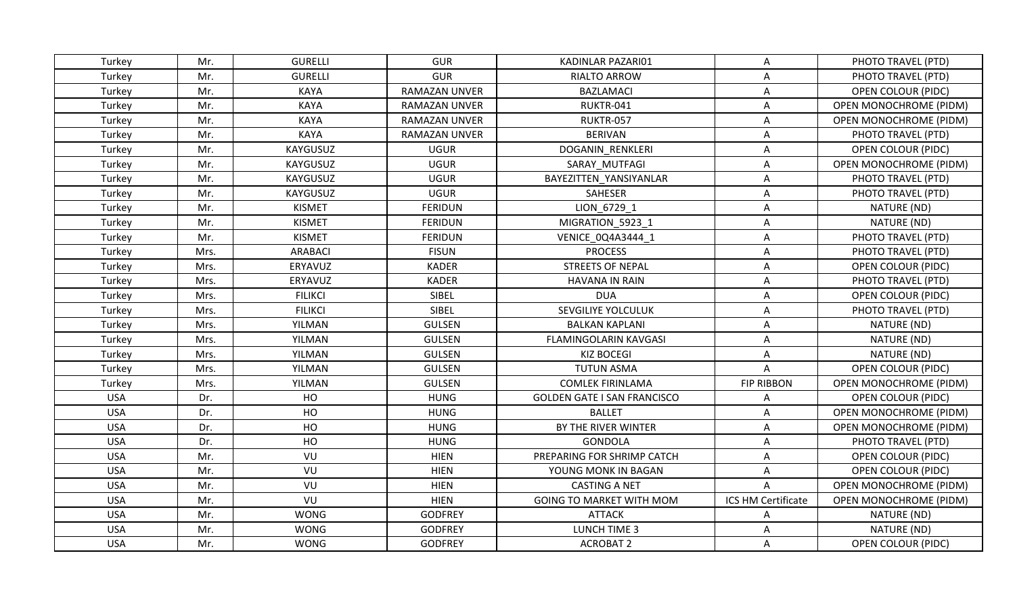| Turkey     | Mr.  | <b>GURELLI</b> | <b>GUR</b>           | KADINLAR PAZARI01                  | A                         | PHOTO TRAVEL (PTD)            |
|------------|------|----------------|----------------------|------------------------------------|---------------------------|-------------------------------|
| Turkey     | Mr.  | <b>GURELLI</b> | <b>GUR</b>           | RIALTO ARROW                       | A                         | PHOTO TRAVEL (PTD)            |
| Turkey     | Mr.  | KAYA           | <b>RAMAZAN UNVER</b> | <b>BAZLAMACI</b>                   | A                         | <b>OPEN COLOUR (PIDC)</b>     |
| Turkey     | Mr.  | <b>KAYA</b>    | <b>RAMAZAN UNVER</b> | RUKTR-041                          | A                         | OPEN MONOCHROME (PIDM)        |
| Turkey     | Mr.  | KAYA           | <b>RAMAZAN UNVER</b> | RUKTR-057                          | Α                         | <b>OPEN MONOCHROME (PIDM)</b> |
| Turkey     | Mr.  | <b>KAYA</b>    | <b>RAMAZAN UNVER</b> | <b>BERIVAN</b>                     | Α                         | PHOTO TRAVEL (PTD)            |
| Turkey     | Mr.  | KAYGUSUZ       | <b>UGUR</b>          | DOGANIN RENKLERI                   | A                         | OPEN COLOUR (PIDC)            |
| Turkey     | Mr.  | KAYGUSUZ       | <b>UGUR</b>          | SARAY MUTFAGI                      | Α                         | OPEN MONOCHROME (PIDM)        |
| Turkey     | Mr.  | KAYGUSUZ       | <b>UGUR</b>          | BAYEZITTEN YANSIYANLAR             | A                         | PHOTO TRAVEL (PTD)            |
| Turkey     | Mr.  | KAYGUSUZ       | <b>UGUR</b>          | SAHESER                            | Α                         | PHOTO TRAVEL (PTD)            |
| Turkey     | Mr.  | <b>KISMET</b>  | <b>FERIDUN</b>       | LION 6729 1                        | Α                         | NATURE (ND)                   |
| Turkey     | Mr.  | <b>KISMET</b>  | <b>FERIDUN</b>       | MIGRATION_5923_1                   | A                         | NATURE (ND)                   |
| Turkey     | Mr.  | <b>KISMET</b>  | <b>FERIDUN</b>       | VENICE 0Q4A3444 1                  | A                         | PHOTO TRAVEL (PTD)            |
| Turkey     | Mrs. | <b>ARABACI</b> | <b>FISUN</b>         | <b>PROCESS</b>                     | Α                         | PHOTO TRAVEL (PTD)            |
| Turkey     | Mrs. | ERYAVUZ        | <b>KADER</b>         | <b>STREETS OF NEPAL</b>            | A                         | <b>OPEN COLOUR (PIDC)</b>     |
| Turkey     | Mrs. | ERYAVUZ        | <b>KADER</b>         | <b>HAVANA IN RAIN</b>              | A                         | PHOTO TRAVEL (PTD)            |
| Turkey     | Mrs. | <b>FILIKCI</b> | SIBEL                | <b>DUA</b>                         | $\boldsymbol{\mathsf{A}}$ | OPEN COLOUR (PIDC)            |
| Turkey     | Mrs. | <b>FILIKCI</b> | SIBEL                | SEVGILIYE YOLCULUK                 | A                         | PHOTO TRAVEL (PTD)            |
| Turkey     | Mrs. | YILMAN         | <b>GULSEN</b>        | <b>BALKAN KAPLANI</b>              | Α                         | NATURE (ND)                   |
| Turkey     | Mrs. | YILMAN         | <b>GULSEN</b>        | <b>FLAMINGOLARIN KAVGASI</b>       | A                         | NATURE (ND)                   |
| Turkey     | Mrs. | YILMAN         | <b>GULSEN</b>        | <b>KIZ BOCEGI</b>                  | A                         | NATURE (ND)                   |
| Turkey     | Mrs. | YILMAN         | <b>GULSEN</b>        | <b>TUTUN ASMA</b>                  | A                         | <b>OPEN COLOUR (PIDC)</b>     |
| Turkey     | Mrs. | YILMAN         | <b>GULSEN</b>        | <b>COMLEK FIRINLAMA</b>            | <b>FIP RIBBON</b>         | OPEN MONOCHROME (PIDM)        |
| <b>USA</b> | Dr.  | HO             | <b>HUNG</b>          | <b>GOLDEN GATE I SAN FRANCISCO</b> | Α                         | OPEN COLOUR (PIDC)            |
| <b>USA</b> | Dr.  | HO             | <b>HUNG</b>          | <b>BALLET</b>                      | A                         | <b>OPEN MONOCHROME (PIDM)</b> |
| <b>USA</b> | Dr.  | HO             | <b>HUNG</b>          | BY THE RIVER WINTER                | Α                         | OPEN MONOCHROME (PIDM)        |
| <b>USA</b> | Dr.  | HO             | <b>HUNG</b>          | <b>GONDOLA</b>                     | Α                         | PHOTO TRAVEL (PTD)            |
| <b>USA</b> | Mr.  | VU             | <b>HIEN</b>          | PREPARING FOR SHRIMP CATCH         | Α                         | OPEN COLOUR (PIDC)            |
| <b>USA</b> | Mr.  | VU             | <b>HIEN</b>          | YOUNG MONK IN BAGAN                | Α                         | <b>OPEN COLOUR (PIDC)</b>     |
| <b>USA</b> | Mr.  | VU             | <b>HIEN</b>          | <b>CASTING A NET</b>               | $\mathsf{A}$              | OPEN MONOCHROME (PIDM)        |
| <b>USA</b> | Mr.  | VU             | <b>HIEN</b>          | <b>GOING TO MARKET WITH MOM</b>    | ICS HM Certificate        | OPEN MONOCHROME (PIDM)        |
| <b>USA</b> | Mr.  | <b>WONG</b>    | <b>GODFREY</b>       | <b>ATTACK</b>                      | Α                         | NATURE (ND)                   |
| <b>USA</b> | Mr.  | <b>WONG</b>    | <b>GODFREY</b>       | LUNCH TIME 3                       | A                         | NATURE (ND)                   |
| <b>USA</b> | Mr.  | <b>WONG</b>    | <b>GODFREY</b>       | <b>ACROBAT 2</b>                   | A                         | OPEN COLOUR (PIDC)            |
|            |      |                |                      |                                    |                           |                               |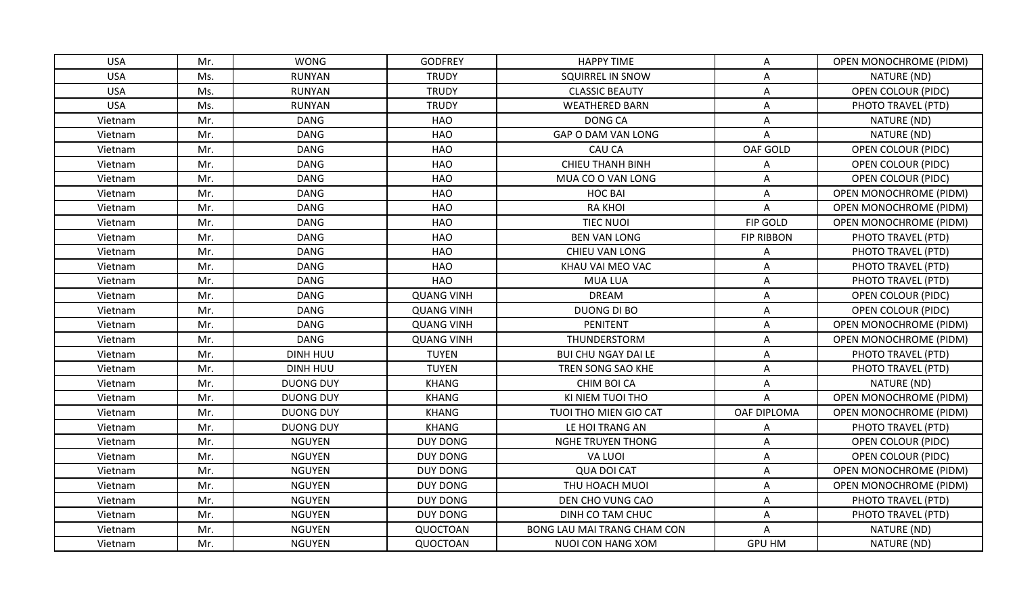| <b>USA</b> | Mr. | <b>WONG</b>      | <b>GODFREY</b>    | <b>HAPPY TIME</b>           | A                         | OPEN MONOCHROME (PIDM)        |
|------------|-----|------------------|-------------------|-----------------------------|---------------------------|-------------------------------|
| <b>USA</b> | Ms. | <b>RUNYAN</b>    | <b>TRUDY</b>      | <b>SQUIRREL IN SNOW</b>     | $\boldsymbol{\mathsf{A}}$ | NATURE (ND)                   |
| <b>USA</b> | Ms. | <b>RUNYAN</b>    | <b>TRUDY</b>      | <b>CLASSIC BEAUTY</b>       | Α                         | <b>OPEN COLOUR (PIDC)</b>     |
| <b>USA</b> | Ms. | <b>RUNYAN</b>    | <b>TRUDY</b>      | <b>WEATHERED BARN</b>       | Α                         | PHOTO TRAVEL (PTD)            |
| Vietnam    | Mr. | <b>DANG</b>      | HAO               | <b>DONG CA</b>              | Α                         | NATURE (ND)                   |
| Vietnam    | Mr. | <b>DANG</b>      | HAO               | GAP O DAM VAN LONG          | Α                         | NATURE (ND)                   |
| Vietnam    | Mr. | <b>DANG</b>      | <b>HAO</b>        | <b>CAU CA</b>               | OAF GOLD                  | <b>OPEN COLOUR (PIDC)</b>     |
| Vietnam    | Mr. | <b>DANG</b>      | HAO               | <b>CHIEU THANH BINH</b>     | Α                         | OPEN COLOUR (PIDC)            |
| Vietnam    | Mr. | <b>DANG</b>      | <b>HAO</b>        | MUA CO O VAN LONG           | Α                         | OPEN COLOUR (PIDC)            |
| Vietnam    | Mr. | <b>DANG</b>      | <b>HAO</b>        | <b>HOC BAI</b>              | A                         | OPEN MONOCHROME (PIDM)        |
| Vietnam    | Mr. | <b>DANG</b>      | HAO               | <b>RA KHOI</b>              | Α                         | <b>OPEN MONOCHROME (PIDM)</b> |
| Vietnam    | Mr. | <b>DANG</b>      | <b>HAO</b>        | <b>TIEC NUOI</b>            | FIP GOLD                  | OPEN MONOCHROME (PIDM)        |
| Vietnam    | Mr. | <b>DANG</b>      | HAO               | <b>BEN VAN LONG</b>         | <b>FIP RIBBON</b>         | PHOTO TRAVEL (PTD)            |
| Vietnam    | Mr. | <b>DANG</b>      | <b>HAO</b>        | CHIEU VAN LONG              | Α                         | PHOTO TRAVEL (PTD)            |
| Vietnam    | Mr. | <b>DANG</b>      | <b>HAO</b>        | KHAU VAI MEO VAC            | A                         | PHOTO TRAVEL (PTD)            |
| Vietnam    | Mr. | <b>DANG</b>      | HAO               | <b>MUA LUA</b>              | Α                         | PHOTO TRAVEL (PTD)            |
| Vietnam    | Mr. | <b>DANG</b>      | <b>QUANG VINH</b> | <b>DREAM</b>                | $\boldsymbol{\mathsf{A}}$ | OPEN COLOUR (PIDC)            |
| Vietnam    | Mr. | <b>DANG</b>      | <b>QUANG VINH</b> | DUONG DI BO                 | A                         | <b>OPEN COLOUR (PIDC)</b>     |
| Vietnam    | Mr. | <b>DANG</b>      | <b>QUANG VINH</b> | <b>PENITENT</b>             | Α                         | OPEN MONOCHROME (PIDM)        |
| Vietnam    | Mr. | <b>DANG</b>      | <b>QUANG VINH</b> | THUNDERSTORM                | A                         | <b>OPEN MONOCHROME (PIDM)</b> |
| Vietnam    | Mr. | <b>DINH HUU</b>  | <b>TUYEN</b>      | <b>BUI CHU NGAY DAI LE</b>  | Α                         | PHOTO TRAVEL (PTD)            |
| Vietnam    | Mr. | <b>DINH HUU</b>  | <b>TUYEN</b>      | TREN SONG SAO KHE           | A                         | PHOTO TRAVEL (PTD)            |
| Vietnam    | Mr. | <b>DUONG DUY</b> | <b>KHANG</b>      | CHIM BOI CA                 | A                         | NATURE (ND)                   |
| Vietnam    | Mr. | <b>DUONG DUY</b> | <b>KHANG</b>      | KI NIEM TUOI THO            | A                         | <b>OPEN MONOCHROME (PIDM)</b> |
| Vietnam    | Mr. | <b>DUONG DUY</b> | <b>KHANG</b>      | TUOI THO MIEN GIO CAT       | OAF DIPLOMA               | <b>OPEN MONOCHROME (PIDM)</b> |
| Vietnam    | Mr. | <b>DUONG DUY</b> | <b>KHANG</b>      | LE HOI TRANG AN             | A                         | PHOTO TRAVEL (PTD)            |
| Vietnam    | Mr. | <b>NGUYEN</b>    | DUY DONG          | <b>NGHE TRUYEN THONG</b>    | A                         | <b>OPEN COLOUR (PIDC)</b>     |
| Vietnam    | Mr. | <b>NGUYEN</b>    | <b>DUY DONG</b>   | VA LUOI                     | Α                         | <b>OPEN COLOUR (PIDC)</b>     |
| Vietnam    | Mr. | <b>NGUYEN</b>    | DUY DONG          | <b>QUA DOI CAT</b>          | Α                         | <b>OPEN MONOCHROME (PIDM)</b> |
| Vietnam    | Mr. | <b>NGUYEN</b>    | <b>DUY DONG</b>   | THU HOACH MUOI              | A                         | <b>OPEN MONOCHROME (PIDM)</b> |
| Vietnam    | Mr. | <b>NGUYEN</b>    | DUY DONG          | DEN CHO VUNG CAO            | Α                         | PHOTO TRAVEL (PTD)            |
| Vietnam    | Mr. | <b>NGUYEN</b>    | DUY DONG          | DINH CO TAM CHUC            | Α                         | PHOTO TRAVEL (PTD)            |
| Vietnam    | Mr. | <b>NGUYEN</b>    | QUOCTOAN          | BONG LAU MAI TRANG CHAM CON | Α                         | NATURE (ND)                   |
| Vietnam    | Mr. | <b>NGUYEN</b>    | QUOCTOAN          | NUOI CON HANG XOM           | <b>GPU HM</b>             | NATURE (ND)                   |
|            |     |                  |                   |                             |                           |                               |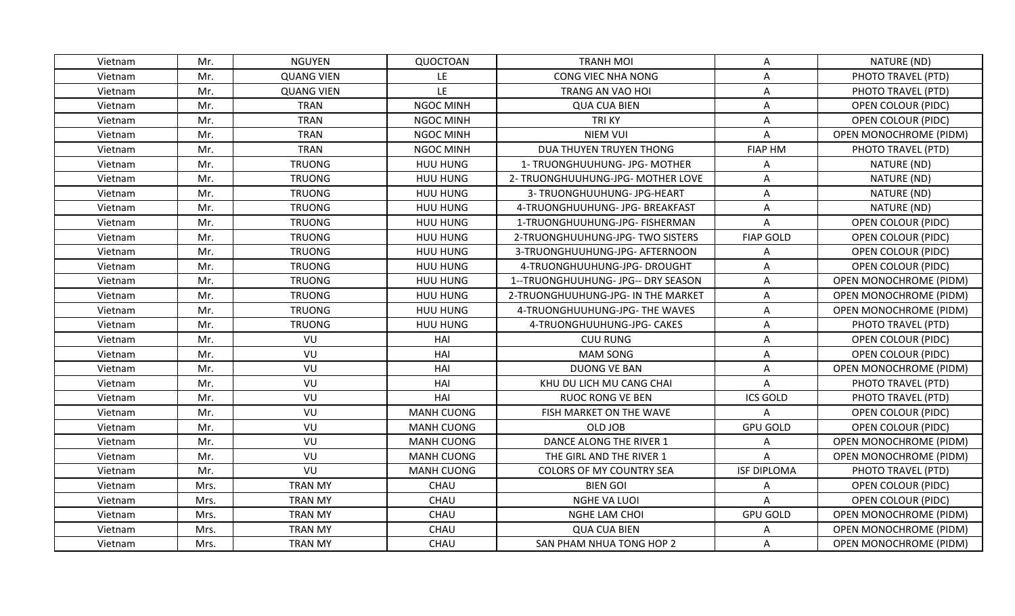| Vietnam | Mr.  | <b>NGUYEN</b>     | QUOCTOAN          | <b>TRANH MOI</b>                   | A                  | NATURE (ND)                   |
|---------|------|-------------------|-------------------|------------------------------------|--------------------|-------------------------------|
| Vietnam | Mr.  | <b>QUANG VIEN</b> | LE                | CONG VIEC NHA NONG                 | A                  | PHOTO TRAVEL (PTD)            |
| Vietnam | Mr.  | <b>QUANG VIEN</b> | LE                | TRANG AN VAO HOI                   | Α                  | PHOTO TRAVEL (PTD)            |
| Vietnam | Mr.  | <b>TRAN</b>       | NGOC MINH         | <b>QUA CUA BIEN</b>                | A                  | <b>OPEN COLOUR (PIDC)</b>     |
| Vietnam | Mr.  | <b>TRAN</b>       | <b>NGOC MINH</b>  | <b>TRIKY</b>                       | $\mathsf A$        | OPEN COLOUR (PIDC)            |
| Vietnam | Mr.  | <b>TRAN</b>       | <b>NGOC MINH</b>  | <b>NIEM VUI</b>                    | Α                  | <b>OPEN MONOCHROME (PIDM)</b> |
| Vietnam | Mr.  | <b>TRAN</b>       | <b>NGOC MINH</b>  | DUA THUYEN TRUYEN THONG            | <b>FIAP HM</b>     | PHOTO TRAVEL (PTD)            |
| Vietnam | Mr.  | <b>TRUONG</b>     | HUU HUNG          | 1- TRUONGHUUHUNG- JPG- MOTHER      | Α                  | NATURE (ND)                   |
| Vietnam | Mr.  | <b>TRUONG</b>     | HUU HUNG          | 2- TRUONGHUUHUNG-JPG- MOTHER LOVE  | Α                  | NATURE (ND)                   |
| Vietnam | Mr.  | <b>TRUONG</b>     | HUU HUNG          | 3- TRUONGHUUHUNG- JPG-HEART        | Α                  | NATURE (ND)                   |
| Vietnam | Mr.  | <b>TRUONG</b>     | HUU HUNG          | 4-TRUONGHUUHUNG- JPG- BREAKFAST    | Α                  | NATURE (ND)                   |
| Vietnam | Mr.  | <b>TRUONG</b>     | HUU HUNG          | 1-TRUONGHUUHUNG-JPG- FISHERMAN     | A                  | <b>OPEN COLOUR (PIDC)</b>     |
| Vietnam | Mr.  | <b>TRUONG</b>     | HUU HUNG          | 2-TRUONGHUUHUNG-JPG- TWO SISTERS   | <b>FIAP GOLD</b>   | <b>OPEN COLOUR (PIDC)</b>     |
| Vietnam | Mr.  | <b>TRUONG</b>     | HUU HUNG          | 3-TRUONGHUUHUNG-JPG- AFTERNOON     | Α                  | OPEN COLOUR (PIDC)            |
| Vietnam | Mr.  | <b>TRUONG</b>     | HUU HUNG          | 4-TRUONGHUUHUNG-JPG- DROUGHT       | Α                  | OPEN COLOUR (PIDC)            |
| Vietnam | Mr.  | <b>TRUONG</b>     | HUU HUNG          | 1--TRUONGHUUHUNG- JPG-- DRY SEASON | Α                  | OPEN MONOCHROME (PIDM)        |
| Vietnam | Mr.  | <b>TRUONG</b>     | HUU HUNG          | 2-TRUONGHUUHUNG-JPG- IN THE MARKET | Α                  | OPEN MONOCHROME (PIDM)        |
| Vietnam | Mr.  | <b>TRUONG</b>     | HUU HUNG          | 4-TRUONGHUUHUNG-JPG- THE WAVES     | Α                  | OPEN MONOCHROME (PIDM)        |
| Vietnam | Mr.  | <b>TRUONG</b>     | HUU HUNG          | 4-TRUONGHUUHUNG-JPG- CAKES         | Α                  | PHOTO TRAVEL (PTD)            |
| Vietnam | Mr.  | VU                | HAI               | <b>CUU RUNG</b>                    | Α                  | OPEN COLOUR (PIDC)            |
| Vietnam | Mr.  | VU                | HAI               | <b>MAM SONG</b>                    | Α                  | <b>OPEN COLOUR (PIDC)</b>     |
| Vietnam | Mr.  | VU                | HAI               | <b>DUONG VE BAN</b>                | A                  | <b>OPEN MONOCHROME (PIDM)</b> |
| Vietnam | Mr.  | VU                | HAI               | KHU DU LICH MU CANG CHAI           | A                  | PHOTO TRAVEL (PTD)            |
| Vietnam | Mr.  | VU                | HAI               | <b>RUOC RONG VE BEN</b>            | <b>ICS GOLD</b>    | PHOTO TRAVEL (PTD)            |
| Vietnam | Mr.  | VU                | <b>MANH CUONG</b> | FISH MARKET ON THE WAVE            | Α                  | OPEN COLOUR (PIDC)            |
| Vietnam | Mr.  | VU                | <b>MANH CUONG</b> | OLD JOB                            | <b>GPU GOLD</b>    | <b>OPEN COLOUR (PIDC)</b>     |
| Vietnam | Mr.  | VU                | <b>MANH CUONG</b> | DANCE ALONG THE RIVER 1            | А                  | <b>OPEN MONOCHROME (PIDM)</b> |
| Vietnam | Mr.  | VU                | <b>MANH CUONG</b> | THE GIRL AND THE RIVER 1           | A                  | OPEN MONOCHROME (PIDM)        |
| Vietnam | Mr.  | VU                | <b>MANH CUONG</b> | <b>COLORS OF MY COUNTRY SEA</b>    | <b>ISF DIPLOMA</b> | PHOTO TRAVEL (PTD)            |
| Vietnam | Mrs. | <b>TRAN MY</b>    | CHAU              | <b>BIEN GOI</b>                    | Α                  | OPEN COLOUR (PIDC)            |
| Vietnam | Mrs. | <b>TRAN MY</b>    | CHAU              | NGHE VA LUOI                       | A                  | <b>OPEN COLOUR (PIDC)</b>     |
| Vietnam | Mrs. | <b>TRAN MY</b>    | CHAU              | NGHE LAM CHOI                      | <b>GPU GOLD</b>    | <b>OPEN MONOCHROME (PIDM)</b> |
| Vietnam | Mrs. | <b>TRAN MY</b>    | CHAU              | <b>QUA CUA BIEN</b>                | Α                  | OPEN MONOCHROME (PIDM)        |
| Vietnam | Mrs. | <b>TRAN MY</b>    | CHAU              | SAN PHAM NHUA TONG HOP 2           | A                  | <b>OPEN MONOCHROME (PIDM)</b> |
|         |      |                   |                   |                                    |                    |                               |